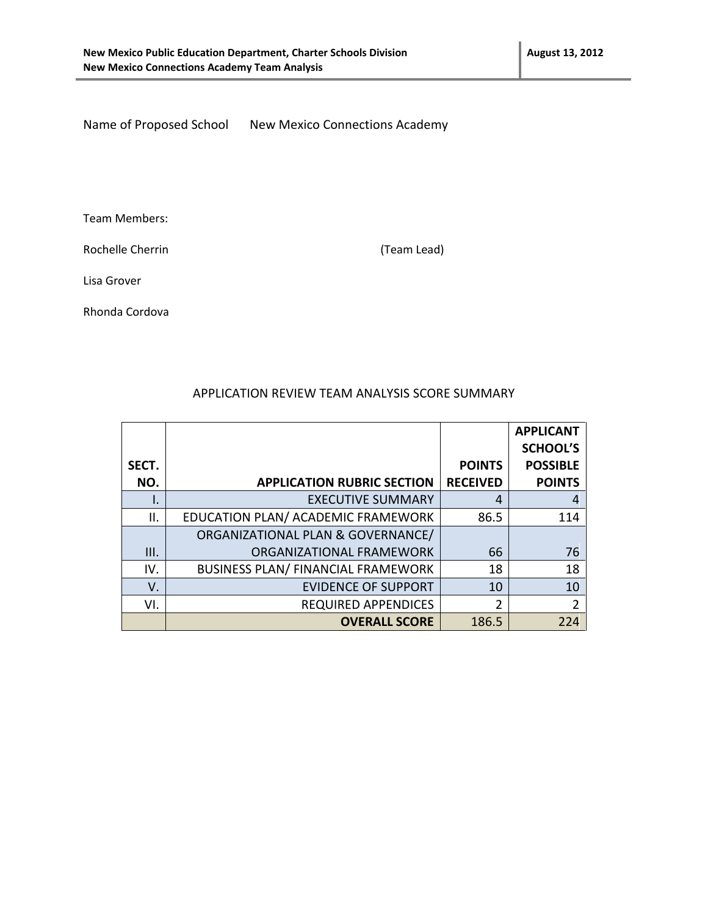Name of Proposed School New Mexico Connections Academy

Team Members:

Rochelle Cherrin **Exercise 2** (Team Lead)

Lisa Grover

Rhonda Cordova

|       |                                           |                 | <b>APPLICANT</b> |
|-------|-------------------------------------------|-----------------|------------------|
|       |                                           |                 | <b>SCHOOL'S</b>  |
| SECT. |                                           | <b>POINTS</b>   | <b>POSSIBLE</b>  |
| NO.   | <b>APPLICATION RUBRIC SECTION</b>         | <b>RECEIVED</b> | <b>POINTS</b>    |
| ۱.    | <b>EXECUTIVE SUMMARY</b>                  | 4               | 4                |
| Ш.    | EDUCATION PLAN/ ACADEMIC FRAMEWORK        | 86.5            | 114              |
|       | ORGANIZATIONAL PLAN & GOVERNANCE/         |                 |                  |
| III.  | ORGANIZATIONAL FRAMEWORK                  | 66              | 76               |
| IV.   | <b>BUSINESS PLAN/ FINANCIAL FRAMEWORK</b> | 18              | 18               |
| V.    | <b>EVIDENCE OF SUPPORT</b>                | 10              | 10               |
| VI.   | <b>REQUIRED APPENDICES</b>                | 2               | $\overline{2}$   |
|       | <b>OVERALL SCORE</b>                      | 186.5           | 224              |

#### APPLICATION REVIEW TEAM ANALYSIS SCORE SUMMARY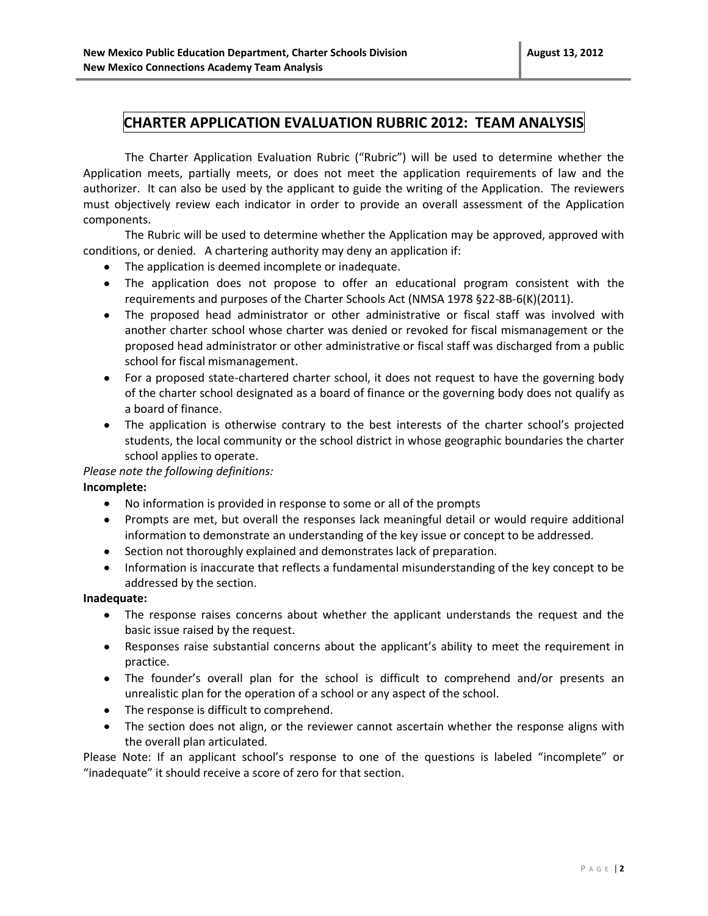#### **CHARTER APPLICATION EVALUATION RUBRIC 2012: TEAM ANALYSIS**

The Charter Application Evaluation Rubric ("Rubric") will be used to determine whether the Application meets, partially meets, or does not meet the application requirements of law and the authorizer. It can also be used by the applicant to guide the writing of the Application. The reviewers must objectively review each indicator in order to provide an overall assessment of the Application components.

The Rubric will be used to determine whether the Application may be approved, approved with conditions, or denied. A chartering authority may deny an application if:

- The application is deemed incomplete or inadequate.
- The application does not propose to offer an educational program consistent with the requirements and purposes of the Charter Schools Act (NMSA 1978 §22-8B-6(K)(2011).
- The proposed head administrator or other administrative or fiscal staff was involved with another charter school whose charter was denied or revoked for fiscal mismanagement or the proposed head administrator or other administrative or fiscal staff was discharged from a public school for fiscal mismanagement.
- For a proposed state-chartered charter school, it does not request to have the governing body of the charter school designated as a board of finance or the governing body does not qualify as a board of finance.
- The application is otherwise contrary to the best interests of the charter school's projected students, the local community or the school district in whose geographic boundaries the charter school applies to operate.

#### *Please note the following definitions:*

#### **Incomplete:**

- No information is provided in response to some or all of the prompts
- Prompts are met, but overall the responses lack meaningful detail or would require additional information to demonstrate an understanding of the key issue or concept to be addressed.
- Section not thoroughly explained and demonstrates lack of preparation.
- Information is inaccurate that reflects a fundamental misunderstanding of the key concept to be addressed by the section.

#### **Inadequate:**

- The response raises concerns about whether the applicant understands the request and the basic issue raised by the request.
- Responses raise substantial concerns about the applicant's ability to meet the requirement in practice.
- The founder's overall plan for the school is difficult to comprehend and/or presents an unrealistic plan for the operation of a school or any aspect of the school.
- The response is difficult to comprehend.
- The section does not align, or the reviewer cannot ascertain whether the response aligns with the overall plan articulated.

Please Note: If an applicant school's response to one of the questions is labeled "incomplete" or "inadequate" it should receive a score of zero for that section.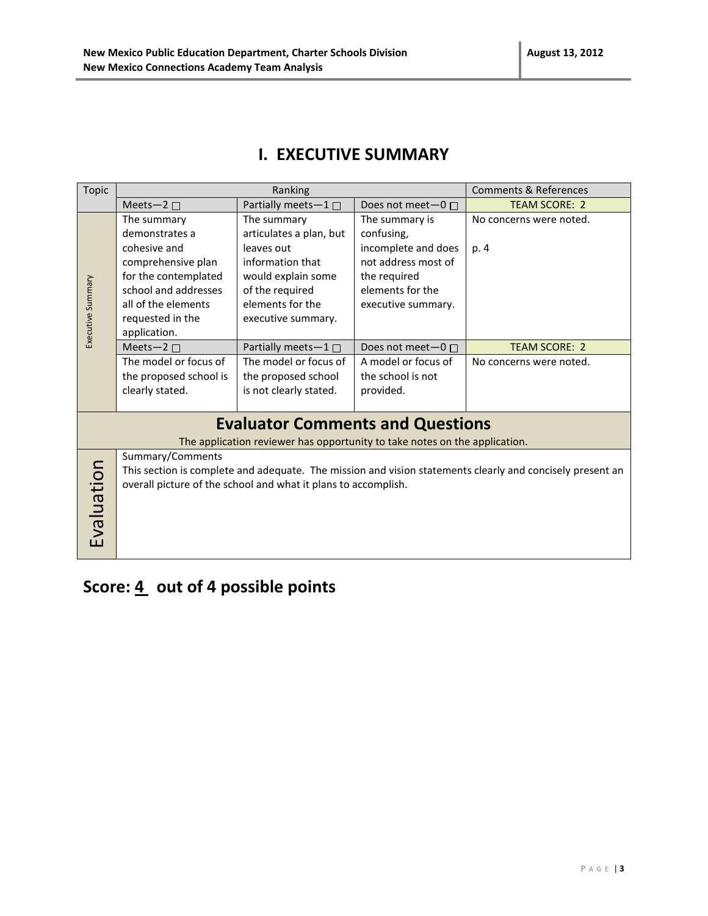|  |  | <b>I. EXECUTIVE SUMMARY</b> |
|--|--|-----------------------------|
|--|--|-----------------------------|

| Topic             |                                                                                                                                                                                           | Ranking                                                                    |                     | <b>Comments &amp; References</b> |
|-------------------|-------------------------------------------------------------------------------------------------------------------------------------------------------------------------------------------|----------------------------------------------------------------------------|---------------------|----------------------------------|
|                   | Meets-2 $\square$                                                                                                                                                                         | Partially meets- $1 \Box$                                                  | Does not meet-0 □   | <b>TEAM SCORE: 2</b>             |
|                   | The summary                                                                                                                                                                               | The summary                                                                | The summary is      | No concerns were noted.          |
|                   | demonstrates a                                                                                                                                                                            | articulates a plan, but                                                    | confusing,          |                                  |
|                   | cohesive and                                                                                                                                                                              | leaves out                                                                 | incomplete and does | p. 4                             |
|                   | comprehensive plan                                                                                                                                                                        | information that                                                           | not address most of |                                  |
|                   | for the contemplated                                                                                                                                                                      | would explain some                                                         | the required        |                                  |
|                   | school and addresses                                                                                                                                                                      | of the required                                                            | elements for the    |                                  |
|                   | all of the elements                                                                                                                                                                       | elements for the                                                           | executive summary.  |                                  |
|                   | requested in the                                                                                                                                                                          | executive summary.                                                         |                     |                                  |
| Executive Summary | application.                                                                                                                                                                              |                                                                            |                     |                                  |
|                   | Meets-2 $\square$                                                                                                                                                                         | Partially meets-1□                                                         | Does not meet-0 □   | <b>TEAM SCORE: 2</b>             |
|                   | The model or focus of                                                                                                                                                                     | The model or focus of                                                      | A model or focus of | No concerns were noted.          |
|                   | the proposed school is                                                                                                                                                                    | the proposed school                                                        | the school is not   |                                  |
|                   | clearly stated.                                                                                                                                                                           | is not clearly stated.                                                     | provided.           |                                  |
|                   |                                                                                                                                                                                           |                                                                            |                     |                                  |
|                   |                                                                                                                                                                                           | <b>Evaluator Comments and Questions</b>                                    |                     |                                  |
|                   |                                                                                                                                                                                           | The application reviewer has opportunity to take notes on the application. |                     |                                  |
|                   | Summary/Comments                                                                                                                                                                          |                                                                            |                     |                                  |
|                   | Evaluation<br>This section is complete and adequate. The mission and vision statements clearly and concisely present an<br>overall picture of the school and what it plans to accomplish. |                                                                            |                     |                                  |
|                   |                                                                                                                                                                                           |                                                                            |                     |                                  |
|                   |                                                                                                                                                                                           |                                                                            |                     |                                  |
|                   |                                                                                                                                                                                           |                                                                            |                     |                                  |
|                   |                                                                                                                                                                                           |                                                                            |                     |                                  |
|                   |                                                                                                                                                                                           |                                                                            |                     |                                  |
|                   |                                                                                                                                                                                           |                                                                            |                     |                                  |

# Score: 4 out of 4 possible points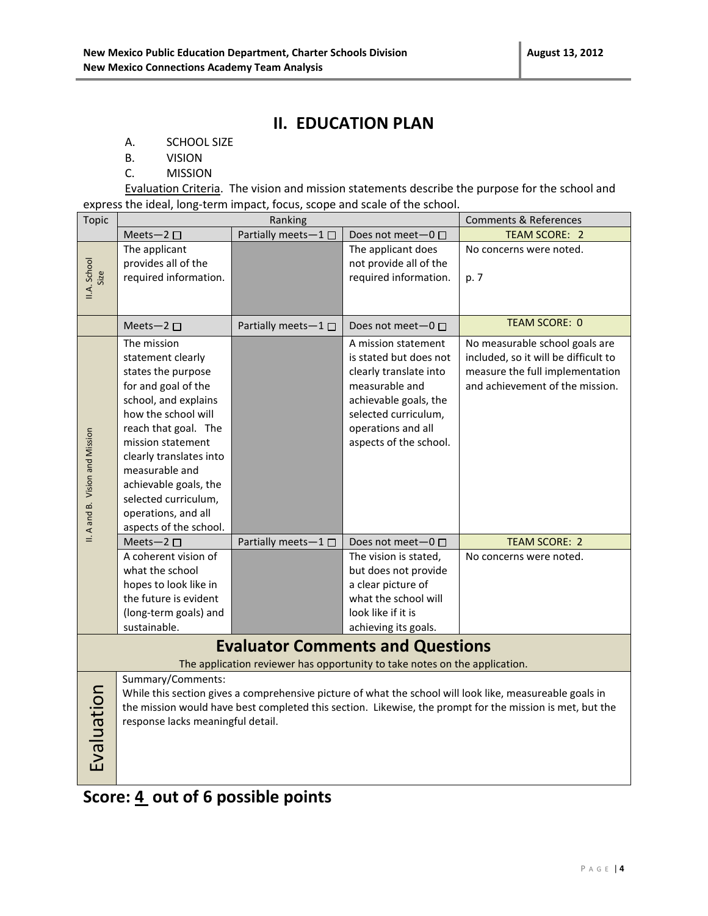### **II. EDUCATION PLAN**

- A. SCHOOL SIZE
- B. VISION
- C. MISSION

Evaluation Criteria. The vision and mission statements describe the purpose for the school and express the ideal, long-term impact, focus, scope and scale of the school.

| <b>Topic</b>                    | Ranking                                   |                     |                                                                                                                       | <b>Comments &amp; References</b>                                                                         |
|---------------------------------|-------------------------------------------|---------------------|-----------------------------------------------------------------------------------------------------------------------|----------------------------------------------------------------------------------------------------------|
|                                 | Meets-2 $\square$                         | Partially meets-1□  | Does not meet-0 □                                                                                                     | <b>TEAM SCORE: 2</b>                                                                                     |
|                                 | The applicant                             |                     | The applicant does                                                                                                    | No concerns were noted.                                                                                  |
|                                 | provides all of the                       |                     | not provide all of the                                                                                                |                                                                                                          |
| II.A. School<br>Size            | required information.                     |                     | required information.                                                                                                 | p. 7                                                                                                     |
|                                 |                                           |                     |                                                                                                                       |                                                                                                          |
|                                 |                                           |                     |                                                                                                                       |                                                                                                          |
|                                 | Meets-2 $\square$                         | Partially meets-1□  | Does not meet $-0$ $\Box$                                                                                             | <b>TEAM SCORE: 0</b>                                                                                     |
|                                 | The mission                               |                     | A mission statement                                                                                                   | No measurable school goals are                                                                           |
|                                 | statement clearly                         |                     | is stated but does not                                                                                                | included, so it will be difficult to                                                                     |
|                                 | states the purpose                        |                     | clearly translate into                                                                                                | measure the full implementation                                                                          |
|                                 | for and goal of the                       |                     | measurable and                                                                                                        | and achievement of the mission.                                                                          |
|                                 | school, and explains                      |                     | achievable goals, the                                                                                                 |                                                                                                          |
|                                 | how the school will                       |                     | selected curriculum,                                                                                                  |                                                                                                          |
|                                 | reach that goal. The                      |                     | operations and all                                                                                                    |                                                                                                          |
|                                 | mission statement                         |                     | aspects of the school.                                                                                                |                                                                                                          |
|                                 | clearly translates into                   |                     |                                                                                                                       |                                                                                                          |
|                                 | measurable and                            |                     |                                                                                                                       |                                                                                                          |
|                                 | achievable goals, the                     |                     |                                                                                                                       |                                                                                                          |
|                                 | selected curriculum,                      |                     |                                                                                                                       |                                                                                                          |
|                                 | operations, and all                       |                     |                                                                                                                       |                                                                                                          |
| II. A and B. Vision and Mission | aspects of the school.                    |                     |                                                                                                                       | <b>TEAM SCORE: 2</b>                                                                                     |
|                                 | Meets-2 $\square$<br>A coherent vision of | Partially meets-1 □ | Does not meet-0                                                                                                       |                                                                                                          |
|                                 | what the school                           |                     | The vision is stated,<br>but does not provide                                                                         | No concerns were noted.                                                                                  |
|                                 | hopes to look like in                     |                     | a clear picture of                                                                                                    |                                                                                                          |
|                                 | the future is evident                     |                     | what the school will                                                                                                  |                                                                                                          |
|                                 | (long-term goals) and                     |                     | look like if it is                                                                                                    |                                                                                                          |
|                                 | sustainable.                              |                     | achieving its goals.                                                                                                  |                                                                                                          |
|                                 |                                           |                     |                                                                                                                       |                                                                                                          |
|                                 |                                           |                     | <b>Evaluator Comments and Questions</b><br>The application reviewer has opportunity to take notes on the application. |                                                                                                          |
|                                 | Summary/Comments:                         |                     |                                                                                                                       |                                                                                                          |
|                                 |                                           |                     |                                                                                                                       | While this section gives a comprehensive picture of what the school will look like, measureable goals in |
|                                 |                                           |                     |                                                                                                                       | the mission would have best completed this section. Likewise, the prompt for the mission is met, but the |
|                                 | response lacks meaningful detail.         |                     |                                                                                                                       |                                                                                                          |
|                                 |                                           |                     |                                                                                                                       |                                                                                                          |
|                                 |                                           |                     |                                                                                                                       |                                                                                                          |
| Evaluation                      |                                           |                     |                                                                                                                       |                                                                                                          |
|                                 |                                           |                     |                                                                                                                       |                                                                                                          |

**Score: 4 out of 6 possible points**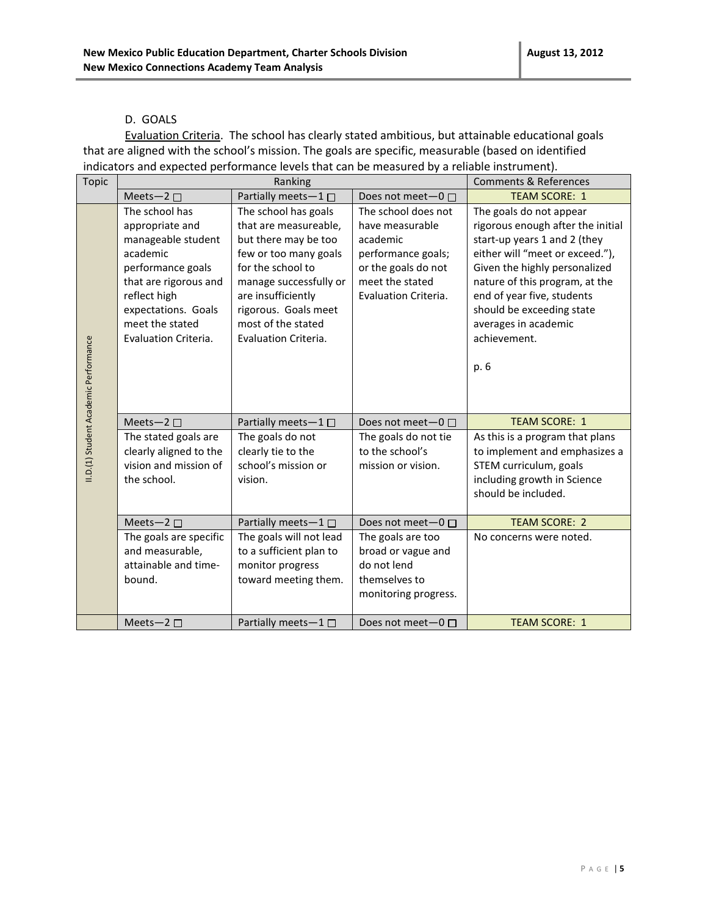#### D. GOALS

Evaluation Criteria. The school has clearly stated ambitious, but attainable educational goals that are aligned with the school's mission. The goals are specific, measurable (based on identified indicators and expected performance levels that can be measured by a reliable instrument).

| <b>Topic</b>                          |                                                                                                                                                                                                     | Ranking                                                                                                                                                                                                                                   |                                                                                                                                            | <b>Comments &amp; References</b>                                                                                                                                                                                                                                                                              |
|---------------------------------------|-----------------------------------------------------------------------------------------------------------------------------------------------------------------------------------------------------|-------------------------------------------------------------------------------------------------------------------------------------------------------------------------------------------------------------------------------------------|--------------------------------------------------------------------------------------------------------------------------------------------|---------------------------------------------------------------------------------------------------------------------------------------------------------------------------------------------------------------------------------------------------------------------------------------------------------------|
|                                       | Meets-2 $\square$                                                                                                                                                                                   | Partially meets-1                                                                                                                                                                                                                         | Does not meet $-0$ $\Box$                                                                                                                  | <b>TEAM SCORE: 1</b>                                                                                                                                                                                                                                                                                          |
| II.D.(1) Student Academic Performance | The school has<br>appropriate and<br>manageable student<br>academic<br>performance goals<br>that are rigorous and<br>reflect high<br>expectations. Goals<br>meet the stated<br>Evaluation Criteria. | The school has goals<br>that are measureable,<br>but there may be too<br>few or too many goals<br>for the school to<br>manage successfully or<br>are insufficiently<br>rigorous. Goals meet<br>most of the stated<br>Evaluation Criteria. | The school does not<br>have measurable<br>academic<br>performance goals;<br>or the goals do not<br>meet the stated<br>Evaluation Criteria. | The goals do not appear<br>rigorous enough after the initial<br>start-up years 1 and 2 (they<br>either will "meet or exceed."),<br>Given the highly personalized<br>nature of this program, at the<br>end of year five, students<br>should be exceeding state<br>averages in academic<br>achievement.<br>p. 6 |
|                                       | Meets-2 $\square$                                                                                                                                                                                   | Partially meets- $1 \Box$                                                                                                                                                                                                                 | Does not meet $-0$ $\Box$                                                                                                                  | <b>TEAM SCORE: 1</b>                                                                                                                                                                                                                                                                                          |
|                                       | The stated goals are                                                                                                                                                                                | The goals do not                                                                                                                                                                                                                          | The goals do not tie                                                                                                                       | As this is a program that plans                                                                                                                                                                                                                                                                               |
|                                       | clearly aligned to the<br>vision and mission of                                                                                                                                                     | clearly tie to the<br>school's mission or                                                                                                                                                                                                 | to the school's<br>mission or vision.                                                                                                      | to implement and emphasizes a                                                                                                                                                                                                                                                                                 |
|                                       | the school.                                                                                                                                                                                         | vision.                                                                                                                                                                                                                                   |                                                                                                                                            | STEM curriculum, goals<br>including growth in Science<br>should be included.                                                                                                                                                                                                                                  |
|                                       | Meets-2 $\square$                                                                                                                                                                                   | Partially meets-1                                                                                                                                                                                                                         | Does not meet-0 □                                                                                                                          | <b>TEAM SCORE: 2</b>                                                                                                                                                                                                                                                                                          |
|                                       | The goals are specific<br>and measurable,<br>attainable and time-<br>bound.                                                                                                                         | The goals will not lead<br>to a sufficient plan to<br>monitor progress<br>toward meeting them.                                                                                                                                            | The goals are too<br>broad or vague and<br>do not lend<br>themselves to<br>monitoring progress.                                            | No concerns were noted.                                                                                                                                                                                                                                                                                       |
|                                       | Meets-2 $\Box$                                                                                                                                                                                      | Partially meets $-1$ $\Box$                                                                                                                                                                                                               | Does not meet $-0$ $\Box$                                                                                                                  | <b>TEAM SCORE: 1</b>                                                                                                                                                                                                                                                                                          |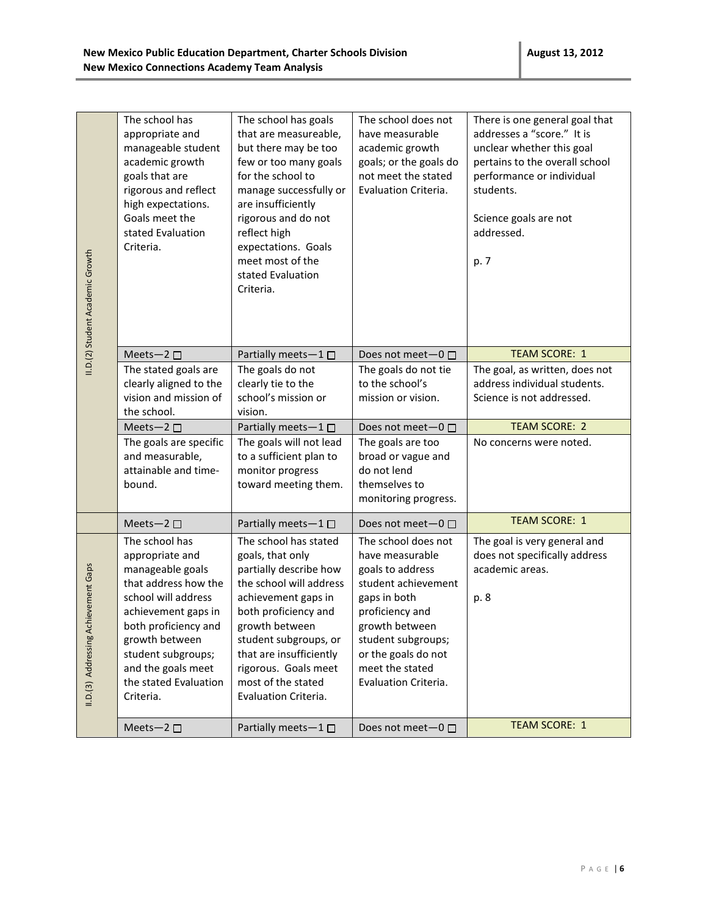| II.D.(2) Student Academic Growth         | The school has<br>appropriate and<br>manageable student<br>academic growth<br>goals that are<br>rigorous and reflect<br>high expectations.<br>Goals meet the<br>stated Evaluation<br>Criteria.                                                          | The school has goals<br>that are measureable,<br>but there may be too<br>few or too many goals<br>for the school to<br>manage successfully or<br>are insufficiently<br>rigorous and do not<br>reflect high<br>expectations. Goals<br>meet most of the<br>stated Evaluation<br>Criteria.   | The school does not<br>have measurable<br>academic growth<br>goals; or the goals do<br>not meet the stated<br>Evaluation Criteria.                                                                                             | There is one general goal that<br>addresses a "score." It is<br>unclear whether this goal<br>pertains to the overall school<br>performance or individual<br>students.<br>Science goals are not<br>addressed.<br>p. 7 |
|------------------------------------------|---------------------------------------------------------------------------------------------------------------------------------------------------------------------------------------------------------------------------------------------------------|-------------------------------------------------------------------------------------------------------------------------------------------------------------------------------------------------------------------------------------------------------------------------------------------|--------------------------------------------------------------------------------------------------------------------------------------------------------------------------------------------------------------------------------|----------------------------------------------------------------------------------------------------------------------------------------------------------------------------------------------------------------------|
|                                          | Meets-2 $\square$                                                                                                                                                                                                                                       | Partially meets-1 $\square$                                                                                                                                                                                                                                                               | Does not meet $-0$ $\Box$                                                                                                                                                                                                      | <b>TEAM SCORE: 1</b>                                                                                                                                                                                                 |
|                                          | The stated goals are<br>clearly aligned to the<br>vision and mission of<br>the school.                                                                                                                                                                  | The goals do not<br>clearly tie to the<br>school's mission or<br>vision.                                                                                                                                                                                                                  | The goals do not tie<br>to the school's<br>mission or vision.                                                                                                                                                                  | The goal, as written, does not<br>address individual students.<br>Science is not addressed.                                                                                                                          |
|                                          | Meets-2 $\square$                                                                                                                                                                                                                                       | Partially meets-1                                                                                                                                                                                                                                                                         | Does not meet-0 □                                                                                                                                                                                                              | <b>TEAM SCORE: 2</b>                                                                                                                                                                                                 |
|                                          | The goals are specific<br>and measurable,<br>attainable and time-<br>bound.                                                                                                                                                                             | The goals will not lead<br>to a sufficient plan to<br>monitor progress<br>toward meeting them.                                                                                                                                                                                            | The goals are too<br>broad or vague and<br>do not lend<br>themselves to<br>monitoring progress.                                                                                                                                | No concerns were noted.                                                                                                                                                                                              |
|                                          | Meets-2 $\square$                                                                                                                                                                                                                                       | Partially meets-1                                                                                                                                                                                                                                                                         | Does not meet $-0$ $\Box$                                                                                                                                                                                                      | <b>TEAM SCORE: 1</b>                                                                                                                                                                                                 |
| chievement Gaps<br>II.D.(3) Addressing A | The school has<br>appropriate and<br>manageable goals<br>that address how the<br>school will address<br>achievement gaps in<br>both proficiency and<br>growth between<br>student subgroups;<br>and the goals meet<br>the stated Evaluation<br>Criteria. | The school has stated<br>goals, that only<br>partially describe how<br>the school will address<br>achievement gaps in<br>both proficiency and<br>growth between<br>student subgroups, or<br>that are insufficiently<br>rigorous. Goals meet<br>most of the stated<br>Evaluation Criteria. | The school does not<br>have measurable<br>goals to address<br>student achievement<br>gaps in both<br>proficiency and<br>growth between<br>student subgroups;<br>or the goals do not<br>meet the stated<br>Evaluation Criteria. | The goal is very general and<br>does not specifically address<br>academic areas.<br>p. 8                                                                                                                             |
|                                          | Meets-2 □                                                                                                                                                                                                                                               | Partially meets-1□                                                                                                                                                                                                                                                                        | Does not meet-0 □                                                                                                                                                                                                              | <b>TEAM SCORE: 1</b>                                                                                                                                                                                                 |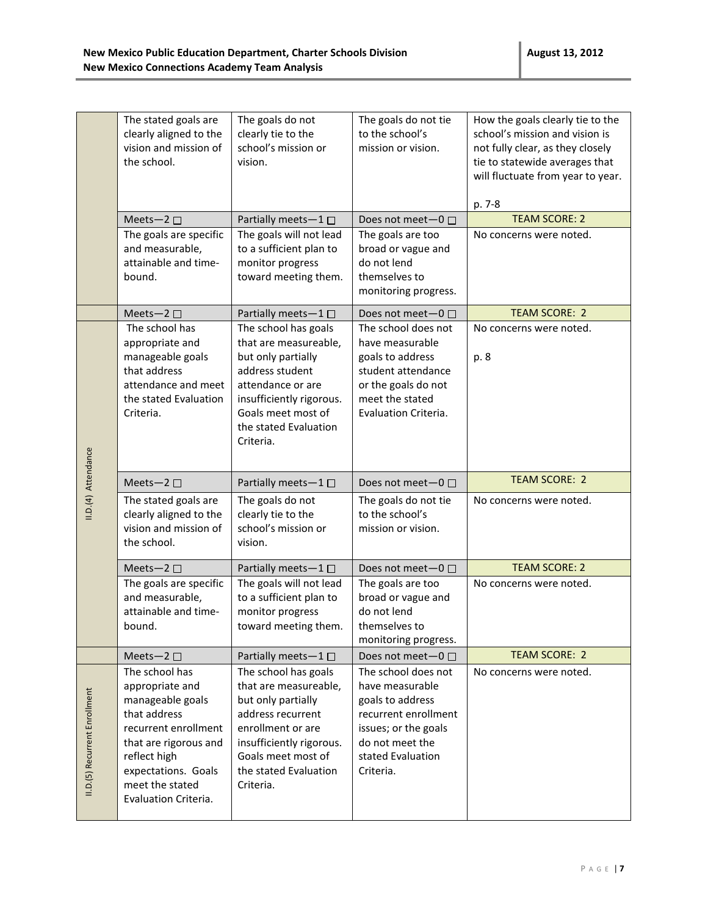|                     | The stated goals are<br>clearly aligned to the<br>vision and mission of<br>the school.                                             | The goals do not<br>clearly tie to the<br>school's mission or<br>vision.                                                                                                                            | The goals do not tie<br>to the school's<br>mission or vision.                                                                                      | How the goals clearly tie to the<br>school's mission and vision is<br>not fully clear, as they closely<br>tie to statewide averages that<br>will fluctuate from year to year.<br>p. 7-8 |
|---------------------|------------------------------------------------------------------------------------------------------------------------------------|-----------------------------------------------------------------------------------------------------------------------------------------------------------------------------------------------------|----------------------------------------------------------------------------------------------------------------------------------------------------|-----------------------------------------------------------------------------------------------------------------------------------------------------------------------------------------|
|                     | Meets-2 $\square$                                                                                                                  | Partially meets-1□                                                                                                                                                                                  | Does not meet $-0$ $\Box$                                                                                                                          | <b>TEAM SCORE: 2</b>                                                                                                                                                                    |
|                     | The goals are specific<br>and measurable,<br>attainable and time-<br>bound.                                                        | The goals will not lead<br>to a sufficient plan to<br>monitor progress<br>toward meeting them.                                                                                                      | The goals are too<br>broad or vague and<br>do not lend<br>themselves to<br>monitoring progress.                                                    | No concerns were noted.                                                                                                                                                                 |
|                     | Meets-2 $\square$                                                                                                                  | Partially meets-1 □                                                                                                                                                                                 | Does not meet-0 □                                                                                                                                  | <b>TEAM SCORE: 2</b>                                                                                                                                                                    |
|                     | The school has<br>appropriate and<br>manageable goals<br>that address<br>attendance and meet<br>the stated Evaluation<br>Criteria. | The school has goals<br>that are measureable,<br>but only partially<br>address student<br>attendance or are<br>insufficiently rigorous.<br>Goals meet most of<br>the stated Evaluation<br>Criteria. | The school does not<br>have measurable<br>goals to address<br>student attendance<br>or the goals do not<br>meet the stated<br>Evaluation Criteria. | No concerns were noted.<br>p. 8                                                                                                                                                         |
|                     | Meets-2 $\square$                                                                                                                  | Partially meets-1                                                                                                                                                                                   | Does not meet $-0$ $\Box$                                                                                                                          | <b>TEAM SCORE: 2</b>                                                                                                                                                                    |
|                     |                                                                                                                                    |                                                                                                                                                                                                     |                                                                                                                                                    |                                                                                                                                                                                         |
| II.D.(4) Attendance | The stated goals are<br>clearly aligned to the<br>vision and mission of<br>the school.                                             | The goals do not<br>clearly tie to the<br>school's mission or<br>vision.                                                                                                                            | The goals do not tie<br>to the school's<br>mission or vision.                                                                                      | No concerns were noted.                                                                                                                                                                 |
|                     | Meets-2 $\square$                                                                                                                  | Partially meets-1□                                                                                                                                                                                  | Does not meet-0 □                                                                                                                                  | <b>TEAM SCORE: 2</b>                                                                                                                                                                    |
|                     | The goals are specific<br>and measurable,<br>attainable and time-<br>bound.                                                        | The goals will not lead<br>to a sufficient plan to<br>monitor progress<br>toward meeting them.                                                                                                      | The goals are too<br>broad or vague and<br>do not lend<br>themselves to<br>monitoring progress.                                                    | No concerns were noted.                                                                                                                                                                 |
|                     | Meets-2 $\square$<br>The school has                                                                                                | Partially meets-1 □<br>The school has goals                                                                                                                                                         | Does not meet-0 □<br>The school does not                                                                                                           | <b>TEAM SCORE: 2</b>                                                                                                                                                                    |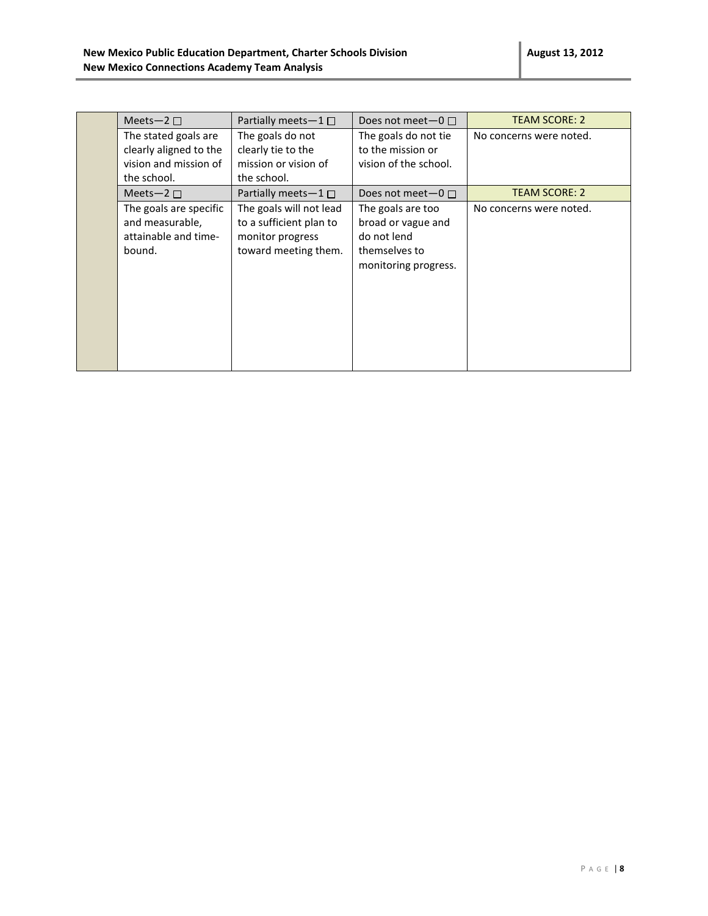| Meets-2 $\Box$         | Partially meets $-1 \Box$ | Does not meet $-0$ $\Box$ | <b>TEAM SCORE: 2</b>    |
|------------------------|---------------------------|---------------------------|-------------------------|
| The stated goals are   | The goals do not          | The goals do not tie      | No concerns were noted. |
| clearly aligned to the | clearly tie to the        | to the mission or         |                         |
| vision and mission of  | mission or vision of      | vision of the school.     |                         |
| the school.            | the school.               |                           |                         |
| Meets-2 $\Box$         | Partially meets $-1 \Box$ | Does not meet $-0 \Box$   | <b>TEAM SCORE: 2</b>    |
| The goals are specific | The goals will not lead   | The goals are too         | No concerns were noted. |
| and measurable,        | to a sufficient plan to   | broad or vague and        |                         |
| attainable and time-   | monitor progress          | do not lend               |                         |
| bound.                 | toward meeting them.      | themselves to             |                         |
|                        |                           | monitoring progress.      |                         |
|                        |                           |                           |                         |
|                        |                           |                           |                         |
|                        |                           |                           |                         |
|                        |                           |                           |                         |
|                        |                           |                           |                         |
|                        |                           |                           |                         |
|                        |                           |                           |                         |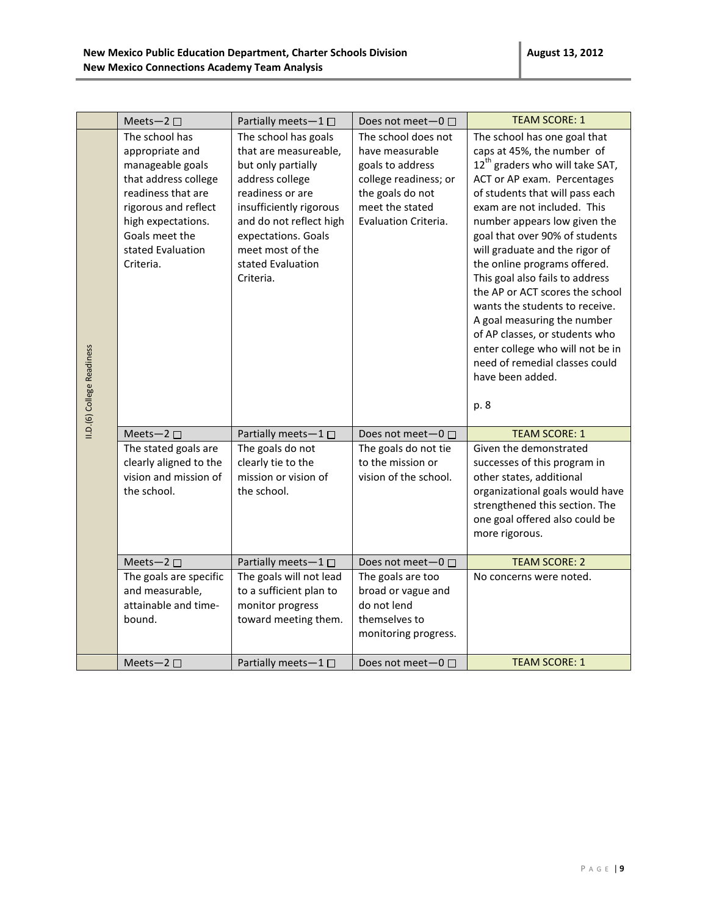|                            | Meets-2 $\square$                                                                                                                                                                                     | Partially meets-1 $\square$                                                                                                                                                                                                                   | Does not meet- $0 \Box$                                                                                                                            | <b>TEAM SCORE: 1</b>                                                                                                                                                                                                                                                                                                                                                                                                                                                                                                                                                                                                      |
|----------------------------|-------------------------------------------------------------------------------------------------------------------------------------------------------------------------------------------------------|-----------------------------------------------------------------------------------------------------------------------------------------------------------------------------------------------------------------------------------------------|----------------------------------------------------------------------------------------------------------------------------------------------------|---------------------------------------------------------------------------------------------------------------------------------------------------------------------------------------------------------------------------------------------------------------------------------------------------------------------------------------------------------------------------------------------------------------------------------------------------------------------------------------------------------------------------------------------------------------------------------------------------------------------------|
| II.D.(6) College Readiness | The school has<br>appropriate and<br>manageable goals<br>that address college<br>readiness that are<br>rigorous and reflect<br>high expectations.<br>Goals meet the<br>stated Evaluation<br>Criteria. | The school has goals<br>that are measureable,<br>but only partially<br>address college<br>readiness or are<br>insufficiently rigorous<br>and do not reflect high<br>expectations. Goals<br>meet most of the<br>stated Evaluation<br>Criteria. | The school does not<br>have measurable<br>goals to address<br>college readiness; or<br>the goals do not<br>meet the stated<br>Evaluation Criteria. | The school has one goal that<br>caps at 45%, the number of<br>12 <sup>th</sup> graders who will take SAT,<br>ACT or AP exam. Percentages<br>of students that will pass each<br>exam are not included. This<br>number appears low given the<br>goal that over 90% of students<br>will graduate and the rigor of<br>the online programs offered.<br>This goal also fails to address<br>the AP or ACT scores the school<br>wants the students to receive.<br>A goal measuring the number<br>of AP classes, or students who<br>enter college who will not be in<br>need of remedial classes could<br>have been added.<br>p. 8 |
|                            | Meets-2 $\square$                                                                                                                                                                                     | Partially meets-1 $\square$                                                                                                                                                                                                                   | Does not meet-0 □                                                                                                                                  | <b>TEAM SCORE: 1</b>                                                                                                                                                                                                                                                                                                                                                                                                                                                                                                                                                                                                      |
|                            | The stated goals are<br>clearly aligned to the<br>vision and mission of<br>the school.                                                                                                                | The goals do not<br>clearly tie to the<br>mission or vision of<br>the school.                                                                                                                                                                 | The goals do not tie<br>to the mission or<br>vision of the school.                                                                                 | Given the demonstrated<br>successes of this program in<br>other states, additional<br>organizational goals would have<br>strengthened this section. The<br>one goal offered also could be<br>more rigorous.                                                                                                                                                                                                                                                                                                                                                                                                               |
|                            | Meets-2 $\square$                                                                                                                                                                                     | Partially meets-1□                                                                                                                                                                                                                            | Does not meet-0 □                                                                                                                                  | <b>TEAM SCORE: 2</b>                                                                                                                                                                                                                                                                                                                                                                                                                                                                                                                                                                                                      |
|                            | The goals are specific<br>and measurable,<br>attainable and time-<br>bound.                                                                                                                           | The goals will not lead<br>to a sufficient plan to<br>monitor progress<br>toward meeting them.                                                                                                                                                | The goals are too<br>broad or vague and<br>do not lend<br>themselves to<br>monitoring progress.                                                    | No concerns were noted.                                                                                                                                                                                                                                                                                                                                                                                                                                                                                                                                                                                                   |
|                            | Meets-2 $\square$                                                                                                                                                                                     | Partially meets-1 $\square$                                                                                                                                                                                                                   | Does not meet $-0$ $\Box$                                                                                                                          | <b>TEAM SCORE: 1</b>                                                                                                                                                                                                                                                                                                                                                                                                                                                                                                                                                                                                      |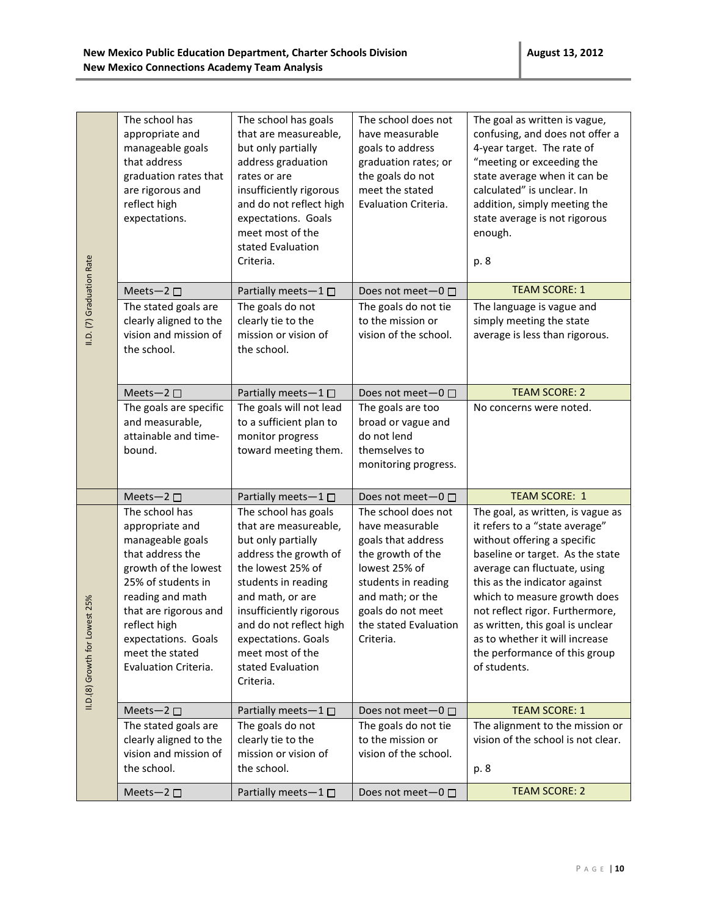|                                | The school has<br>appropriate and<br>manageable goals<br>that address<br>graduation rates that<br>are rigorous and<br>reflect high<br>expectations.                                                                                                    | The school has goals<br>that are measureable,<br>but only partially<br>address graduation<br>rates or are<br>insufficiently rigorous<br>and do not reflect high<br>expectations. Goals<br>meet most of the<br>stated Evaluation<br>Criteria.                                                    | The school does not<br>have measurable<br>goals to address<br>graduation rates; or<br>the goals do not<br>meet the stated<br>Evaluation Criteria.                                                        | The goal as written is vague,<br>confusing, and does not offer a<br>4-year target. The rate of<br>"meeting or exceeding the<br>state average when it can be<br>calculated" is unclear. In<br>addition, simply meeting the<br>state average is not rigorous<br>enough.<br>p. 8                                                                                                                     |
|--------------------------------|--------------------------------------------------------------------------------------------------------------------------------------------------------------------------------------------------------------------------------------------------------|-------------------------------------------------------------------------------------------------------------------------------------------------------------------------------------------------------------------------------------------------------------------------------------------------|----------------------------------------------------------------------------------------------------------------------------------------------------------------------------------------------------------|---------------------------------------------------------------------------------------------------------------------------------------------------------------------------------------------------------------------------------------------------------------------------------------------------------------------------------------------------------------------------------------------------|
|                                | Meets-2 $\square$                                                                                                                                                                                                                                      | Partially meets-1 $\square$                                                                                                                                                                                                                                                                     | Does not meet $-0$ $\Box$                                                                                                                                                                                | <b>TEAM SCORE: 1</b>                                                                                                                                                                                                                                                                                                                                                                              |
| II.D. (7) Graduation Rate      | The stated goals are<br>clearly aligned to the<br>vision and mission of<br>the school.                                                                                                                                                                 | The goals do not<br>clearly tie to the<br>mission or vision of<br>the school.                                                                                                                                                                                                                   | The goals do not tie<br>to the mission or<br>vision of the school.                                                                                                                                       | The language is vague and<br>simply meeting the state<br>average is less than rigorous.                                                                                                                                                                                                                                                                                                           |
|                                | Meets-2 $\square$                                                                                                                                                                                                                                      | Partially meets-1 $\square$                                                                                                                                                                                                                                                                     | Does not meet $-0$ $\Box$                                                                                                                                                                                | <b>TEAM SCORE: 2</b>                                                                                                                                                                                                                                                                                                                                                                              |
|                                | The goals are specific<br>and measurable,<br>attainable and time-<br>bound.                                                                                                                                                                            | The goals will not lead<br>to a sufficient plan to<br>monitor progress<br>toward meeting them.                                                                                                                                                                                                  | The goals are too<br>broad or vague and<br>do not lend<br>themselves to<br>monitoring progress.                                                                                                          | No concerns were noted.                                                                                                                                                                                                                                                                                                                                                                           |
|                                | Meets-2 □                                                                                                                                                                                                                                              | Partially meets-1□                                                                                                                                                                                                                                                                              | Does not meet-0 □                                                                                                                                                                                        | <b>TEAM SCORE: 1</b>                                                                                                                                                                                                                                                                                                                                                                              |
| II.D.(8) Growth for Lowest 25% | The school has<br>appropriate and<br>manageable goals<br>that address the<br>growth of the lowest<br>25% of students in<br>reading and math<br>that are rigorous and<br>reflect high<br>expectations. Goals<br>meet the stated<br>Evaluation Criteria. | The school has goals<br>that are measureable,<br>but only partially<br>address the growth of<br>the lowest 25% of<br>students in reading<br>and math, or are<br>insufficiently rigorous<br>and do not reflect high<br>expectations. Goals<br>meet most of the<br>stated Evaluation<br>Criteria. | The school does not<br>have measurable<br>goals that address<br>the growth of the<br>lowest 25% of<br>students in reading<br>and math; or the<br>goals do not meet<br>the stated Evaluation<br>Criteria. | The goal, as written, is vague as<br>it refers to a "state average"<br>without offering a specific<br>baseline or target. As the state<br>average can fluctuate, using<br>this as the indicator against<br>which to measure growth does<br>not reflect rigor. Furthermore,<br>as written, this goal is unclear<br>as to whether it will increase<br>the performance of this group<br>of students. |
|                                | Meets-2 $\square$                                                                                                                                                                                                                                      | Partially meets $-1$ $\Box$                                                                                                                                                                                                                                                                     | Does not meet-0 □                                                                                                                                                                                        | <b>TEAM SCORE: 1</b>                                                                                                                                                                                                                                                                                                                                                                              |
|                                | The stated goals are<br>clearly aligned to the<br>vision and mission of<br>the school.                                                                                                                                                                 | The goals do not<br>clearly tie to the<br>mission or vision of<br>the school.                                                                                                                                                                                                                   | The goals do not tie<br>to the mission or<br>vision of the school.                                                                                                                                       | The alignment to the mission or<br>vision of the school is not clear.<br>p. 8                                                                                                                                                                                                                                                                                                                     |
|                                | Meets-2 $\square$                                                                                                                                                                                                                                      | Partially meets-1□                                                                                                                                                                                                                                                                              | Does not meet-0 □                                                                                                                                                                                        | <b>TEAM SCORE: 2</b>                                                                                                                                                                                                                                                                                                                                                                              |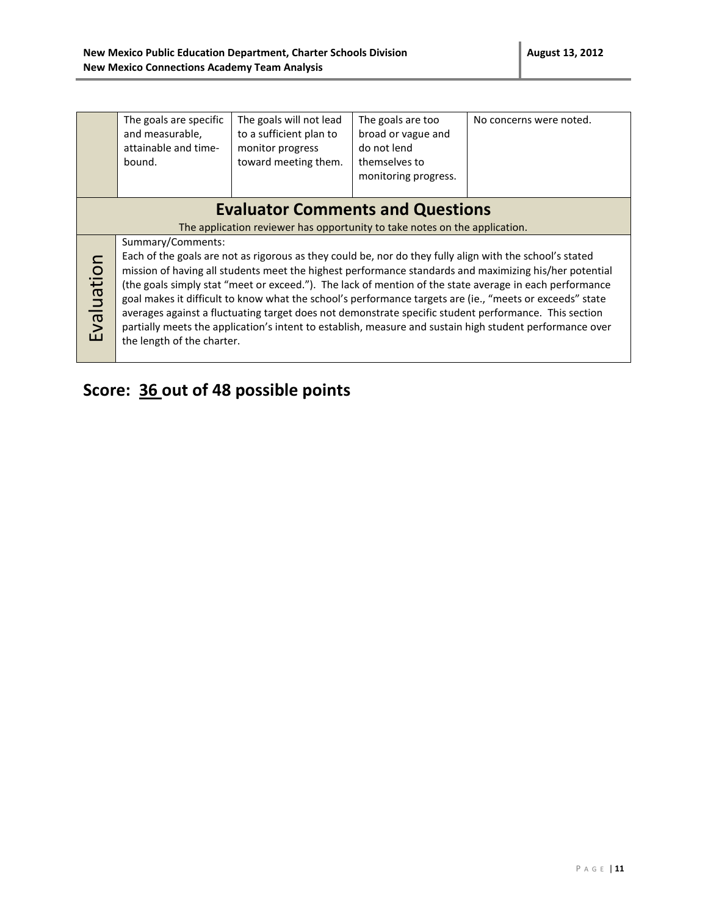|            | The goals are specific<br>and measurable,<br>attainable and time-<br>bound.                                                                                                                                                                                                                                                                                                                                                                                                                                                                                                                                                                                                                                       | The goals will not lead<br>to a sufficient plan to<br>monitor progress<br>toward meeting them. | The goals are too<br>broad or vague and<br>do not lend<br>themselves to<br>monitoring progress. | No concerns were noted. |  |
|------------|-------------------------------------------------------------------------------------------------------------------------------------------------------------------------------------------------------------------------------------------------------------------------------------------------------------------------------------------------------------------------------------------------------------------------------------------------------------------------------------------------------------------------------------------------------------------------------------------------------------------------------------------------------------------------------------------------------------------|------------------------------------------------------------------------------------------------|-------------------------------------------------------------------------------------------------|-------------------------|--|
|            | <b>Evaluator Comments and Questions</b><br>The application reviewer has opportunity to take notes on the application.                                                                                                                                                                                                                                                                                                                                                                                                                                                                                                                                                                                             |                                                                                                |                                                                                                 |                         |  |
| Evaluation | Summary/Comments:<br>Each of the goals are not as rigorous as they could be, nor do they fully align with the school's stated<br>mission of having all students meet the highest performance standards and maximizing his/her potential<br>(the goals simply stat "meet or exceed."). The lack of mention of the state average in each performance<br>goal makes it difficult to know what the school's performance targets are (ie., "meets or exceeds" state<br>averages against a fluctuating target does not demonstrate specific student performance. This section<br>partially meets the application's intent to establish, measure and sustain high student performance over<br>the length of the charter. |                                                                                                |                                                                                                 |                         |  |

# **Score: 36 out of 48 possible points**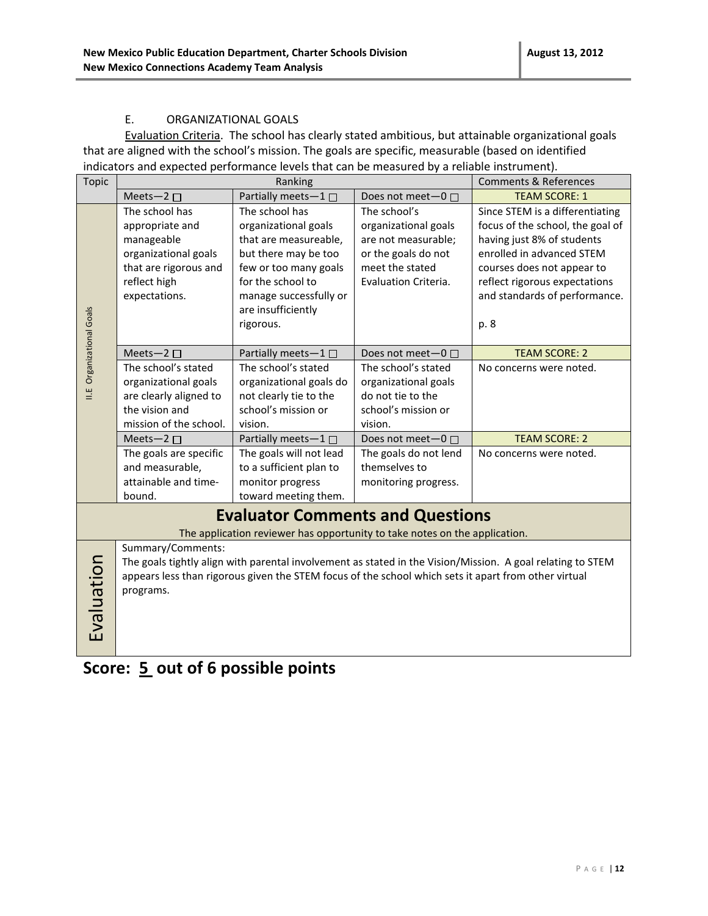#### E. ORGANIZATIONAL GOALS

Evaluation Criteria. The school has clearly stated ambitious, but attainable organizational goals that are aligned with the school's mission. The goals are specific, measurable (based on identified indicators and expected performance levels that can be measured by a reliable instrument).

| <b>Topic</b>              |                                                | Ranking                                                                                              |                                                | <b>Comments &amp; References</b>                                                                           |
|---------------------------|------------------------------------------------|------------------------------------------------------------------------------------------------------|------------------------------------------------|------------------------------------------------------------------------------------------------------------|
|                           | Meets-2 $\square$                              | Partially meets-1                                                                                    | Does not meet- $0 \Box$                        | <b>TEAM SCORE: 1</b>                                                                                       |
|                           | The school has                                 | The school has                                                                                       | The school's                                   | Since STEM is a differentiating                                                                            |
|                           | appropriate and                                | organizational goals                                                                                 | organizational goals                           | focus of the school, the goal of                                                                           |
|                           | manageable                                     | that are measureable,                                                                                | are not measurable;                            | having just 8% of students                                                                                 |
|                           | organizational goals                           | but there may be too                                                                                 | or the goals do not                            | enrolled in advanced STEM                                                                                  |
|                           | that are rigorous and                          | few or too many goals                                                                                | meet the stated                                | courses does not appear to                                                                                 |
|                           | reflect high                                   | for the school to                                                                                    | Evaluation Criteria.                           | reflect rigorous expectations                                                                              |
|                           | expectations.                                  | manage successfully or                                                                               |                                                | and standards of performance.                                                                              |
|                           |                                                | are insufficiently                                                                                   |                                                |                                                                                                            |
| II.E Organizational Goals |                                                | rigorous.                                                                                            |                                                | p. 8                                                                                                       |
|                           |                                                |                                                                                                      |                                                |                                                                                                            |
|                           | Meets-2 $\square$<br>The school's stated       | Partially meets-1 □<br>The school's stated                                                           | Does not meet- $0 \Box$<br>The school's stated | <b>TEAM SCORE: 2</b><br>No concerns were noted.                                                            |
|                           |                                                |                                                                                                      |                                                |                                                                                                            |
|                           | organizational goals<br>are clearly aligned to | organizational goals do<br>not clearly tie to the                                                    | organizational goals<br>do not tie to the      |                                                                                                            |
|                           | the vision and                                 | school's mission or                                                                                  | school's mission or                            |                                                                                                            |
|                           | mission of the school.                         | vision.                                                                                              | vision.                                        |                                                                                                            |
|                           | Meets-2 $\square$                              | Partially meets-1 $\square$                                                                          | Does not meet-0 □                              | <b>TEAM SCORE: 2</b>                                                                                       |
|                           | The goals are specific                         | The goals will not lead                                                                              | The goals do not lend                          | No concerns were noted.                                                                                    |
|                           | and measurable,                                | to a sufficient plan to                                                                              | themselves to                                  |                                                                                                            |
|                           | attainable and time-                           | monitor progress                                                                                     | monitoring progress.                           |                                                                                                            |
|                           | bound.                                         | toward meeting them.                                                                                 |                                                |                                                                                                            |
|                           |                                                | <b>Evaluator Comments and Questions</b>                                                              |                                                |                                                                                                            |
|                           |                                                | The application reviewer has opportunity to take notes on the application.                           |                                                |                                                                                                            |
|                           | Summary/Comments:                              |                                                                                                      |                                                |                                                                                                            |
|                           |                                                |                                                                                                      |                                                | The goals tightly align with parental involvement as stated in the Vision/Mission. A goal relating to STEM |
|                           |                                                | appears less than rigorous given the STEM focus of the school which sets it apart from other virtual |                                                |                                                                                                            |
|                           | programs.                                      |                                                                                                      |                                                |                                                                                                            |
|                           |                                                |                                                                                                      |                                                |                                                                                                            |
| Evaluation                |                                                |                                                                                                      |                                                |                                                                                                            |
|                           |                                                |                                                                                                      |                                                |                                                                                                            |

**Score: 5 out of 6 possible points**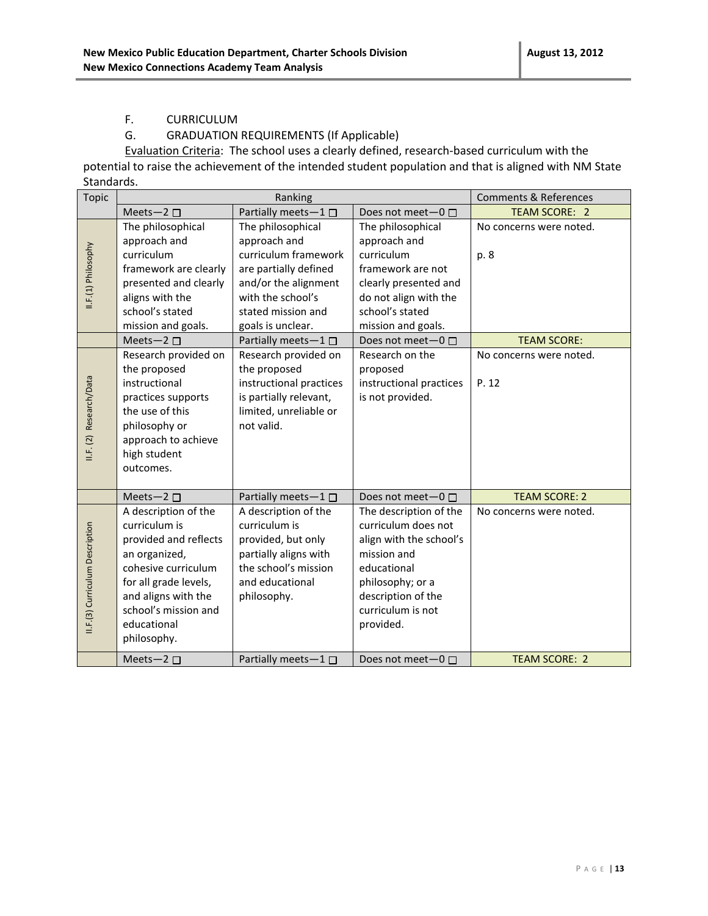#### F. CURRICULUM

#### G. GRADUATION REQUIREMENTS (If Applicable)

Evaluation Criteria: The school uses a clearly defined, research-based curriculum with the potential to raise the achievement of the intended student population and that is aligned with NM State Standards.

| <b>Topic</b>                    | Ranking                             |                             | <b>Comments &amp; References</b> |                         |
|---------------------------------|-------------------------------------|-----------------------------|----------------------------------|-------------------------|
|                                 | Meets-2 $\square$                   | Partially meets-1           | Does not meet $-0$ $\Box$        | <b>TEAM SCORE: 2</b>    |
|                                 | The philosophical                   | The philosophical           | The philosophical                | No concerns were noted. |
|                                 | approach and                        | approach and                | approach and                     |                         |
|                                 | curriculum                          | curriculum framework        | curriculum                       | p. 8                    |
|                                 | framework are clearly               | are partially defined       | framework are not                |                         |
| II.F.(1) Philosophy             | presented and clearly               | and/or the alignment        | clearly presented and            |                         |
|                                 | aligns with the                     | with the school's           | do not align with the            |                         |
|                                 | school's stated                     | stated mission and          | school's stated                  |                         |
|                                 | mission and goals.                  | goals is unclear.           | mission and goals.               |                         |
|                                 | Meets-2 $\square$                   | Partially meets-1□          | Does not meet-0 □                | <b>TEAM SCORE:</b>      |
|                                 | Research provided on                | Research provided on        | Research on the                  | No concerns were noted. |
|                                 | the proposed                        | the proposed                | proposed                         |                         |
| II.F. (2) Research/Data         | instructional                       | instructional practices     | instructional practices          | P. 12                   |
|                                 | practices supports                  | is partially relevant,      | is not provided.                 |                         |
|                                 | the use of this                     | limited, unreliable or      |                                  |                         |
|                                 | philosophy or                       | not valid.                  |                                  |                         |
|                                 | approach to achieve                 |                             |                                  |                         |
|                                 | high student                        |                             |                                  |                         |
|                                 | outcomes.                           |                             |                                  |                         |
|                                 |                                     |                             |                                  |                         |
|                                 | Meets-2 $\square$                   | Partially meets-1 □         | Does not meet $-0$ $\Box$        | <b>TEAM SCORE: 2</b>    |
|                                 | A description of the                | A description of the        | The description of the           | No concerns were noted. |
|                                 | curriculum is                       | curriculum is               | curriculum does not              |                         |
|                                 | provided and reflects               | provided, but only          | align with the school's          |                         |
|                                 | an organized,                       | partially aligns with       | mission and                      |                         |
|                                 | cohesive curriculum                 | the school's mission        | educational                      |                         |
|                                 | for all grade levels,               | and educational             | philosophy; or a                 |                         |
|                                 | and aligns with the                 | philosophy.                 | description of the               |                         |
| II.F.(3) Curriculum Description | school's mission and<br>educational |                             | curriculum is not<br>provided.   |                         |
|                                 | philosophy.                         |                             |                                  |                         |
|                                 |                                     |                             |                                  |                         |
|                                 | Meets-2 $\square$                   | Partially meets $-1$ $\Box$ | Does not meet-0 □                | <b>TEAM SCORE: 2</b>    |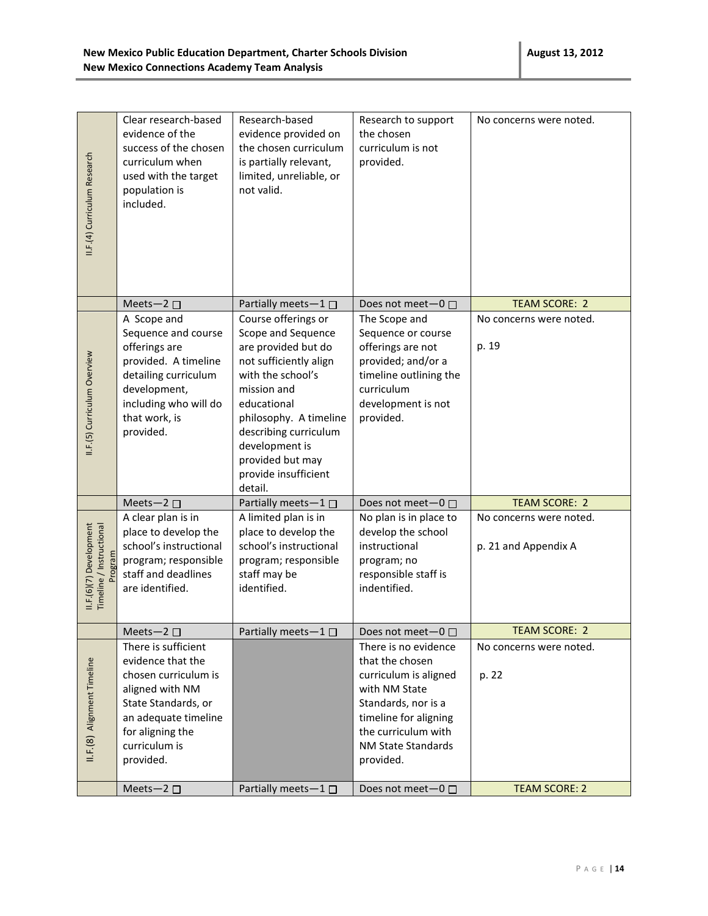| II.F.(4) Curriculum Research                        | Clear research-based<br>evidence of the<br>success of the chosen<br>curriculum when<br>used with the target<br>population is<br>included.                                            | Research-based<br>evidence provided on<br>the chosen curriculum<br>is partially relevant,<br>limited, unreliable, or<br>not valid.                                                                                                                                        | Research to support<br>the chosen<br>curriculum is not<br>provided.                                                                                                                         | No concerns were noted.                         |
|-----------------------------------------------------|--------------------------------------------------------------------------------------------------------------------------------------------------------------------------------------|---------------------------------------------------------------------------------------------------------------------------------------------------------------------------------------------------------------------------------------------------------------------------|---------------------------------------------------------------------------------------------------------------------------------------------------------------------------------------------|-------------------------------------------------|
|                                                     | Meets-2 $\square$                                                                                                                                                                    | Partially meets-1                                                                                                                                                                                                                                                         | Does not meet $-0$ $\Box$                                                                                                                                                                   | <b>TEAM SCORE: 2</b>                            |
| II.F.(5) Curriculum Overview                        | A Scope and<br>Sequence and course<br>offerings are<br>provided. A timeline<br>detailing curriculum<br>development,<br>including who will do<br>that work, is<br>provided.           | Course offerings or<br>Scope and Sequence<br>are provided but do<br>not sufficiently align<br>with the school's<br>mission and<br>educational<br>philosophy. A timeline<br>describing curriculum<br>development is<br>provided but may<br>provide insufficient<br>detail. | The Scope and<br>Sequence or course<br>offerings are not<br>provided; and/or a<br>timeline outlining the<br>curriculum<br>development is not<br>provided.                                   | No concerns were noted.<br>p. 19                |
|                                                     | Meets-2 $\square$                                                                                                                                                                    | Partially meets-1□                                                                                                                                                                                                                                                        | Does not meet $-0$ $\Box$                                                                                                                                                                   | <b>TEAM SCORE: 2</b>                            |
| II.F.(6)(7) Development<br>Timeline / Instructional | A clear plan is in<br>place to develop the<br>school's instructional<br>program; responsible<br>staff and deadlines<br>are identified.                                               | A limited plan is in<br>place to develop the<br>school's instructional<br>program; responsible<br>staff may be<br>identified.                                                                                                                                             | No plan is in place to<br>develop the school<br>instructional<br>program; no<br>responsible staff is<br>indentified.                                                                        | No concerns were noted.<br>p. 21 and Appendix A |
|                                                     | Meets-2 $\square$                                                                                                                                                                    | Partially meets $-1$ $\Box$                                                                                                                                                                                                                                               | Does not meet $-0$ $\Box$                                                                                                                                                                   | TEAM SCORE: 2                                   |
| II.F.(8) Alignment Timeline                         | There is sufficient<br>evidence that the<br>chosen curriculum is<br>aligned with NM<br>State Standards, or<br>an adequate timeline<br>for aligning the<br>curriculum is<br>provided. |                                                                                                                                                                                                                                                                           | There is no evidence<br>that the chosen<br>curriculum is aligned<br>with NM State<br>Standards, nor is a<br>timeline for aligning<br>the curriculum with<br>NM State Standards<br>provided. | No concerns were noted.<br>p. 22                |
|                                                     | Meets-2 $\square$                                                                                                                                                                    | Partially meets-1 □                                                                                                                                                                                                                                                       | Does not meet-0 □                                                                                                                                                                           | <b>TEAM SCORE: 2</b>                            |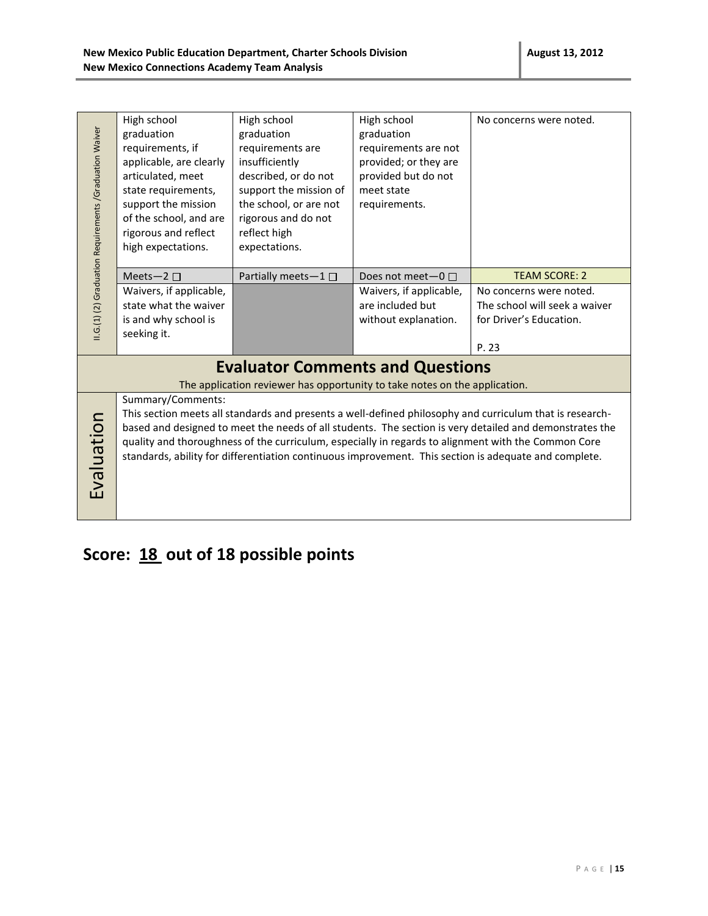| High school<br>High school<br>High school<br>No concerns were noted.<br>II.G.(1) (2) Graduation Requirements /Graduation Waiver<br>graduation<br>graduation<br>graduation<br>requirements, if<br>requirements are<br>requirements are not<br>applicable, are clearly<br>insufficiently<br>provided; or they are<br>articulated, meet<br>described, or do not<br>provided but do not<br>support the mission of<br>state requirements,<br>meet state<br>support the mission<br>the school, or are not<br>requirements.<br>of the school, and are<br>rigorous and do not<br>rigorous and reflect<br>reflect high<br>high expectations.<br>expectations.<br><b>TEAM SCORE: 2</b><br>Partially meets-1 $\square$<br>Meets-2 $\square$<br>Does not meet $-0$ $\Box$<br>Waivers, if applicable,<br>Waivers, if applicable,<br>No concerns were noted.<br>state what the waiver<br>are included but<br>The school will seek a waiver<br>without explanation.<br>for Driver's Education.<br>is and why school is |  |  |  |  |  |
|---------------------------------------------------------------------------------------------------------------------------------------------------------------------------------------------------------------------------------------------------------------------------------------------------------------------------------------------------------------------------------------------------------------------------------------------------------------------------------------------------------------------------------------------------------------------------------------------------------------------------------------------------------------------------------------------------------------------------------------------------------------------------------------------------------------------------------------------------------------------------------------------------------------------------------------------------------------------------------------------------------|--|--|--|--|--|
|                                                                                                                                                                                                                                                                                                                                                                                                                                                                                                                                                                                                                                                                                                                                                                                                                                                                                                                                                                                                         |  |  |  |  |  |
|                                                                                                                                                                                                                                                                                                                                                                                                                                                                                                                                                                                                                                                                                                                                                                                                                                                                                                                                                                                                         |  |  |  |  |  |
|                                                                                                                                                                                                                                                                                                                                                                                                                                                                                                                                                                                                                                                                                                                                                                                                                                                                                                                                                                                                         |  |  |  |  |  |
|                                                                                                                                                                                                                                                                                                                                                                                                                                                                                                                                                                                                                                                                                                                                                                                                                                                                                                                                                                                                         |  |  |  |  |  |
|                                                                                                                                                                                                                                                                                                                                                                                                                                                                                                                                                                                                                                                                                                                                                                                                                                                                                                                                                                                                         |  |  |  |  |  |
|                                                                                                                                                                                                                                                                                                                                                                                                                                                                                                                                                                                                                                                                                                                                                                                                                                                                                                                                                                                                         |  |  |  |  |  |
|                                                                                                                                                                                                                                                                                                                                                                                                                                                                                                                                                                                                                                                                                                                                                                                                                                                                                                                                                                                                         |  |  |  |  |  |
|                                                                                                                                                                                                                                                                                                                                                                                                                                                                                                                                                                                                                                                                                                                                                                                                                                                                                                                                                                                                         |  |  |  |  |  |
|                                                                                                                                                                                                                                                                                                                                                                                                                                                                                                                                                                                                                                                                                                                                                                                                                                                                                                                                                                                                         |  |  |  |  |  |
|                                                                                                                                                                                                                                                                                                                                                                                                                                                                                                                                                                                                                                                                                                                                                                                                                                                                                                                                                                                                         |  |  |  |  |  |
|                                                                                                                                                                                                                                                                                                                                                                                                                                                                                                                                                                                                                                                                                                                                                                                                                                                                                                                                                                                                         |  |  |  |  |  |
|                                                                                                                                                                                                                                                                                                                                                                                                                                                                                                                                                                                                                                                                                                                                                                                                                                                                                                                                                                                                         |  |  |  |  |  |
|                                                                                                                                                                                                                                                                                                                                                                                                                                                                                                                                                                                                                                                                                                                                                                                                                                                                                                                                                                                                         |  |  |  |  |  |
|                                                                                                                                                                                                                                                                                                                                                                                                                                                                                                                                                                                                                                                                                                                                                                                                                                                                                                                                                                                                         |  |  |  |  |  |
|                                                                                                                                                                                                                                                                                                                                                                                                                                                                                                                                                                                                                                                                                                                                                                                                                                                                                                                                                                                                         |  |  |  |  |  |
| seeking it.                                                                                                                                                                                                                                                                                                                                                                                                                                                                                                                                                                                                                                                                                                                                                                                                                                                                                                                                                                                             |  |  |  |  |  |
| P. 23                                                                                                                                                                                                                                                                                                                                                                                                                                                                                                                                                                                                                                                                                                                                                                                                                                                                                                                                                                                                   |  |  |  |  |  |
| <b>Evaluator Comments and Questions</b>                                                                                                                                                                                                                                                                                                                                                                                                                                                                                                                                                                                                                                                                                                                                                                                                                                                                                                                                                                 |  |  |  |  |  |
| The application reviewer has opportunity to take notes on the application.                                                                                                                                                                                                                                                                                                                                                                                                                                                                                                                                                                                                                                                                                                                                                                                                                                                                                                                              |  |  |  |  |  |
| Summary/Comments:                                                                                                                                                                                                                                                                                                                                                                                                                                                                                                                                                                                                                                                                                                                                                                                                                                                                                                                                                                                       |  |  |  |  |  |
| This section meets all standards and presents a well-defined philosophy and curriculum that is research-                                                                                                                                                                                                                                                                                                                                                                                                                                                                                                                                                                                                                                                                                                                                                                                                                                                                                                |  |  |  |  |  |
| based and designed to meet the needs of all students. The section is very detailed and demonstrates the                                                                                                                                                                                                                                                                                                                                                                                                                                                                                                                                                                                                                                                                                                                                                                                                                                                                                                 |  |  |  |  |  |
| quality and thoroughness of the curriculum, especially in regards to alignment with the Common Core                                                                                                                                                                                                                                                                                                                                                                                                                                                                                                                                                                                                                                                                                                                                                                                                                                                                                                     |  |  |  |  |  |
| Evaluation<br>standards, ability for differentiation continuous improvement. This section is adequate and complete.                                                                                                                                                                                                                                                                                                                                                                                                                                                                                                                                                                                                                                                                                                                                                                                                                                                                                     |  |  |  |  |  |
|                                                                                                                                                                                                                                                                                                                                                                                                                                                                                                                                                                                                                                                                                                                                                                                                                                                                                                                                                                                                         |  |  |  |  |  |
|                                                                                                                                                                                                                                                                                                                                                                                                                                                                                                                                                                                                                                                                                                                                                                                                                                                                                                                                                                                                         |  |  |  |  |  |
|                                                                                                                                                                                                                                                                                                                                                                                                                                                                                                                                                                                                                                                                                                                                                                                                                                                                                                                                                                                                         |  |  |  |  |  |
|                                                                                                                                                                                                                                                                                                                                                                                                                                                                                                                                                                                                                                                                                                                                                                                                                                                                                                                                                                                                         |  |  |  |  |  |
|                                                                                                                                                                                                                                                                                                                                                                                                                                                                                                                                                                                                                                                                                                                                                                                                                                                                                                                                                                                                         |  |  |  |  |  |

# **Score: 18 out of 18 possible points**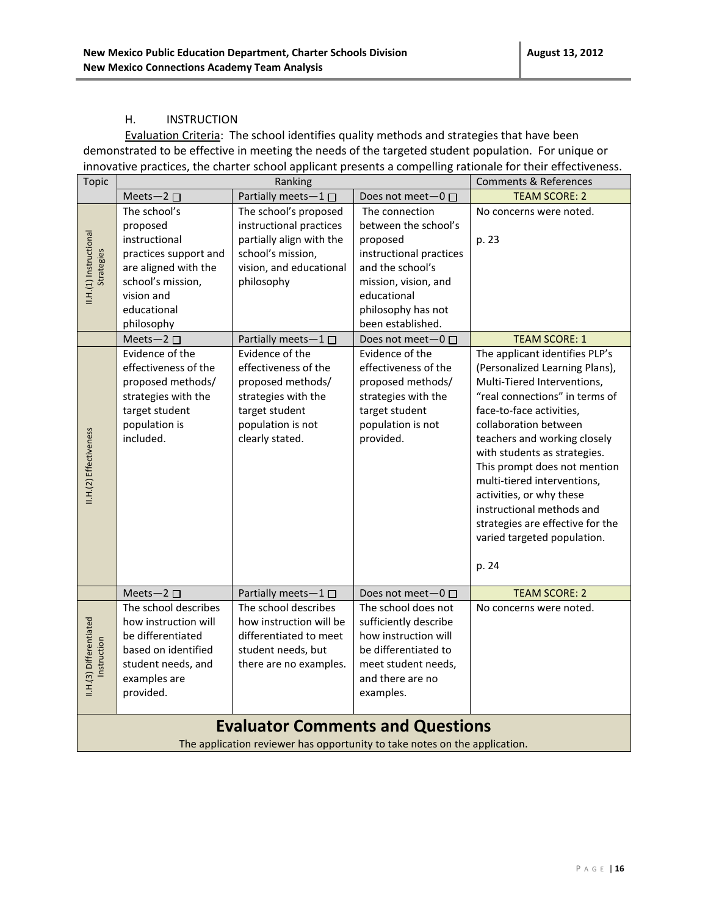#### H. INSTRUCTION

Evaluation Criteria: The school identifies quality methods and strategies that have been demonstrated to be effective in meeting the needs of the targeted student population. For unique or innovative practices, the charter school applicant presents a compelling rationale for their effectiveness.

| <b>Topic</b>                                                                                                                                                                                                                                                                                                                                                                                                                                                                                          | <b>Comments &amp; References</b><br>Ranking                                                                                                                                                                                                                                                                            |                                                                                                                                                                                                                                                                                                                  |                                                                                                                                                                                                                                                                                                                                                             |                                                                                                                                                                                                                                                                                                                                                                                                                                                                                                                        |  |  |
|-------------------------------------------------------------------------------------------------------------------------------------------------------------------------------------------------------------------------------------------------------------------------------------------------------------------------------------------------------------------------------------------------------------------------------------------------------------------------------------------------------|------------------------------------------------------------------------------------------------------------------------------------------------------------------------------------------------------------------------------------------------------------------------------------------------------------------------|------------------------------------------------------------------------------------------------------------------------------------------------------------------------------------------------------------------------------------------------------------------------------------------------------------------|-------------------------------------------------------------------------------------------------------------------------------------------------------------------------------------------------------------------------------------------------------------------------------------------------------------------------------------------------------------|------------------------------------------------------------------------------------------------------------------------------------------------------------------------------------------------------------------------------------------------------------------------------------------------------------------------------------------------------------------------------------------------------------------------------------------------------------------------------------------------------------------------|--|--|
|                                                                                                                                                                                                                                                                                                                                                                                                                                                                                                       | Meets-2 $\square$                                                                                                                                                                                                                                                                                                      | Partially meets-1                                                                                                                                                                                                                                                                                                | Does not meet-0 □                                                                                                                                                                                                                                                                                                                                           | <b>TEAM SCORE: 2</b>                                                                                                                                                                                                                                                                                                                                                                                                                                                                                                   |  |  |
| II.H.(1) Instructional<br>Strategies<br>II.H.(2) Effectiveness                                                                                                                                                                                                                                                                                                                                                                                                                                        | The school's<br>proposed<br>instructional<br>practices support and<br>are aligned with the<br>school's mission,<br>vision and<br>educational<br>philosophy<br>Meets-2 $\square$<br>Evidence of the<br>effectiveness of the<br>proposed methods/<br>strategies with the<br>target student<br>population is<br>included. | The school's proposed<br>instructional practices<br>partially align with the<br>school's mission,<br>vision, and educational<br>philosophy<br>Partially meets-1<br>Evidence of the<br>effectiveness of the<br>proposed methods/<br>strategies with the<br>target student<br>population is not<br>clearly stated. | The connection<br>between the school's<br>proposed<br>instructional practices<br>and the school's<br>mission, vision, and<br>educational<br>philosophy has not<br>been established.<br>Does not meet $-0$ $\Box$<br>Evidence of the<br>effectiveness of the<br>proposed methods/<br>strategies with the<br>target student<br>population is not<br>provided. | No concerns were noted.<br>p. 23<br><b>TEAM SCORE: 1</b><br>The applicant identifies PLP's<br>(Personalized Learning Plans),<br>Multi-Tiered Interventions,<br>"real connections" in terms of<br>face-to-face activities,<br>collaboration between<br>teachers and working closely<br>with students as strategies.<br>This prompt does not mention<br>multi-tiered interventions,<br>activities, or why these<br>instructional methods and<br>strategies are effective for the<br>varied targeted population.<br>p. 24 |  |  |
|                                                                                                                                                                                                                                                                                                                                                                                                                                                                                                       | Meets-2 □                                                                                                                                                                                                                                                                                                              | Partially meets-1□                                                                                                                                                                                                                                                                                               | Does not meet-0 □                                                                                                                                                                                                                                                                                                                                           | <b>TEAM SCORE: 2</b>                                                                                                                                                                                                                                                                                                                                                                                                                                                                                                   |  |  |
| The school describes<br>The school describes<br>The school does not<br>No concerns were noted.<br>II.H.(3) Differentiated<br>how instruction will<br>how instruction will be<br>sufficiently describe<br>be differentiated<br>how instruction will<br>differentiated to meet<br>Instruction<br>based on identified<br>student needs, but<br>be differentiated to<br>student needs, and<br>there are no examples.<br>meet student needs,<br>examples are<br>and there are no<br>provided.<br>examples. |                                                                                                                                                                                                                                                                                                                        |                                                                                                                                                                                                                                                                                                                  |                                                                                                                                                                                                                                                                                                                                                             |                                                                                                                                                                                                                                                                                                                                                                                                                                                                                                                        |  |  |
|                                                                                                                                                                                                                                                                                                                                                                                                                                                                                                       |                                                                                                                                                                                                                                                                                                                        | <b>Evaluator Comments and Questions</b><br>The application reviewer has opportunity to take notes on the application.                                                                                                                                                                                            |                                                                                                                                                                                                                                                                                                                                                             |                                                                                                                                                                                                                                                                                                                                                                                                                                                                                                                        |  |  |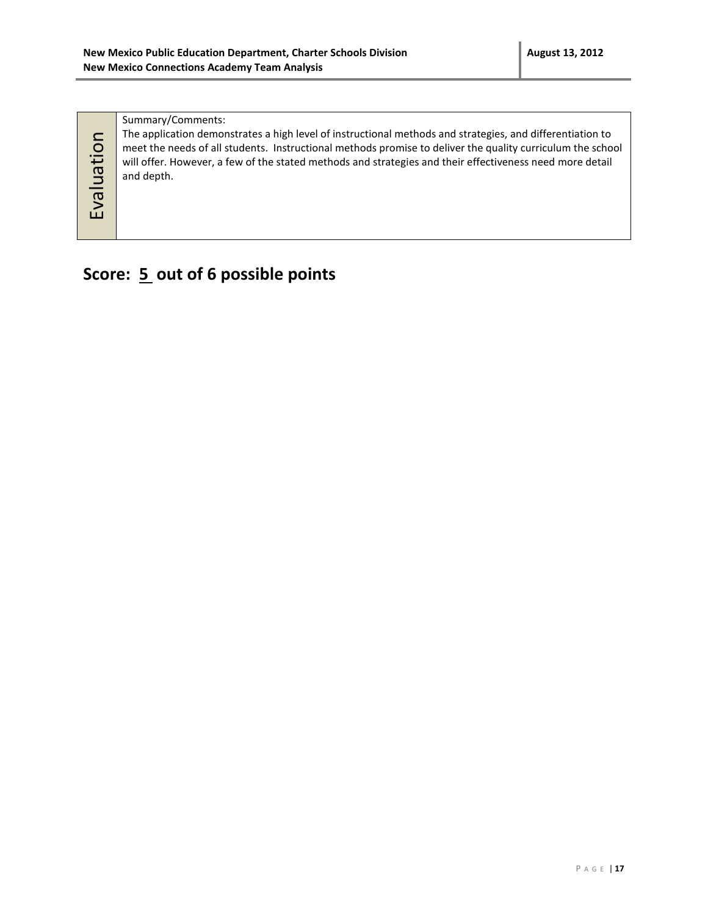Summary/Comments:

| The application demonstrates a high level of instructional methods and strategies, and differentiation to  |
|------------------------------------------------------------------------------------------------------------|
| meet the needs of all students. Instructional methods promise to deliver the quality curriculum the school |
| will offer. However, a few of the stated methods and strategies and their effectiveness need more detail   |
| and depth.                                                                                                 |
|                                                                                                            |

Evaluation

# **Score: 5 out of 6 possible points**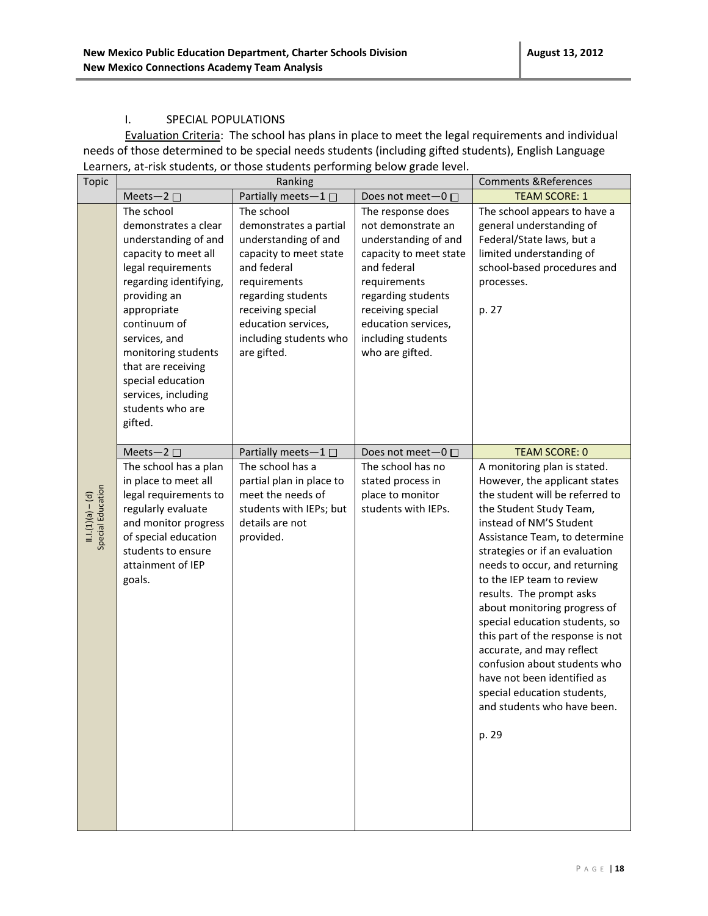#### I. SPECIAL POPULATIONS

Evaluation Criteria: The school has plans in place to meet the legal requirements and individual needs of those determined to be special needs students (including gifted students), English Language Learners, at-risk students, or those students performing below grade level.

| <b>Topic</b>                            |                                                                                                                                                                                                                                                                                                                            | Ranking                                                                                                                                                                                                                          |                                                                                                                                                                                                                                     | <b>Comments &amp; References</b>                                                                                                                                                                                                                                                                                                                                                                                                                                                                                                                                                             |
|-----------------------------------------|----------------------------------------------------------------------------------------------------------------------------------------------------------------------------------------------------------------------------------------------------------------------------------------------------------------------------|----------------------------------------------------------------------------------------------------------------------------------------------------------------------------------------------------------------------------------|-------------------------------------------------------------------------------------------------------------------------------------------------------------------------------------------------------------------------------------|----------------------------------------------------------------------------------------------------------------------------------------------------------------------------------------------------------------------------------------------------------------------------------------------------------------------------------------------------------------------------------------------------------------------------------------------------------------------------------------------------------------------------------------------------------------------------------------------|
|                                         | Meets-2 $\square$                                                                                                                                                                                                                                                                                                          | Partially meets-1 $\square$                                                                                                                                                                                                      | Does not meet-0 □                                                                                                                                                                                                                   | <b>TEAM SCORE: 1</b>                                                                                                                                                                                                                                                                                                                                                                                                                                                                                                                                                                         |
|                                         | The school<br>demonstrates a clear<br>understanding of and<br>capacity to meet all<br>legal requirements<br>regarding identifying,<br>providing an<br>appropriate<br>continuum of<br>services, and<br>monitoring students<br>that are receiving<br>special education<br>services, including<br>students who are<br>gifted. | The school<br>demonstrates a partial<br>understanding of and<br>capacity to meet state<br>and federal<br>requirements<br>regarding students<br>receiving special<br>education services,<br>including students who<br>are gifted. | The response does<br>not demonstrate an<br>understanding of and<br>capacity to meet state<br>and federal<br>requirements<br>regarding students<br>receiving special<br>education services,<br>including students<br>who are gifted. | The school appears to have a<br>general understanding of<br>Federal/State laws, but a<br>limited understanding of<br>school-based procedures and<br>processes.<br>p. 27                                                                                                                                                                                                                                                                                                                                                                                                                      |
|                                         | Meets-2 $\square$                                                                                                                                                                                                                                                                                                          | Partially meets-1 $\square$                                                                                                                                                                                                      | Does not meet-0 □                                                                                                                                                                                                                   | <b>TEAM SCORE: 0</b>                                                                                                                                                                                                                                                                                                                                                                                                                                                                                                                                                                         |
| Special Education<br>$11.1(1)(a) - (d)$ | The school has a plan<br>in place to meet all<br>legal requirements to<br>regularly evaluate<br>and monitor progress<br>of special education<br>students to ensure<br>attainment of IEP<br>goals.                                                                                                                          | The school has a<br>partial plan in place to<br>meet the needs of<br>students with IEPs; but<br>details are not<br>provided.                                                                                                     | The school has no<br>stated process in<br>place to monitor<br>students with IEPs.                                                                                                                                                   | A monitoring plan is stated.<br>However, the applicant states<br>the student will be referred to<br>the Student Study Team,<br>instead of NM'S Student<br>Assistance Team, to determine<br>strategies or if an evaluation<br>needs to occur, and returning<br>to the IEP team to review<br>results. The prompt asks<br>about monitoring progress of<br>special education students, so<br>this part of the response is not<br>accurate, and may reflect<br>confusion about students who<br>have not been identified as<br>special education students.<br>and students who have been.<br>p. 29 |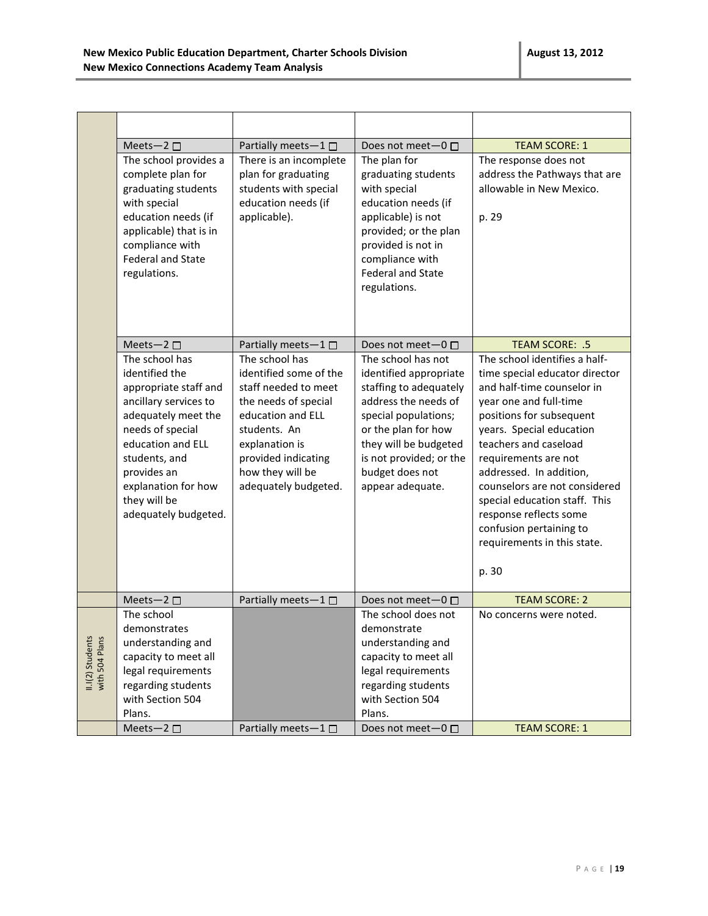|                                    | Meets-2 $\square$                              | Partially meets-1 □                       | Does not meet $-0$ $\Box$                      | <b>TEAM SCORE: 1</b>                               |
|------------------------------------|------------------------------------------------|-------------------------------------------|------------------------------------------------|----------------------------------------------------|
|                                    | The school provides a                          | There is an incomplete                    | The plan for                                   | The response does not                              |
|                                    | complete plan for                              | plan for graduating                       | graduating students                            | address the Pathways that are                      |
|                                    | graduating students                            | students with special                     | with special                                   | allowable in New Mexico.                           |
|                                    | with special                                   | education needs (if                       | education needs (if                            |                                                    |
|                                    | education needs (if                            | applicable).                              | applicable) is not                             | p. 29                                              |
|                                    | applicable) that is in                         |                                           | provided; or the plan                          |                                                    |
|                                    | compliance with                                |                                           | provided is not in                             |                                                    |
|                                    | <b>Federal and State</b>                       |                                           | compliance with                                |                                                    |
|                                    | regulations.                                   |                                           | <b>Federal and State</b>                       |                                                    |
|                                    |                                                |                                           | regulations.                                   |                                                    |
|                                    |                                                |                                           |                                                |                                                    |
|                                    |                                                |                                           |                                                |                                                    |
|                                    |                                                |                                           |                                                |                                                    |
|                                    | Meets-2 $\square$                              | Partially meets-1                         | Does not meet-0 □                              | TEAM SCORE: .5                                     |
|                                    | The school has                                 | The school has                            | The school has not                             | The school identifies a half-                      |
|                                    | identified the                                 | identified some of the                    | identified appropriate                         | time special educator director                     |
|                                    | appropriate staff and<br>ancillary services to | staff needed to meet                      | staffing to adequately<br>address the needs of | and half-time counselor in                         |
|                                    | adequately meet the                            | the needs of special<br>education and ELL | special populations;                           | year one and full-time<br>positions for subsequent |
|                                    | needs of special                               | students. An                              | or the plan for how                            | years. Special education                           |
|                                    | education and ELL                              | explanation is                            | they will be budgeted                          | teachers and caseload                              |
|                                    | students, and                                  | provided indicating                       | is not provided; or the                        | requirements are not                               |
|                                    | provides an                                    | how they will be                          | budget does not                                | addressed. In addition,                            |
|                                    | explanation for how                            | adequately budgeted.                      | appear adequate.                               | counselors are not considered                      |
|                                    | they will be                                   |                                           |                                                | special education staff. This                      |
|                                    | adequately budgeted.                           |                                           |                                                | response reflects some                             |
|                                    |                                                |                                           |                                                | confusion pertaining to                            |
|                                    |                                                |                                           |                                                | requirements in this state.                        |
|                                    |                                                |                                           |                                                |                                                    |
|                                    |                                                |                                           |                                                | p. 30                                              |
|                                    |                                                |                                           |                                                |                                                    |
|                                    | Meets-2 $\square$                              | Partially meets-1                         | Does not meet-0 □                              | <b>TEAM SCORE: 2</b>                               |
|                                    | The school                                     |                                           | The school does not                            | No concerns were noted.                            |
|                                    | demonstrates                                   |                                           | demonstrate                                    |                                                    |
| II.I(2) Students<br>with 504 Plans | understanding and                              |                                           | understanding and                              |                                                    |
|                                    | capacity to meet all                           |                                           | capacity to meet all                           |                                                    |
|                                    | legal requirements                             |                                           | legal requirements                             |                                                    |
|                                    | regarding students                             |                                           | regarding students<br>with Section 504         |                                                    |
|                                    | with Section 504<br>Plans.                     |                                           | Plans.                                         |                                                    |
|                                    | Meets-2 □                                      | Partially meets-1 □                       | Does not meet-0 □                              | <b>TEAM SCORE: 1</b>                               |
|                                    |                                                |                                           |                                                |                                                    |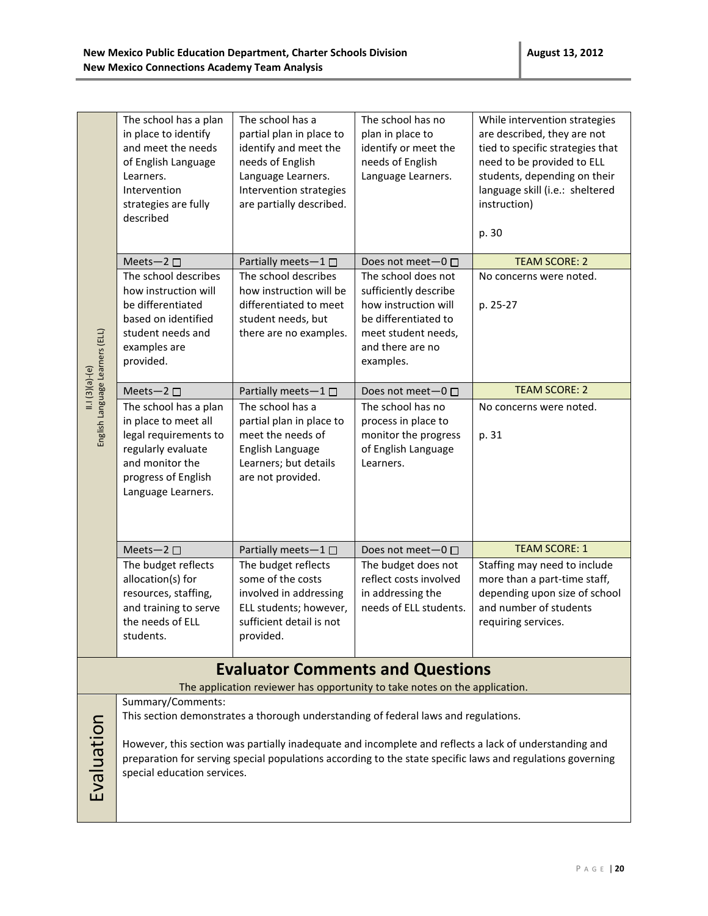|                                         | The school has a plan<br>in place to identify<br>and meet the needs<br>of English Language<br>Learners.<br>Intervention<br>strategies are fully<br>described | The school has a<br>partial plan in place to<br>identify and meet the<br>needs of English<br>Language Learners.<br>Intervention strategies<br>are partially described. | The school has no<br>plan in place to<br>identify or meet the<br>needs of English<br>Language Learners.                                              | While intervention strategies<br>are described, they are not<br>tied to specific strategies that<br>need to be provided to ELL<br>students, depending on their<br>language skill (i.e.: sheltered<br>instruction)<br>p. 30 |  |  |  |
|-----------------------------------------|--------------------------------------------------------------------------------------------------------------------------------------------------------------|------------------------------------------------------------------------------------------------------------------------------------------------------------------------|------------------------------------------------------------------------------------------------------------------------------------------------------|----------------------------------------------------------------------------------------------------------------------------------------------------------------------------------------------------------------------------|--|--|--|
|                                         | Meets-2 □                                                                                                                                                    | Partially meets-1□                                                                                                                                                     | Does not meet-0 □                                                                                                                                    | <b>TEAM SCORE: 2</b>                                                                                                                                                                                                       |  |  |  |
| English Language Learners (ELL)         | The school describes<br>how instruction will<br>be differentiated<br>based on identified<br>student needs and<br>examples are<br>provided.                   | The school describes<br>how instruction will be<br>differentiated to meet<br>student needs, but<br>there are no examples.                                              | The school does not<br>sufficiently describe<br>how instruction will<br>be differentiated to<br>meet student needs,<br>and there are no<br>examples. | No concerns were noted.<br>p. 25-27                                                                                                                                                                                        |  |  |  |
| $11.1(3)(a)-(e)$                        | Meets-2 □                                                                                                                                                    | Partially meets-1□                                                                                                                                                     | Does not meet- $0 \Box$                                                                                                                              | <b>TEAM SCORE: 2</b>                                                                                                                                                                                                       |  |  |  |
|                                         | The school has a plan<br>in place to meet all<br>legal requirements to<br>regularly evaluate<br>and monitor the<br>progress of English<br>Language Learners. | The school has a<br>partial plan in place to<br>meet the needs of<br>English Language<br>Learners; but details<br>are not provided.                                    | The school has no<br>process in place to<br>monitor the progress<br>of English Language<br>Learners.                                                 | No concerns were noted.<br>p. 31                                                                                                                                                                                           |  |  |  |
|                                         | Meets-2 $\square$                                                                                                                                            | Partially meets-1 $\square$                                                                                                                                            | Does not meet-0 □                                                                                                                                    | <b>TEAM SCORE: 1</b>                                                                                                                                                                                                       |  |  |  |
|                                         | The budget reflects<br>allocation(s) for<br>resources, staffing,<br>and training to serve<br>the needs of ELL<br>students.                                   | The budget reflects<br>some of the costs<br>involved in addressing<br>ELL students; however,<br>sufficient detail is not<br>provided.                                  | The budget does not<br>reflect costs involved<br>in addressing the<br>needs of ELL students.                                                         | Staffing may need to include<br>more than a part-time staff,<br>depending upon size of school<br>and number of students<br>requiring services.                                                                             |  |  |  |
| <b>Evaluator Comments and Questions</b> |                                                                                                                                                              |                                                                                                                                                                        |                                                                                                                                                      |                                                                                                                                                                                                                            |  |  |  |

The application reviewer has opportunity to take notes on the application.

Summary/Comments:

Evaluation

This section demonstrates a thorough understanding of federal laws and regulations.

However, this section was partially inadequate and incomplete and reflects a lack of understanding and preparation for serving special populations according to the state specific laws and regulations governing special education services.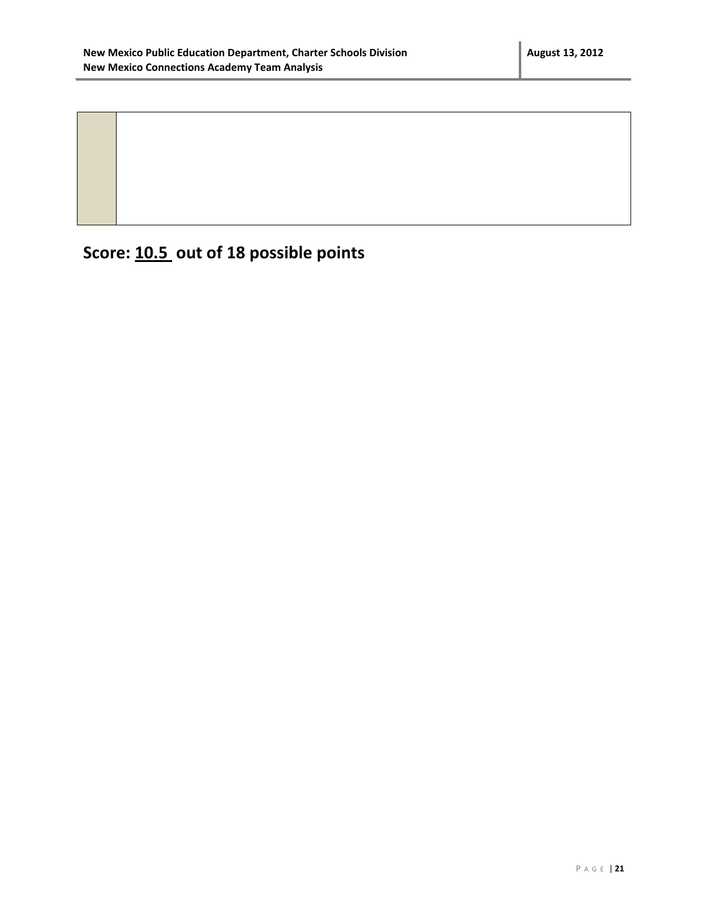**Score: 10.5 out of 18 possible points**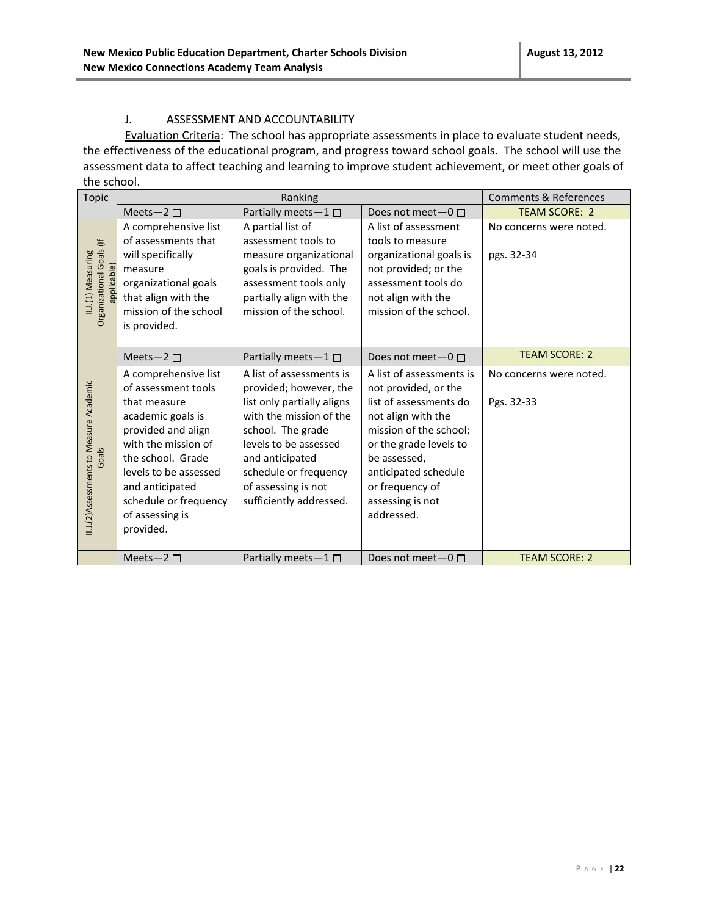#### J. ASSESSMENT AND ACCOUNTABILITY

Evaluation Criteria: The school has appropriate assessments in place to evaluate student needs, the effectiveness of the educational program, and progress toward school goals. The school will use the assessment data to affect teaching and learning to improve student achievement, or meet other goals of the school.

| Topic                                                         | Ranking                                                                                                                                                                                                                                                 |                                                                                                                                                                                                                                                         | <b>Comments &amp; References</b>                                                                                                                                                                                                                  |                                       |
|---------------------------------------------------------------|---------------------------------------------------------------------------------------------------------------------------------------------------------------------------------------------------------------------------------------------------------|---------------------------------------------------------------------------------------------------------------------------------------------------------------------------------------------------------------------------------------------------------|---------------------------------------------------------------------------------------------------------------------------------------------------------------------------------------------------------------------------------------------------|---------------------------------------|
|                                                               | Meets-2 $\square$                                                                                                                                                                                                                                       | Partially meets-1 □                                                                                                                                                                                                                                     | Does not meet- $0 \Box$                                                                                                                                                                                                                           | <b>TEAM SCORE: 2</b>                  |
| Organizational Goals (If<br>II.J.(1) Measuring<br>applicable) | A comprehensive list<br>of assessments that<br>will specifically<br>measure<br>organizational goals<br>that align with the<br>mission of the school<br>is provided.                                                                                     | A partial list of<br>assessment tools to<br>measure organizational<br>goals is provided. The<br>assessment tools only<br>partially align with the<br>mission of the school.                                                                             | A list of assessment<br>tools to measure<br>organizational goals is<br>not provided; or the<br>assessment tools do<br>not align with the<br>mission of the school.                                                                                | No concerns were noted.<br>pgs. 32-34 |
|                                                               | Meets-2 $\Box$                                                                                                                                                                                                                                          | Partially meets- $1 \Box$                                                                                                                                                                                                                               | Does not meet-0 □                                                                                                                                                                                                                                 | <b>TEAM SCORE: 2</b>                  |
| II.J.(2)Assessments to Measure Academic<br>Goals              | A comprehensive list<br>of assessment tools<br>that measure<br>academic goals is<br>provided and align<br>with the mission of<br>the school. Grade<br>levels to be assessed<br>and anticipated<br>schedule or frequency<br>of assessing is<br>provided. | A list of assessments is<br>provided; however, the<br>list only partially aligns<br>with the mission of the<br>school. The grade<br>levels to be assessed<br>and anticipated<br>schedule or frequency<br>of assessing is not<br>sufficiently addressed. | A list of assessments is<br>not provided, or the<br>list of assessments do<br>not align with the<br>mission of the school;<br>or the grade levels to<br>be assessed,<br>anticipated schedule<br>or frequency of<br>assessing is not<br>addressed. | No concerns were noted.<br>Pgs. 32-33 |
|                                                               | Meets-2 $\square$                                                                                                                                                                                                                                       | Partially meets-1 $\square$                                                                                                                                                                                                                             | Does not meet- $0 \Box$                                                                                                                                                                                                                           | <b>TEAM SCORE: 2</b>                  |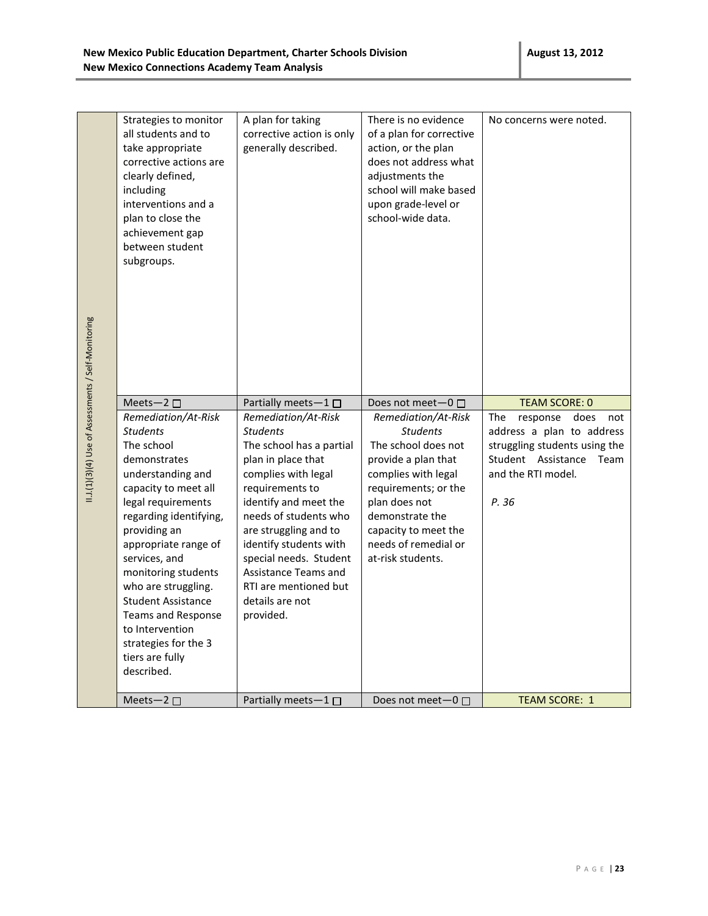**New Mexico Connections Academy Team Analysis**

| II.J.(1)(3)(4) Use of Assessments / Self-Monitoring<br><b>TEAM SCORE: 0</b><br>Meets-2 $\square$<br>Partially meets-1 $\square$<br>Does not meet $-0$ $\Box$<br>Remediation/At-Risk<br>Remediation/At-Risk<br>Remediation/At-Risk<br>The<br>response<br><b>Students</b><br><b>Students</b><br><b>Students</b><br>The school<br>The school has a partial<br>The school does not<br>Student Assistance<br>plan in place that<br>provide a plan that<br>demonstrates<br>and the RTI model.<br>complies with legal<br>understanding and<br>complies with legal<br>capacity to meet all<br>requirements to<br>requirements; or the<br>P. 36<br>legal requirements<br>identify and meet the<br>plan does not<br>needs of students who<br>demonstrate the<br>regarding identifying,<br>providing an<br>are struggling and to<br>capacity to meet the<br>needs of remedial or<br>appropriate range of<br>identify students with<br>services, and<br>special needs. Student<br>at-risk students.<br>monitoring students<br>Assistance Teams and<br>RTI are mentioned but<br>who are struggling.<br>details are not<br><b>Student Assistance</b><br><b>Teams and Response</b><br>provided.<br>to Intervention<br>strategies for the 3<br>tiers are fully<br>described. | Strategies to monitor<br>all students and to<br>take appropriate<br>corrective actions are<br>clearly defined,<br>including<br>interventions and a<br>plan to close the<br>achievement gap<br>between student<br>subgroups. | A plan for taking<br>corrective action is only<br>generally described. | There is no evidence<br>of a plan for corrective<br>action, or the plan<br>does not address what<br>adjustments the<br>school will make based<br>upon grade-level or<br>school-wide data. | No concerns were noted.                                                           |
|--------------------------------------------------------------------------------------------------------------------------------------------------------------------------------------------------------------------------------------------------------------------------------------------------------------------------------------------------------------------------------------------------------------------------------------------------------------------------------------------------------------------------------------------------------------------------------------------------------------------------------------------------------------------------------------------------------------------------------------------------------------------------------------------------------------------------------------------------------------------------------------------------------------------------------------------------------------------------------------------------------------------------------------------------------------------------------------------------------------------------------------------------------------------------------------------------------------------------------------------------------------|-----------------------------------------------------------------------------------------------------------------------------------------------------------------------------------------------------------------------------|------------------------------------------------------------------------|-------------------------------------------------------------------------------------------------------------------------------------------------------------------------------------------|-----------------------------------------------------------------------------------|
|                                                                                                                                                                                                                                                                                                                                                                                                                                                                                                                                                                                                                                                                                                                                                                                                                                                                                                                                                                                                                                                                                                                                                                                                                                                              |                                                                                                                                                                                                                             |                                                                        |                                                                                                                                                                                           |                                                                                   |
| <b>TEAM SCORE: 1</b><br>Meets-2 $\square$<br>Partially meets-1<br>Does not meet $-0$ $\square$                                                                                                                                                                                                                                                                                                                                                                                                                                                                                                                                                                                                                                                                                                                                                                                                                                                                                                                                                                                                                                                                                                                                                               |                                                                                                                                                                                                                             |                                                                        |                                                                                                                                                                                           | does<br>not<br>address a plan to address<br>struggling students using the<br>Team |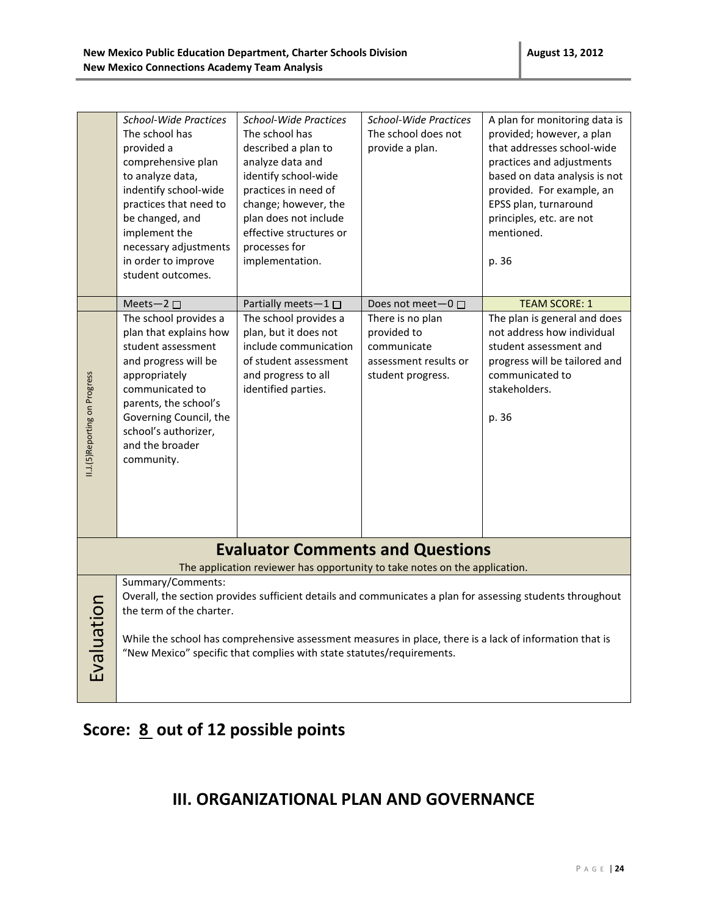|                                         | <b>School-Wide Practices</b><br>The school has<br>provided a<br>comprehensive plan<br>to analyze data,<br>indentify school-wide<br>practices that need to<br>be changed, and<br>implement the<br>necessary adjustments                                                                                                                                                                                                        | <b>School-Wide Practices</b><br>The school has<br>described a plan to<br>analyze data and<br>identify school-wide<br>practices in need of<br>change; however, the<br>plan does not include<br>effective structures or<br>processes for | <b>School-Wide Practices</b><br>The school does not<br>provide a plan.                       | A plan for monitoring data is<br>provided; however, a plan<br>that addresses school-wide<br>practices and adjustments<br>based on data analysis is not<br>provided. For example, an<br>EPSS plan, turnaround<br>principles, etc. are not<br>mentioned. |
|-----------------------------------------|-------------------------------------------------------------------------------------------------------------------------------------------------------------------------------------------------------------------------------------------------------------------------------------------------------------------------------------------------------------------------------------------------------------------------------|----------------------------------------------------------------------------------------------------------------------------------------------------------------------------------------------------------------------------------------|----------------------------------------------------------------------------------------------|--------------------------------------------------------------------------------------------------------------------------------------------------------------------------------------------------------------------------------------------------------|
|                                         | in order to improve<br>student outcomes.                                                                                                                                                                                                                                                                                                                                                                                      | implementation.                                                                                                                                                                                                                        |                                                                                              | p. 36                                                                                                                                                                                                                                                  |
|                                         | Meets-2 □                                                                                                                                                                                                                                                                                                                                                                                                                     | Partially meets-1□                                                                                                                                                                                                                     | Does not meet-0 □                                                                            | <b>TEAM SCORE: 1</b>                                                                                                                                                                                                                                   |
| II.J.(5) Reporting on Progress          | The school provides a<br>plan that explains how<br>student assessment<br>and progress will be<br>appropriately<br>communicated to<br>parents, the school's<br>Governing Council, the<br>school's authorizer,<br>and the broader<br>community.                                                                                                                                                                                 | The school provides a<br>plan, but it does not<br>include communication<br>of student assessment<br>and progress to all<br>identified parties.                                                                                         | There is no plan<br>provided to<br>communicate<br>assessment results or<br>student progress. | The plan is general and does<br>not address how individual<br>student assessment and<br>progress will be tailored and<br>communicated to<br>stakeholders.<br>p. 36                                                                                     |
| <b>Evaluator Comments and Questions</b> |                                                                                                                                                                                                                                                                                                                                                                                                                               |                                                                                                                                                                                                                                        |                                                                                              |                                                                                                                                                                                                                                                        |
|                                         |                                                                                                                                                                                                                                                                                                                                                                                                                               |                                                                                                                                                                                                                                        |                                                                                              |                                                                                                                                                                                                                                                        |
| Evaluation                              | The application reviewer has opportunity to take notes on the application.<br>Summary/Comments:<br>Overall, the section provides sufficient details and communicates a plan for assessing students throughout<br>the term of the charter.<br>While the school has comprehensive assessment measures in place, there is a lack of information that is<br>"New Mexico" specific that complies with state statutes/requirements. |                                                                                                                                                                                                                                        |                                                                                              |                                                                                                                                                                                                                                                        |

# **Score: 8 out of 12 possible points**

### **III. ORGANIZATIONAL PLAN AND GOVERNANCE**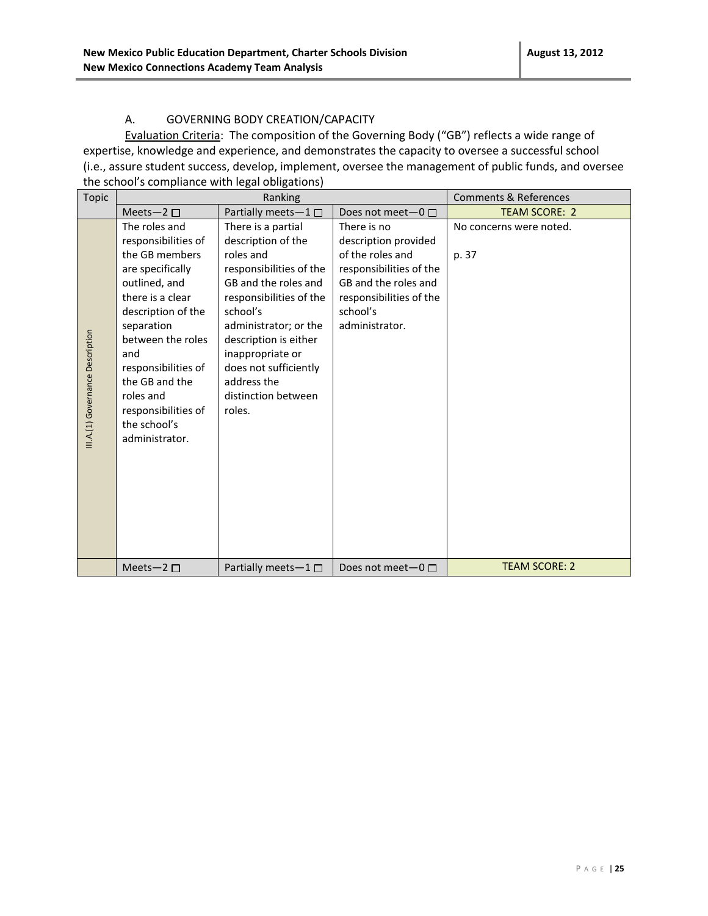#### A. GOVERNING BODY CREATION/CAPACITY

Evaluation Criteria: The composition of the Governing Body ("GB") reflects a wide range of expertise, knowledge and experience, and demonstrates the capacity to oversee a successful school (i.e., assure student success, develop, implement, oversee the management of public funds, and oversee the school's compliance with legal obligations)

| <b>Topic</b>                     |                                                                                                                                                                                                                                                                                                | Ranking                                                                                                                                                                                                                                                                                        |                                                                                                                                                                     | <b>Comments &amp; References</b> |
|----------------------------------|------------------------------------------------------------------------------------------------------------------------------------------------------------------------------------------------------------------------------------------------------------------------------------------------|------------------------------------------------------------------------------------------------------------------------------------------------------------------------------------------------------------------------------------------------------------------------------------------------|---------------------------------------------------------------------------------------------------------------------------------------------------------------------|----------------------------------|
|                                  | Meets-2 $\square$                                                                                                                                                                                                                                                                              | Partially meets-1□                                                                                                                                                                                                                                                                             | Does not meet $-0$ $\Box$                                                                                                                                           | <b>TEAM SCORE: 2</b>             |
| III.A.(1) Governance Description | The roles and<br>responsibilities of<br>the GB members<br>are specifically<br>outlined, and<br>there is a clear<br>description of the<br>separation<br>between the roles<br>and<br>responsibilities of<br>the GB and the<br>roles and<br>responsibilities of<br>the school's<br>administrator. | There is a partial<br>description of the<br>roles and<br>responsibilities of the<br>GB and the roles and<br>responsibilities of the<br>school's<br>administrator; or the<br>description is either<br>inappropriate or<br>does not sufficiently<br>address the<br>distinction between<br>roles. | There is no<br>description provided<br>of the roles and<br>responsibilities of the<br>GB and the roles and<br>responsibilities of the<br>school's<br>administrator. | No concerns were noted.<br>p. 37 |
|                                  | Meets-2 $\Box$                                                                                                                                                                                                                                                                                 | Partially meets- $1 \Box$                                                                                                                                                                                                                                                                      | Does not meet $-0$ $\Box$                                                                                                                                           | <b>TEAM SCORE: 2</b>             |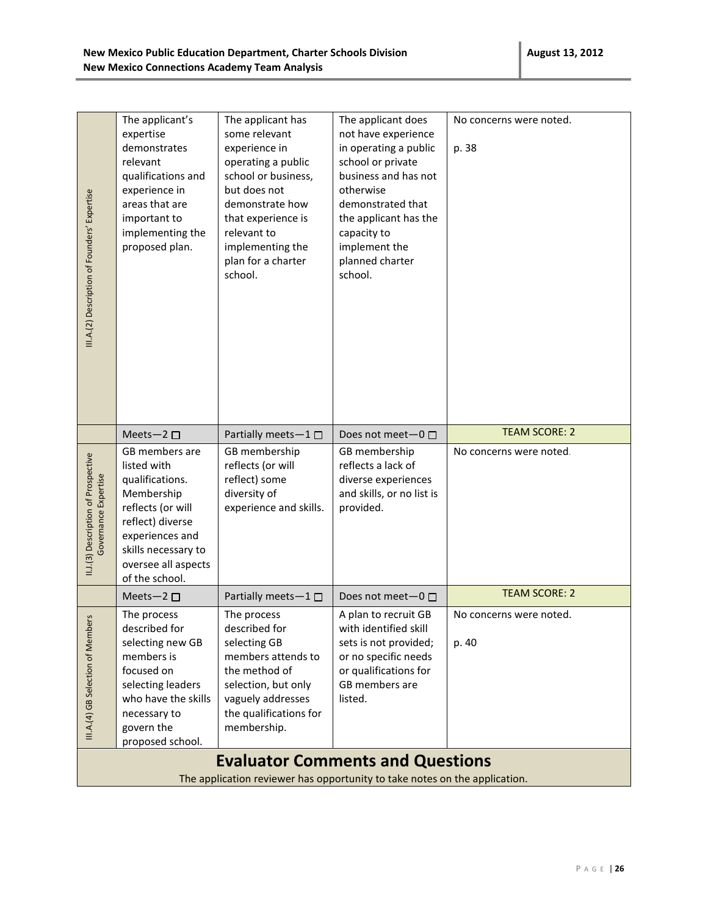| III.A.(2) Description of Founders' Expertise                | The applicant's<br>expertise<br>demonstrates<br>relevant<br>qualifications and<br>experience in<br>areas that are<br>important to<br>implementing the<br>proposed plan.                    | The applicant has<br>some relevant<br>experience in<br>operating a public<br>school or business,<br>but does not<br>demonstrate how<br>that experience is<br>relevant to<br>implementing the<br>plan for a charter<br>school. | The applicant does<br>not have experience<br>in operating a public<br>school or private<br>business and has not<br>otherwise<br>demonstrated that<br>the applicant has the<br>capacity to<br>implement the<br>planned charter<br>school. | No concerns were noted.<br>p. 38 |  |  |
|-------------------------------------------------------------|--------------------------------------------------------------------------------------------------------------------------------------------------------------------------------------------|-------------------------------------------------------------------------------------------------------------------------------------------------------------------------------------------------------------------------------|------------------------------------------------------------------------------------------------------------------------------------------------------------------------------------------------------------------------------------------|----------------------------------|--|--|
|                                                             | Meets-2 $\square$                                                                                                                                                                          | Partially meets-1 □                                                                                                                                                                                                           | Does not meet-0 □                                                                                                                                                                                                                        | <b>TEAM SCORE: 2</b>             |  |  |
| II.J.(3) Description of Prospective<br>Governance Expertise | GB members are<br>listed with<br>qualifications.<br>Membership<br>reflects (or will<br>reflect) diverse<br>experiences and<br>skills necessary to<br>oversee all aspects<br>of the school. | GB membership<br>reflects (or will<br>reflect) some<br>diversity of<br>experience and skills.                                                                                                                                 | GB membership<br>reflects a lack of<br>diverse experiences<br>and skills, or no list is<br>provided.                                                                                                                                     | No concerns were noted.          |  |  |
|                                                             | Meets-2 $\square$                                                                                                                                                                          | Partially meets-1□                                                                                                                                                                                                            | Does not meet- $0 \Box$                                                                                                                                                                                                                  | <b>TEAM SCORE: 2</b>             |  |  |
| ers<br>III.A.(4) GB Selection of Memb                       | The process<br>described for<br>selecting new GB<br>members is<br>focused on<br>selecting leaders<br>who have the skills<br>necessary to<br>govern the<br>proposed school.                 | The process<br>described for<br>selecting GB<br>members attends to<br>the method of<br>selection, but only<br>vaguely addresses<br>the qualifications for<br>membership.                                                      | A plan to recruit GB<br>with identified skill<br>sets is not provided;<br>or no specific needs<br>or qualifications for<br>GB members are<br>listed.                                                                                     | No concerns were noted.<br>p. 40 |  |  |
|                                                             | <b>Evaluator Comments and Questions</b>                                                                                                                                                    |                                                                                                                                                                                                                               |                                                                                                                                                                                                                                          |                                  |  |  |
|                                                             | The application reviewer has opportunity to take notes on the application.                                                                                                                 |                                                                                                                                                                                                                               |                                                                                                                                                                                                                                          |                                  |  |  |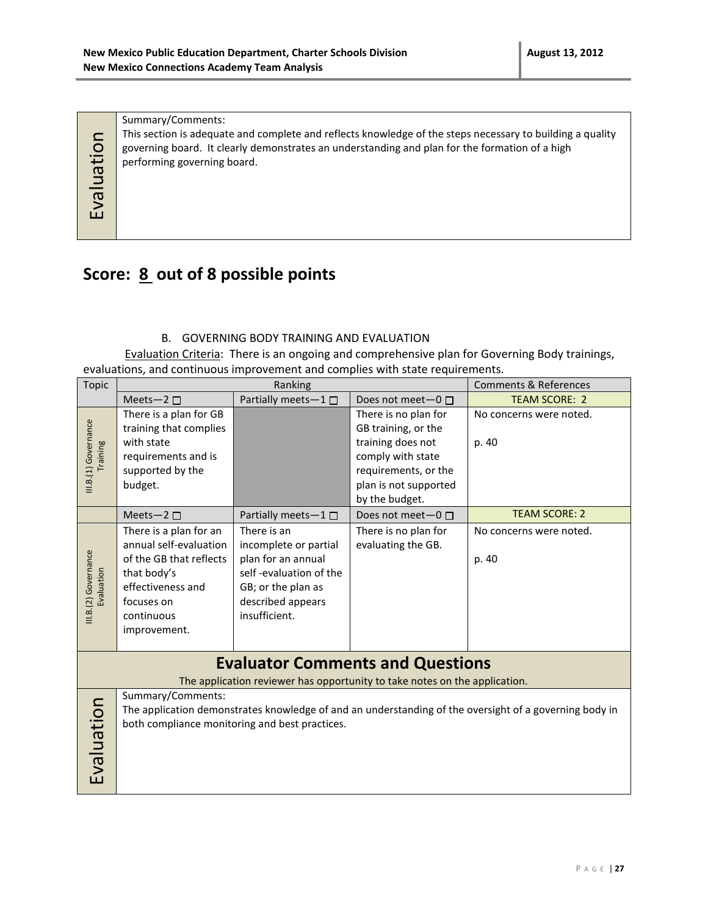Summary/Comments:

This section is adequate and complete and reflects knowledge of the steps necessary to building a quality governing board. It clearly demonstrates an understanding and plan for the formation of a high performing governing board.

Evaluation

### **Score: 8 out of 8 possible points**

#### B. GOVERNING BODY TRAINING AND EVALUATION

Evaluation Criteria: There is an ongoing and comprehensive plan for Governing Body trainings, evaluations, and continuous improvement and complies with state requirements.

| <b>Topic</b>                       | Ranking                                                                                                                                                                       |                                                                                                                                                  | <b>Comments &amp; References</b>                                                                                                                         |                                  |
|------------------------------------|-------------------------------------------------------------------------------------------------------------------------------------------------------------------------------|--------------------------------------------------------------------------------------------------------------------------------------------------|----------------------------------------------------------------------------------------------------------------------------------------------------------|----------------------------------|
|                                    | Meets-2 $\square$                                                                                                                                                             | Partially meets-1 $\Box$                                                                                                                         | Does not meet $-0$ $\Box$                                                                                                                                | <b>TEAM SCORE: 2</b>             |
| III.B.(1) Governance<br>Training   | There is a plan for GB<br>training that complies<br>with state<br>requirements and is<br>supported by the<br>budget.                                                          |                                                                                                                                                  | There is no plan for<br>GB training, or the<br>training does not<br>comply with state<br>requirements, or the<br>plan is not supported<br>by the budget. | No concerns were noted.<br>p. 40 |
|                                    | Meets-2 $\square$                                                                                                                                                             | Partially meets $-1 \Box$                                                                                                                        | Does not meet-0 □                                                                                                                                        | <b>TEAM SCORE: 2</b>             |
| III.B.(2) Governance<br>Evaluation | There is a plan for an<br>annual self-evaluation<br>of the GB that reflects<br>that body's<br>effectiveness and<br>focuses on<br>continuous<br>improvement.                   | There is an<br>incomplete or partial<br>plan for an annual<br>self-evaluation of the<br>GB; or the plan as<br>described appears<br>insufficient. | There is no plan for<br>evaluating the GB.                                                                                                               | No concerns were noted.<br>p. 40 |
|                                    |                                                                                                                                                                               |                                                                                                                                                  | <b>Evaluator Comments and Questions</b>                                                                                                                  |                                  |
|                                    |                                                                                                                                                                               |                                                                                                                                                  | The application reviewer has opportunity to take notes on the application.                                                                               |                                  |
| Evaluation                         | Summary/Comments:<br>The application demonstrates knowledge of and an understanding of the oversight of a governing body in<br>both compliance monitoring and best practices. |                                                                                                                                                  |                                                                                                                                                          |                                  |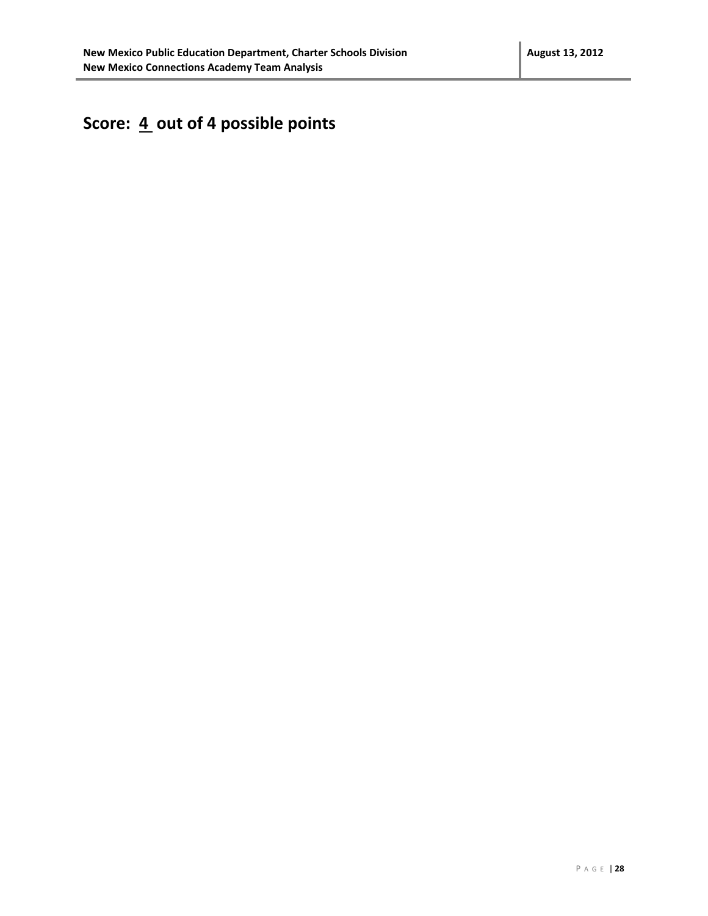# Score:  $\underline{4}$  out of 4 possible points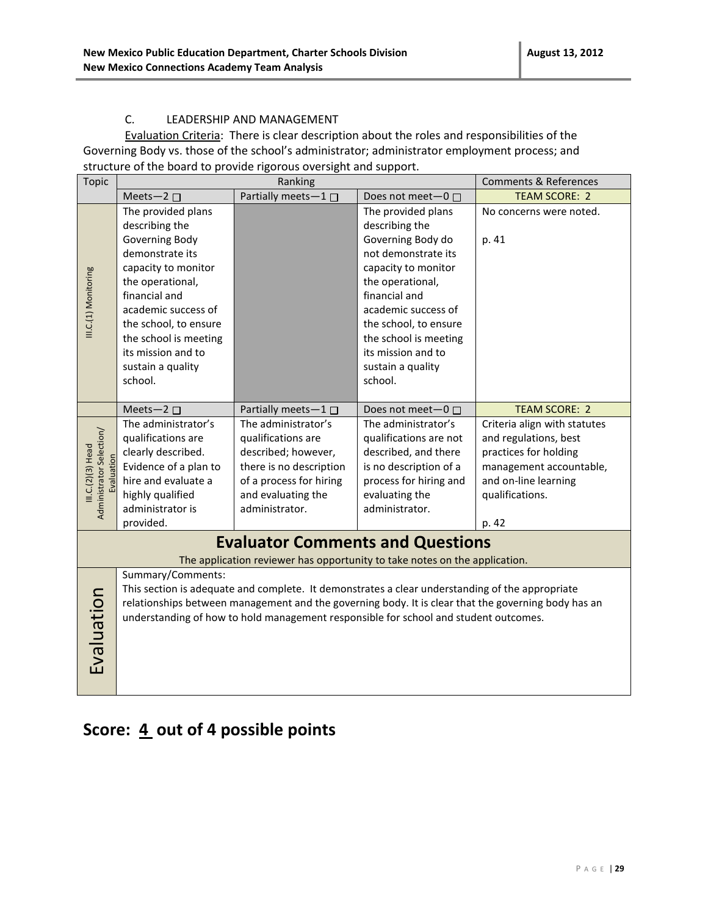#### C. LEADERSHIP AND MANAGEMENT

Evaluation Criteria: There is clear description about the roles and responsibilities of the Governing Body vs. those of the school's administrator; administrator employment process; and structure of the board to provide rigorous oversight and support.

| <b>Topic</b>                                                                                       | Ranking                                                                                             |                                                                                                 |                         | <b>Comments &amp; References</b> |
|----------------------------------------------------------------------------------------------------|-----------------------------------------------------------------------------------------------------|-------------------------------------------------------------------------------------------------|-------------------------|----------------------------------|
|                                                                                                    | Meets-2 $\square$                                                                                   | Partially meets-1□                                                                              | Does not meet-0 □       | <b>TEAM SCORE: 2</b>             |
|                                                                                                    | The provided plans                                                                                  |                                                                                                 | The provided plans      | No concerns were noted.          |
|                                                                                                    | describing the                                                                                      |                                                                                                 | describing the          |                                  |
|                                                                                                    | Governing Body                                                                                      |                                                                                                 | Governing Body do       | p. 41                            |
|                                                                                                    | demonstrate its                                                                                     |                                                                                                 | not demonstrate its     |                                  |
|                                                                                                    | capacity to monitor                                                                                 |                                                                                                 | capacity to monitor     |                                  |
|                                                                                                    | the operational,                                                                                    |                                                                                                 | the operational,        |                                  |
| III.C.(1) Monitoring                                                                               | financial and                                                                                       |                                                                                                 | financial and           |                                  |
|                                                                                                    | academic success of                                                                                 |                                                                                                 | academic success of     |                                  |
|                                                                                                    | the school, to ensure                                                                               |                                                                                                 | the school, to ensure   |                                  |
|                                                                                                    | the school is meeting                                                                               |                                                                                                 | the school is meeting   |                                  |
|                                                                                                    | its mission and to                                                                                  |                                                                                                 | its mission and to      |                                  |
|                                                                                                    | sustain a quality                                                                                   |                                                                                                 | sustain a quality       |                                  |
|                                                                                                    | school.                                                                                             |                                                                                                 | school.                 |                                  |
|                                                                                                    |                                                                                                     |                                                                                                 |                         |                                  |
|                                                                                                    | Meets-2 $\square$                                                                                   | Partially meets-1 $\square$                                                                     | Does not meet- $0 \Box$ | <b>TEAM SCORE: 2</b>             |
|                                                                                                    | The administrator's                                                                                 | The administrator's                                                                             | The administrator's     | Criteria align with statutes     |
|                                                                                                    | qualifications are                                                                                  | qualifications are                                                                              | qualifications are not  | and regulations, best            |
|                                                                                                    | clearly described.                                                                                  | described; however,                                                                             | described, and there    | practices for holding            |
| III.C.(2)(3) Head<br>aluation                                                                      | Evidence of a plan to                                                                               | there is no description                                                                         | is no description of a  | management accountable,          |
|                                                                                                    | hire and evaluate a                                                                                 | of a process for hiring                                                                         | process for hiring and  | and on-line learning             |
|                                                                                                    | highly qualified                                                                                    | and evaluating the                                                                              | evaluating the          | qualifications.                  |
| Administrator Selection/                                                                           | administrator is                                                                                    | administrator.                                                                                  | administrator.          |                                  |
|                                                                                                    | provided.                                                                                           |                                                                                                 |                         | p. 42                            |
|                                                                                                    |                                                                                                     | <b>Evaluator Comments and Questions</b>                                                         |                         |                                  |
|                                                                                                    |                                                                                                     | The application reviewer has opportunity to take notes on the application.                      |                         |                                  |
|                                                                                                    | Summary/Comments:                                                                                   |                                                                                                 |                         |                                  |
|                                                                                                    |                                                                                                     | This section is adequate and complete. It demonstrates a clear understanding of the appropriate |                         |                                  |
|                                                                                                    | relationships between management and the governing body. It is clear that the governing body has an |                                                                                                 |                         |                                  |
| Evaluation<br>understanding of how to hold management responsible for school and student outcomes. |                                                                                                     |                                                                                                 |                         |                                  |
|                                                                                                    |                                                                                                     |                                                                                                 |                         |                                  |
|                                                                                                    |                                                                                                     |                                                                                                 |                         |                                  |
|                                                                                                    |                                                                                                     |                                                                                                 |                         |                                  |
|                                                                                                    |                                                                                                     |                                                                                                 |                         |                                  |
|                                                                                                    |                                                                                                     |                                                                                                 |                         |                                  |

### Score:  $\underline{4}$  out of 4 possible points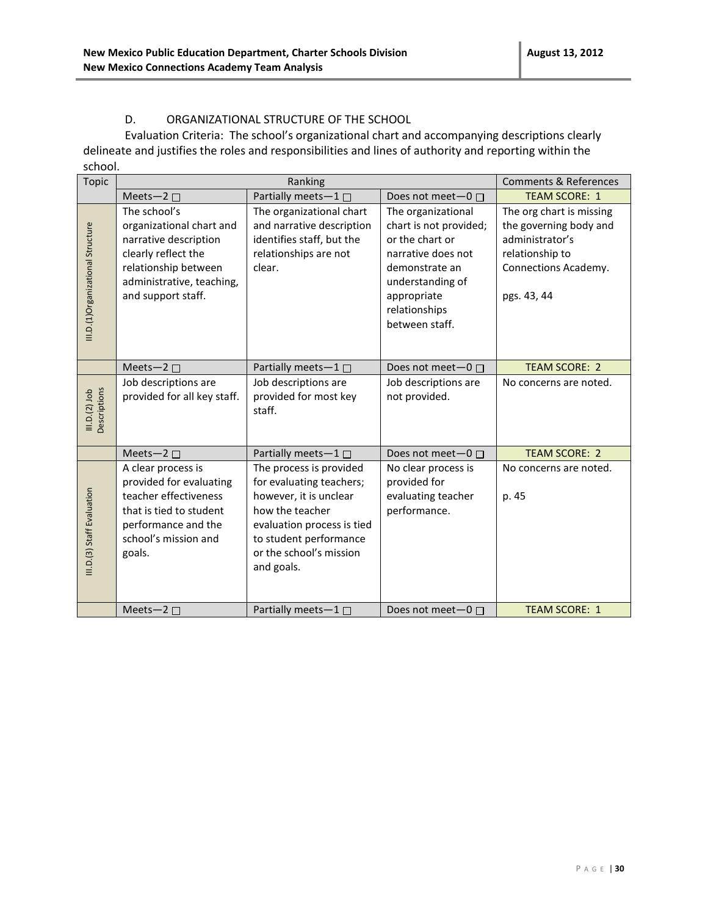#### D. ORGANIZATIONAL STRUCTURE OF THE SCHOOL

Evaluation Criteria: The school's organizational chart and accompanying descriptions clearly delineate and justifies the roles and responsibilities and lines of authority and reporting within the school.

| Topic                             |                                                                                                                                                                     | Ranking                                                                                                                                                                                           |                                                                                                                                                                               | <b>Comments &amp; References</b>                                                                                                |
|-----------------------------------|---------------------------------------------------------------------------------------------------------------------------------------------------------------------|---------------------------------------------------------------------------------------------------------------------------------------------------------------------------------------------------|-------------------------------------------------------------------------------------------------------------------------------------------------------------------------------|---------------------------------------------------------------------------------------------------------------------------------|
|                                   | Meets-2 $\square$                                                                                                                                                   | Partially meets-1□                                                                                                                                                                                | Does not meet-0 □                                                                                                                                                             | <b>TEAM SCORE: 1</b>                                                                                                            |
| III.D.(1)Organizational Structure | The school's<br>organizational chart and<br>narrative description<br>clearly reflect the<br>relationship between<br>administrative, teaching,<br>and support staff. | The organizational chart<br>and narrative description<br>identifies staff, but the<br>relationships are not<br>clear.                                                                             | The organizational<br>chart is not provided;<br>or the chart or<br>narrative does not<br>demonstrate an<br>understanding of<br>appropriate<br>relationships<br>between staff. | The org chart is missing<br>the governing body and<br>administrator's<br>relationship to<br>Connections Academy.<br>pgs. 43, 44 |
|                                   | Meets-2 $\square$                                                                                                                                                   | Partially meets-1 $\square$                                                                                                                                                                       | Does not meet $-0$ $\Box$                                                                                                                                                     | <b>TEAM SCORE: 2</b>                                                                                                            |
| III.D.(2) Job<br>Descriptions     | Job descriptions are<br>provided for all key staff.                                                                                                                 | Job descriptions are<br>provided for most key<br>staff.                                                                                                                                           | Job descriptions are<br>not provided.                                                                                                                                         | No concerns are noted.                                                                                                          |
|                                   | Meets-2 $\square$                                                                                                                                                   | Partially meets-1 $\square$                                                                                                                                                                       | Does not meet $-0$ $\Box$                                                                                                                                                     | <b>TEAM SCORE: 2</b>                                                                                                            |
| III.D.(3) Staff Evaluation        | A clear process is<br>provided for evaluating<br>teacher effectiveness<br>that is tied to student<br>performance and the<br>school's mission and<br>goals.          | The process is provided<br>for evaluating teachers;<br>however, it is unclear<br>how the teacher<br>evaluation process is tied<br>to student performance<br>or the school's mission<br>and goals. | No clear process is<br>provided for<br>evaluating teacher<br>performance.                                                                                                     | No concerns are noted.<br>p. 45                                                                                                 |
|                                   | Meets-2 $\square$                                                                                                                                                   | Partially meets-1 □                                                                                                                                                                               | Does not meet $-0$ $\Box$                                                                                                                                                     | <b>TEAM SCORE: 1</b>                                                                                                            |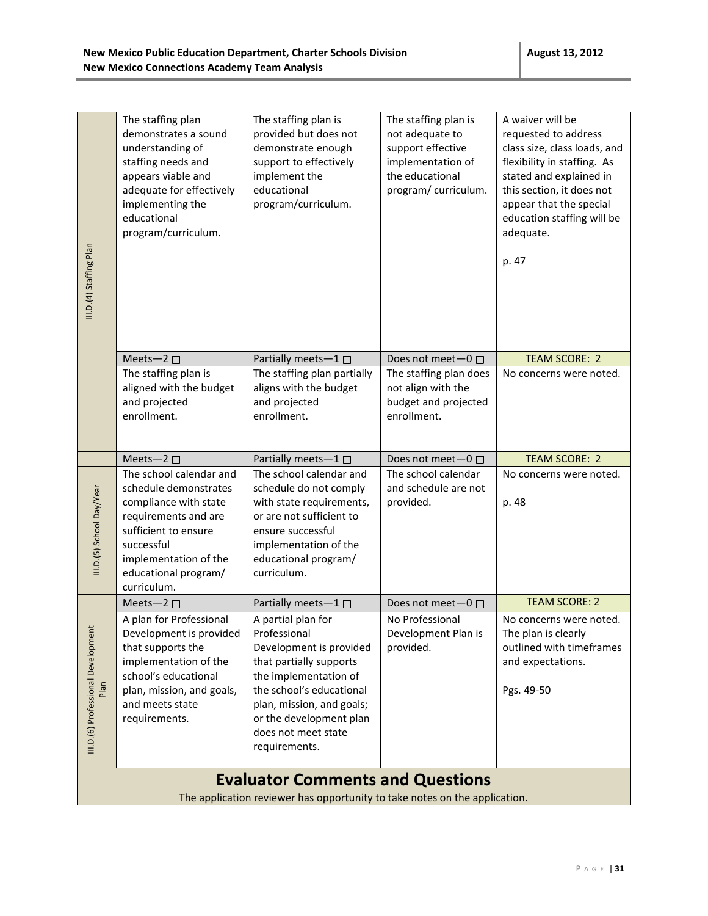| III.D.(4) Staffing Plan                                                    | The staffing plan<br>demonstrates a sound<br>understanding of<br>staffing needs and<br>appears viable and<br>adequate for effectively<br>implementing the<br>educational<br>program/curriculum.         | The staffing plan is<br>provided but does not<br>demonstrate enough<br>support to effectively<br>implement the<br>educational<br>program/curriculum.                                                                                          | The staffing plan is<br>not adequate to<br>support effective<br>implementation of<br>the educational<br>program/ curriculum. | A waiver will be<br>requested to address<br>class size, class loads, and<br>flexibility in staffing. As<br>stated and explained in<br>this section, it does not<br>appear that the special<br>education staffing will be<br>adequate.<br>p. 47 |  |
|----------------------------------------------------------------------------|---------------------------------------------------------------------------------------------------------------------------------------------------------------------------------------------------------|-----------------------------------------------------------------------------------------------------------------------------------------------------------------------------------------------------------------------------------------------|------------------------------------------------------------------------------------------------------------------------------|------------------------------------------------------------------------------------------------------------------------------------------------------------------------------------------------------------------------------------------------|--|
|                                                                            | Meets-2 $\square$                                                                                                                                                                                       | Partially meets-1                                                                                                                                                                                                                             | Does not meet $-0$ $\Box$                                                                                                    | <b>TEAM SCORE: 2</b>                                                                                                                                                                                                                           |  |
|                                                                            | The staffing plan is<br>aligned with the budget<br>and projected<br>enrollment.                                                                                                                         | The staffing plan partially<br>aligns with the budget<br>and projected<br>enrollment.                                                                                                                                                         | The staffing plan does<br>not align with the<br>budget and projected<br>enrollment.                                          | No concerns were noted.                                                                                                                                                                                                                        |  |
|                                                                            | Meets-2 $\square$                                                                                                                                                                                       | Partially meets-1 $\square$                                                                                                                                                                                                                   | Does not meet-0 □                                                                                                            | <b>TEAM SCORE: 2</b>                                                                                                                                                                                                                           |  |
| III.D.(5) School Day/Year                                                  | The school calendar and<br>schedule demonstrates<br>compliance with state<br>requirements and are<br>sufficient to ensure<br>successful<br>implementation of the<br>educational program/<br>curriculum. | The school calendar and<br>schedule do not comply<br>with state requirements,<br>or are not sufficient to<br>ensure successful<br>implementation of the<br>educational program/<br>curriculum.                                                | The school calendar<br>and schedule are not<br>provided.                                                                     | No concerns were noted.<br>p. 48                                                                                                                                                                                                               |  |
|                                                                            | Meets-2 $\square$                                                                                                                                                                                       | Partially meets-1                                                                                                                                                                                                                             | Does not meet $-0$ $\Box$                                                                                                    | <b>TEAM SCORE: 2</b>                                                                                                                                                                                                                           |  |
| III.D.(6) Professional Development                                         | A plan for Professional<br>Development is provided<br>that supports the<br>implementation of the<br>school's educational<br>plan, mission, and goals,<br>and meets state<br>requirements.               | A partial plan for<br>Professional<br>Development is provided<br>that partially supports<br>the implementation of<br>the school's educational<br>plan, mission, and goals;<br>or the development plan<br>does not meet state<br>requirements. | No Professional<br>Development Plan is<br>provided.                                                                          | No concerns were noted.<br>The plan is clearly<br>outlined with timeframes<br>and expectations.<br>Pgs. 49-50                                                                                                                                  |  |
|                                                                            |                                                                                                                                                                                                         | <b>Evaluator Comments and Questions</b>                                                                                                                                                                                                       |                                                                                                                              |                                                                                                                                                                                                                                                |  |
| The application reviewer has opportunity to take notes on the application. |                                                                                                                                                                                                         |                                                                                                                                                                                                                                               |                                                                                                                              |                                                                                                                                                                                                                                                |  |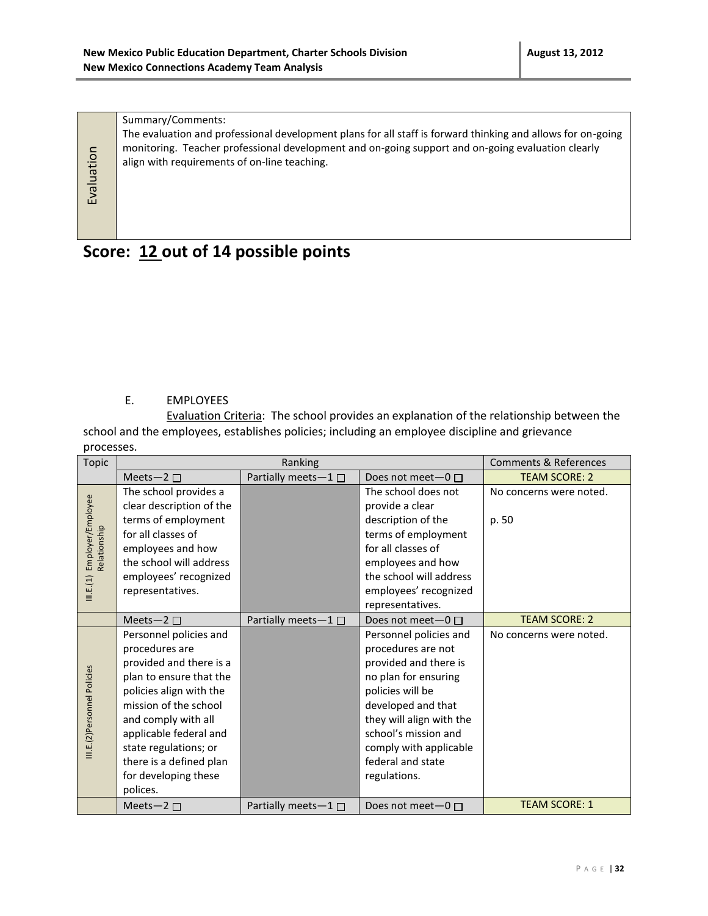Summary/Comments:

Evaluation

The evaluation and professional development plans for all staff is forward thinking and allows for on-going monitoring. Teacher professional development and on-going support and on-going evaluation clearly align with requirements of on-line teaching.

# **Score: 12 out of 14 possible points**

#### E. EMPLOYEES

Evaluation Criteria: The school provides an explanation of the relationship between the school and the employees, establishes policies; including an employee discipline and grievance processes.

| Topic                             | Ranking                  |                           |                           | Comments & References   |
|-----------------------------------|--------------------------|---------------------------|---------------------------|-------------------------|
|                                   | Meets-2 $\square$        | Partially meets-1□        | Does not meet $-0$ $\Box$ | <b>TEAM SCORE: 2</b>    |
|                                   | The school provides a    |                           | The school does not       | No concerns were noted. |
|                                   | clear description of the |                           | provide a clear           |                         |
|                                   | terms of employment      |                           | description of the        | p. 50                   |
|                                   | for all classes of       |                           | terms of employment       |                         |
|                                   | employees and how        |                           | for all classes of        |                         |
| Employer/Employee<br>Relationship | the school will address  |                           | employees and how         |                         |
|                                   | employees' recognized    |                           | the school will address   |                         |
| III.E.(1)                         | representatives.         |                           | employees' recognized     |                         |
|                                   |                          |                           | representatives.          |                         |
|                                   | Meets-2 $\square$        | Partially meets-1□        | Does not meet $-0$ $\Box$ | <b>TEAM SCORE: 2</b>    |
|                                   | Personnel policies and   |                           | Personnel policies and    | No concerns were noted. |
|                                   | procedures are           |                           | procedures are not        |                         |
|                                   | provided and there is a  |                           | provided and there is     |                         |
|                                   | plan to ensure that the  |                           | no plan for ensuring      |                         |
|                                   | policies align with the  |                           | policies will be          |                         |
|                                   | mission of the school    |                           | developed and that        |                         |
|                                   | and comply with all      |                           | they will align with the  |                         |
|                                   | applicable federal and   |                           | school's mission and      |                         |
| III.E.(2)Personnel Policies       | state regulations; or    |                           | comply with applicable    |                         |
|                                   | there is a defined plan  |                           | federal and state         |                         |
|                                   | for developing these     |                           | regulations.              |                         |
|                                   | polices.                 |                           |                           |                         |
|                                   | Meets-2 $\square$        | Partially meets- $1 \Box$ | Does not meet $-0$ $\Box$ | <b>TEAM SCORE: 1</b>    |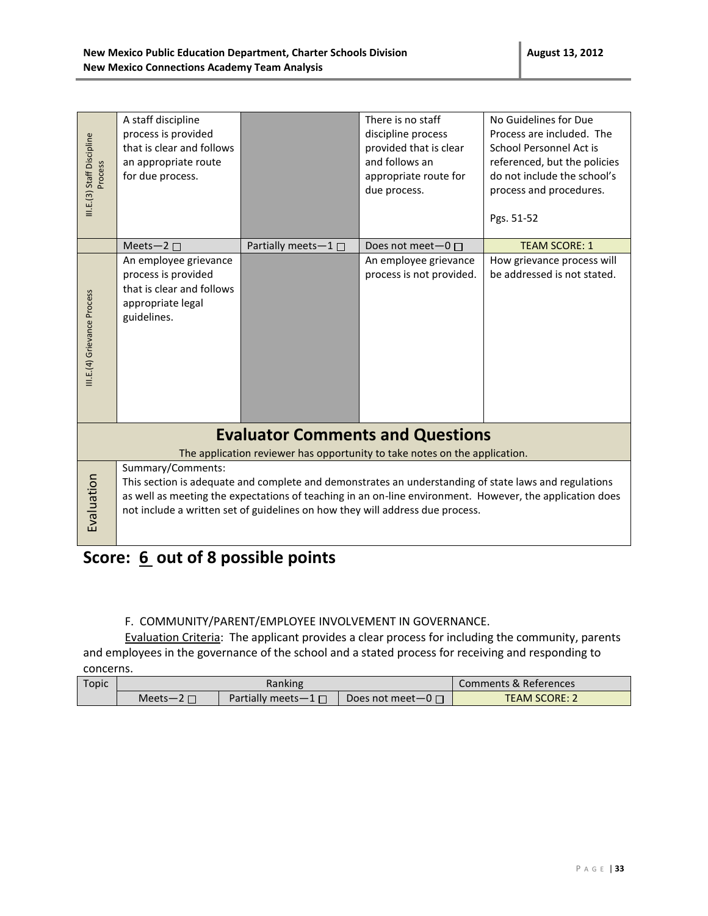| III.E.(3) Staff Discipline<br>Process                                      | A staff discipline<br>process is provided<br>that is clear and follows<br>an appropriate route<br>for due process.                                                                                                                                                                                                      |                           | There is no staff<br>discipline process<br>provided that is clear<br>and follows an<br>appropriate route for<br>due process. | No Guidelines for Due<br>Process are included. The<br>School Personnel Act is<br>referenced, but the policies<br>do not include the school's<br>process and procedures.<br>Pgs. 51-52 |  |
|----------------------------------------------------------------------------|-------------------------------------------------------------------------------------------------------------------------------------------------------------------------------------------------------------------------------------------------------------------------------------------------------------------------|---------------------------|------------------------------------------------------------------------------------------------------------------------------|---------------------------------------------------------------------------------------------------------------------------------------------------------------------------------------|--|
|                                                                            | Meets-2 $\square$                                                                                                                                                                                                                                                                                                       | Partially meets- $1 \Box$ | Does not meet $-0$ $\Box$                                                                                                    | <b>TEAM SCORE: 1</b>                                                                                                                                                                  |  |
| III.E.(4) Grievance Process                                                | An employee grievance<br>process is provided<br>that is clear and follows<br>appropriate legal<br>guidelines.                                                                                                                                                                                                           |                           | An employee grievance<br>process is not provided.                                                                            | How grievance process will<br>be addressed is not stated.                                                                                                                             |  |
| <b>Evaluator Comments and Questions</b>                                    |                                                                                                                                                                                                                                                                                                                         |                           |                                                                                                                              |                                                                                                                                                                                       |  |
| The application reviewer has opportunity to take notes on the application. |                                                                                                                                                                                                                                                                                                                         |                           |                                                                                                                              |                                                                                                                                                                                       |  |
| Evaluation                                                                 | Summary/Comments:<br>This section is adequate and complete and demonstrates an understanding of state laws and regulations<br>as well as meeting the expectations of teaching in an on-line environment. However, the application does<br>not include a written set of guidelines on how they will address due process. |                           |                                                                                                                              |                                                                                                                                                                                       |  |

# **Score: 6 out of 8 possible points**

#### F.COMMUNITY/PARENT/EMPLOYEE INVOLVEMENT IN GOVERNANCE.

Evaluation Criteria: The applicant provides a clear process for including the community, parents and employees in the governance of the school and a stated process for receiving and responding to concerns.

| Topic |        | Ranking                   | Comments & References     |                      |
|-------|--------|---------------------------|---------------------------|----------------------|
|       | Meets— | Partially meets $-1 \Box$ | Does not meet $-0$ $\Box$ | <b>TEAM SCORE: 2</b> |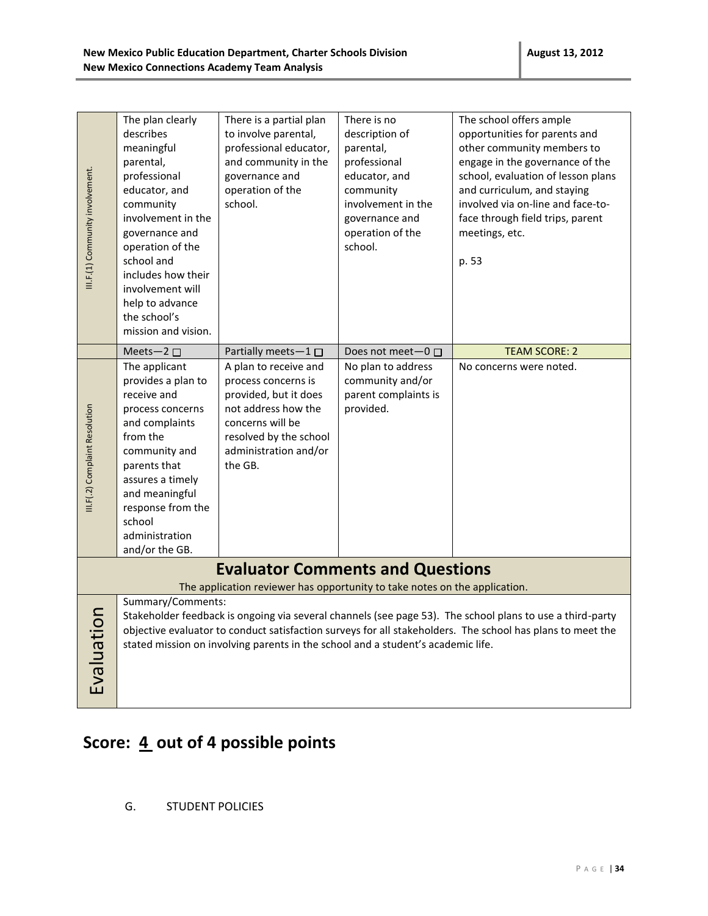| III.F.(1) Community involvement. | The plan clearly<br>describes<br>meaningful<br>parental,<br>professional<br>educator, and<br>community<br>involvement in the<br>governance and<br>operation of the<br>school and<br>includes how their<br>involvement will<br>help to advance<br>the school's<br>mission and vision.                                                                                                                           | There is a partial plan<br>to involve parental,<br>professional educator,<br>and community in the<br>governance and<br>operation of the<br>school.                             | There is no<br>description of<br>parental,<br>professional<br>educator, and<br>community<br>involvement in the<br>governance and<br>operation of the<br>school. | The school offers ample<br>opportunities for parents and<br>other community members to<br>engage in the governance of the<br>school, evaluation of lesson plans<br>and curriculum, and staying<br>involved via on-line and face-to-<br>face through field trips, parent<br>meetings, etc.<br>p. 53 |  |
|----------------------------------|----------------------------------------------------------------------------------------------------------------------------------------------------------------------------------------------------------------------------------------------------------------------------------------------------------------------------------------------------------------------------------------------------------------|--------------------------------------------------------------------------------------------------------------------------------------------------------------------------------|-----------------------------------------------------------------------------------------------------------------------------------------------------------------|----------------------------------------------------------------------------------------------------------------------------------------------------------------------------------------------------------------------------------------------------------------------------------------------------|--|
|                                  | Meets-2 $\square$                                                                                                                                                                                                                                                                                                                                                                                              | Partially meets-1 □                                                                                                                                                            | Does not meet-0 □                                                                                                                                               | <b>TEAM SCORE: 2</b>                                                                                                                                                                                                                                                                               |  |
| III.F(.2) Complaint Resolution   | The applicant<br>provides a plan to<br>receive and<br>process concerns<br>and complaints<br>from the<br>community and<br>parents that<br>assures a timely<br>and meaningful<br>response from the<br>school<br>administration<br>and/or the GB.                                                                                                                                                                 | A plan to receive and<br>process concerns is<br>provided, but it does<br>not address how the<br>concerns will be<br>resolved by the school<br>administration and/or<br>the GB. | No plan to address<br>community and/or<br>parent complaints is<br>provided.                                                                                     | No concerns were noted.                                                                                                                                                                                                                                                                            |  |
|                                  | <b>Evaluator Comments and Questions</b>                                                                                                                                                                                                                                                                                                                                                                        |                                                                                                                                                                                |                                                                                                                                                                 |                                                                                                                                                                                                                                                                                                    |  |
| Evaluation                       | The application reviewer has opportunity to take notes on the application.<br>Summary/Comments:<br>Stakeholder feedback is ongoing via several channels (see page 53). The school plans to use a third-party<br>objective evaluator to conduct satisfaction surveys for all stakeholders. The school has plans to meet the<br>stated mission on involving parents in the school and a student's academic life. |                                                                                                                                                                                |                                                                                                                                                                 |                                                                                                                                                                                                                                                                                                    |  |

# Score:  $\underline{4}$  out of 4 possible points

G. STUDENT POLICIES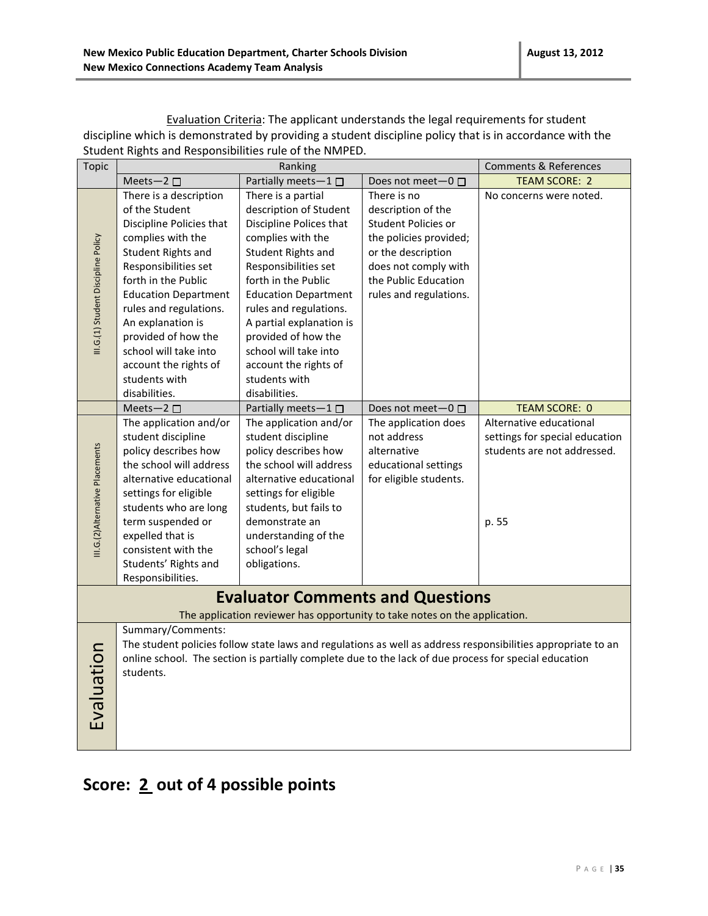| Topic                                                                                                                 | Student Nights and Responsibilities rule of the NiviPED.<br>Ranking                                                                                                                                                                                                                                                                                                          |                                                                                                                                                                                                                                                                                                                                                                                          |                                                                                                                                                                                                         | <b>Comments &amp; References</b>                                                                                          |
|-----------------------------------------------------------------------------------------------------------------------|------------------------------------------------------------------------------------------------------------------------------------------------------------------------------------------------------------------------------------------------------------------------------------------------------------------------------------------------------------------------------|------------------------------------------------------------------------------------------------------------------------------------------------------------------------------------------------------------------------------------------------------------------------------------------------------------------------------------------------------------------------------------------|---------------------------------------------------------------------------------------------------------------------------------------------------------------------------------------------------------|---------------------------------------------------------------------------------------------------------------------------|
|                                                                                                                       |                                                                                                                                                                                                                                                                                                                                                                              |                                                                                                                                                                                                                                                                                                                                                                                          |                                                                                                                                                                                                         | <b>TEAM SCORE: 2</b>                                                                                                      |
| III.G.(1) Student Discipline Policy                                                                                   | Meets-2 $\square$<br>There is a description<br>of the Student<br>Discipline Policies that<br>complies with the<br>Student Rights and<br>Responsibilities set<br>forth in the Public<br><b>Education Department</b><br>rules and regulations.<br>An explanation is<br>provided of how the<br>school will take into<br>account the rights of<br>students with<br>disabilities. | Partially meets-1 □<br>There is a partial<br>description of Student<br>Discipline Polices that<br>complies with the<br>Student Rights and<br>Responsibilities set<br>forth in the Public<br><b>Education Department</b><br>rules and regulations.<br>A partial explanation is<br>provided of how the<br>school will take into<br>account the rights of<br>students with<br>disabilities. | Does not meet-0 □<br>There is no<br>description of the<br>Student Policies or<br>the policies provided;<br>or the description<br>does not comply with<br>the Public Education<br>rules and regulations. | No concerns were noted.                                                                                                   |
| III.G.(2)Alternative Placements                                                                                       | Meets-2 $\square$<br>The application and/or<br>student discipline<br>policy describes how<br>the school will address<br>alternative educational<br>settings for eligible<br>students who are long<br>term suspended or<br>expelled that is<br>consistent with the<br>Students' Rights and<br>Responsibilities.                                                               | Partially meets-1<br>The application and/or<br>student discipline<br>policy describes how<br>the school will address<br>alternative educational<br>settings for eligible<br>students, but fails to<br>demonstrate an<br>understanding of the<br>school's legal<br>obligations.                                                                                                           | Does not meet-0 □<br>The application does<br>not address<br>alternative<br>educational settings<br>for eligible students.                                                                               | <b>TEAM SCORE: 0</b><br>Alternative educational<br>settings for special education<br>students are not addressed.<br>p. 55 |
| <b>Evaluator Comments and Questions</b><br>The application reviewer has opportunity to take notes on the application. |                                                                                                                                                                                                                                                                                                                                                                              |                                                                                                                                                                                                                                                                                                                                                                                          |                                                                                                                                                                                                         |                                                                                                                           |
| Evaluation                                                                                                            | Summary/Comments:<br>students.                                                                                                                                                                                                                                                                                                                                               | online school. The section is partially complete due to the lack of due process for special education                                                                                                                                                                                                                                                                                    |                                                                                                                                                                                                         | The student policies follow state laws and regulations as well as address responsibilities appropriate to an              |

Evaluation Criteria: The applicant understands the legal requirements for student discipline which is demonstrated by providing a student discipline policy that is in accordance with the Student Rights and Responsibilities rule of the NMPED.

### **Score: 2 out of 4 possible points**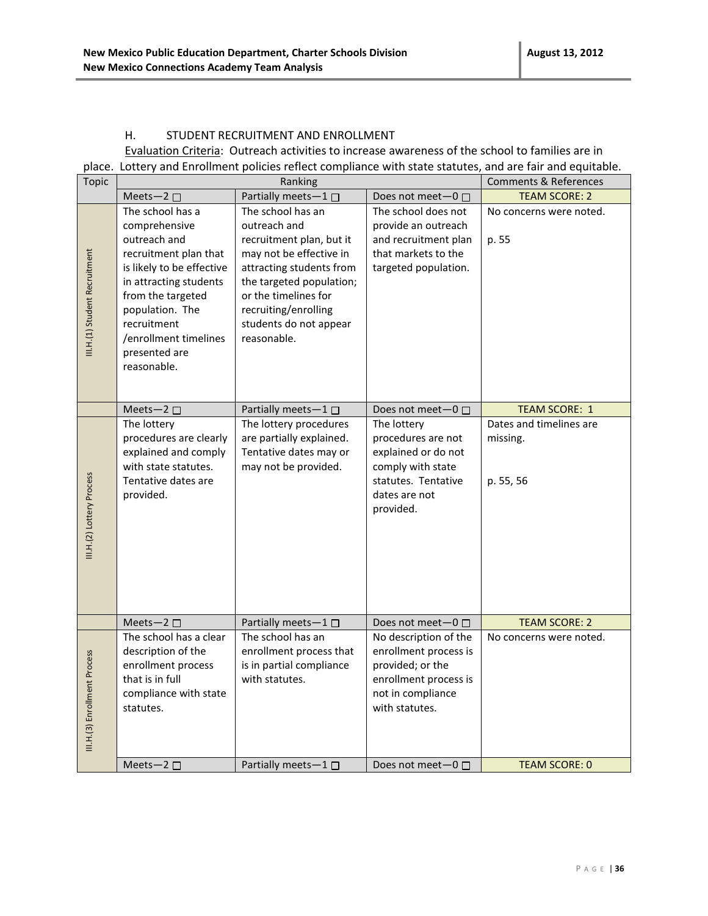#### H. STUDENT RECRUITMENT AND ENROLLMENT

Evaluation Criteria: Outreach activities to increase awareness of the school to families are in place. Lottery and Enrollment policies reflect compliance with state statutes, and are fair and equitable.

| <b>Topic</b>                  | Ranking                                                                                                                                                                                                                                           |                                                                                                                                                                                                                                           |                                                                                                                                    | <b>Comments &amp; References</b>                 |
|-------------------------------|---------------------------------------------------------------------------------------------------------------------------------------------------------------------------------------------------------------------------------------------------|-------------------------------------------------------------------------------------------------------------------------------------------------------------------------------------------------------------------------------------------|------------------------------------------------------------------------------------------------------------------------------------|--------------------------------------------------|
|                               | Meets-2 $\square$                                                                                                                                                                                                                                 | Partially meets-1                                                                                                                                                                                                                         | Does not meet-0 □                                                                                                                  | <b>TEAM SCORE: 2</b>                             |
| III.H.(1) Student Recruitment | The school has a<br>comprehensive<br>outreach and<br>recruitment plan that<br>is likely to be effective<br>in attracting students<br>from the targeted<br>population. The<br>recruitment<br>/enrollment timelines<br>presented are<br>reasonable. | The school has an<br>outreach and<br>recruitment plan, but it<br>may not be effective in<br>attracting students from<br>the targeted population;<br>or the timelines for<br>recruiting/enrolling<br>students do not appear<br>reasonable. | The school does not<br>provide an outreach<br>and recruitment plan<br>that markets to the<br>targeted population.                  | No concerns were noted.<br>p. 55                 |
|                               | Meets-2 $\square$                                                                                                                                                                                                                                 | Partially meets-1 □                                                                                                                                                                                                                       | Does not meet-0 □                                                                                                                  | <b>TEAM SCORE: 1</b>                             |
| III.H.(2) Lottery Process     | The lottery<br>procedures are clearly<br>explained and comply<br>with state statutes.<br>Tentative dates are<br>provided.                                                                                                                         | The lottery procedures<br>are partially explained.<br>Tentative dates may or<br>may not be provided.                                                                                                                                      | The lottery<br>procedures are not<br>explained or do not<br>comply with state<br>statutes. Tentative<br>dates are not<br>provided. | Dates and timelines are<br>missing.<br>p. 55, 56 |
|                               | Meets-2 $\square$                                                                                                                                                                                                                                 | Partially meets-1                                                                                                                                                                                                                         | Does not meet $-0$ $\Box$                                                                                                          | <b>TEAM SCORE: 2</b>                             |
| III.H.(3) Enrollment Process  | The school has a clear<br>description of the<br>enrollment process<br>that is in full<br>compliance with state<br>statutes.                                                                                                                       | The school has an<br>enrollment process that<br>is in partial compliance<br>with statutes.                                                                                                                                                | No description of the<br>enrollment process is<br>provided; or the<br>enrollment process is<br>not in compliance<br>with statutes. | No concerns were noted.                          |
|                               | Meets-2 $\square$                                                                                                                                                                                                                                 | Partially meets-1 $\square$                                                                                                                                                                                                               | Does not meet $-0$ $\Box$                                                                                                          | <b>TEAM SCORE: 0</b>                             |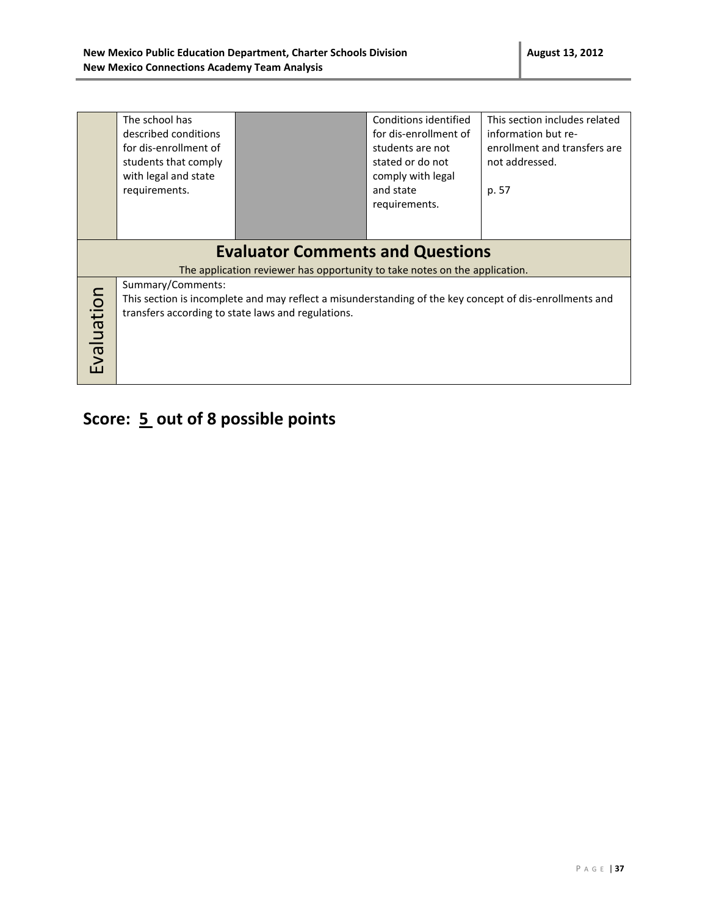|            | The school has        |                                                                            | Conditions identified | This section includes related                                                                           |
|------------|-----------------------|----------------------------------------------------------------------------|-----------------------|---------------------------------------------------------------------------------------------------------|
|            | described conditions  |                                                                            | for dis-enrollment of | information but re-                                                                                     |
|            | for dis-enrollment of |                                                                            | students are not      | enrollment and transfers are                                                                            |
|            | students that comply  |                                                                            | stated or do not      | not addressed.                                                                                          |
|            | with legal and state  |                                                                            | comply with legal     |                                                                                                         |
|            | requirements.         |                                                                            | and state             | p. 57                                                                                                   |
|            |                       |                                                                            | requirements.         |                                                                                                         |
|            |                       |                                                                            |                       |                                                                                                         |
|            |                       |                                                                            |                       |                                                                                                         |
|            |                       | <b>Evaluator Comments and Questions</b>                                    |                       |                                                                                                         |
|            |                       | The application reviewer has opportunity to take notes on the application. |                       |                                                                                                         |
|            | Summary/Comments:     |                                                                            |                       |                                                                                                         |
|            |                       |                                                                            |                       | This section is incomplete and may reflect a misunderstanding of the key concept of dis-enrollments and |
|            |                       | transfers according to state laws and regulations.                         |                       |                                                                                                         |
| Evaluation |                       |                                                                            |                       |                                                                                                         |
|            |                       |                                                                            |                       |                                                                                                         |
|            |                       |                                                                            |                       |                                                                                                         |
|            |                       |                                                                            |                       |                                                                                                         |

# **Score: 5 out of 8 possible points**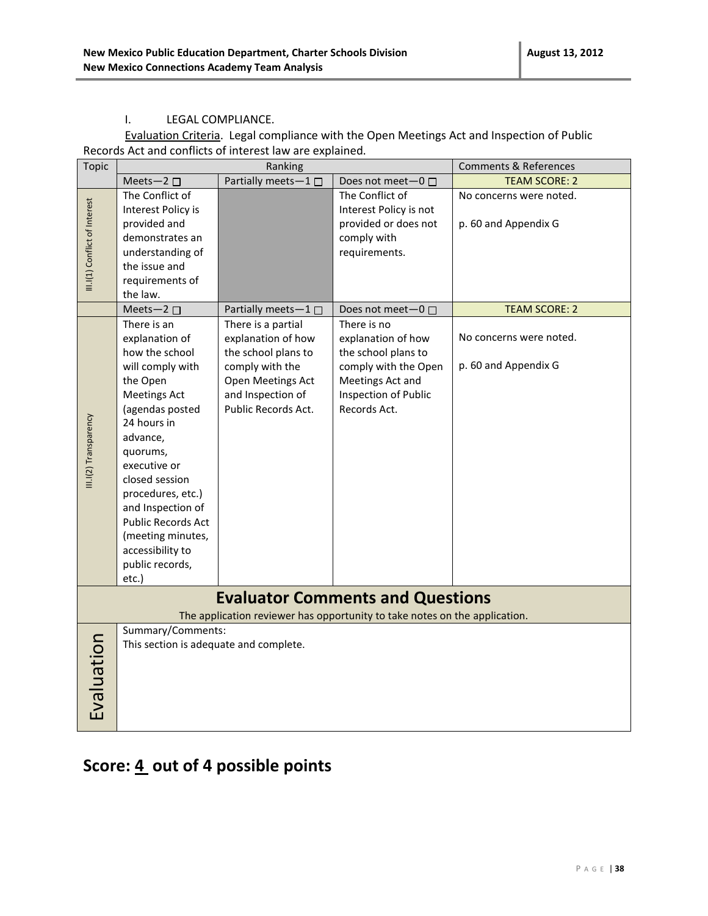#### I. LEGAL COMPLIANCE.

Evaluation Criteria. Legal compliance with the Open Meetings Act and Inspection of Public Records Act and conflicts of interest law are explained.

| <b>Topic</b>                  |                                                                         | Ranking                                                     |                                                                                                                       | <b>Comments &amp; References</b>                |
|-------------------------------|-------------------------------------------------------------------------|-------------------------------------------------------------|-----------------------------------------------------------------------------------------------------------------------|-------------------------------------------------|
|                               | Meets-2 $\square$                                                       | Partially meets-1 □                                         | Does not meet-0 □                                                                                                     | <b>TEAM SCORE: 2</b>                            |
|                               | The Conflict of<br>Interest Policy is<br>provided and                   |                                                             | The Conflict of<br>Interest Policy is not<br>provided or does not                                                     | No concerns were noted.<br>p. 60 and Appendix G |
| III.I(1) Conflict of Interest | demonstrates an<br>understanding of<br>the issue and<br>requirements of |                                                             | comply with<br>requirements.                                                                                          |                                                 |
|                               | the law.<br>Meets-2 $\square$                                           | Partially meets-1 □                                         | Does not meet-0 □                                                                                                     | <b>TEAM SCORE: 2</b>                            |
|                               | There is an<br>explanation of                                           | There is a partial<br>explanation of how                    | There is no<br>explanation of how                                                                                     | No concerns were noted.                         |
|                               | how the school<br>will comply with<br>the Open                          | the school plans to<br>comply with the<br>Open Meetings Act | the school plans to<br>comply with the Open<br>Meetings Act and                                                       | p. 60 and Appendix G                            |
|                               | <b>Meetings Act</b><br>(agendas posted<br>24 hours in                   | and Inspection of<br>Public Records Act.                    | Inspection of Public<br>Records Act.                                                                                  |                                                 |
| III.I(2) Transparency         | advance,<br>quorums,                                                    |                                                             |                                                                                                                       |                                                 |
|                               | executive or<br>closed session                                          |                                                             |                                                                                                                       |                                                 |
|                               | procedures, etc.)<br>and Inspection of<br><b>Public Records Act</b>     |                                                             |                                                                                                                       |                                                 |
|                               | (meeting minutes,<br>accessibility to                                   |                                                             |                                                                                                                       |                                                 |
|                               | public records,<br>etc.)                                                |                                                             |                                                                                                                       |                                                 |
|                               |                                                                         |                                                             | <b>Evaluator Comments and Questions</b><br>The application reviewer has opportunity to take notes on the application. |                                                 |
|                               | Summary/Comments:                                                       |                                                             |                                                                                                                       |                                                 |
|                               | This section is adequate and complete.                                  |                                                             |                                                                                                                       |                                                 |
|                               |                                                                         |                                                             |                                                                                                                       |                                                 |
|                               |                                                                         |                                                             |                                                                                                                       |                                                 |
| Evaluation                    |                                                                         |                                                             |                                                                                                                       |                                                 |
|                               |                                                                         |                                                             |                                                                                                                       |                                                 |

### **Score: 4 out of 4 possible points**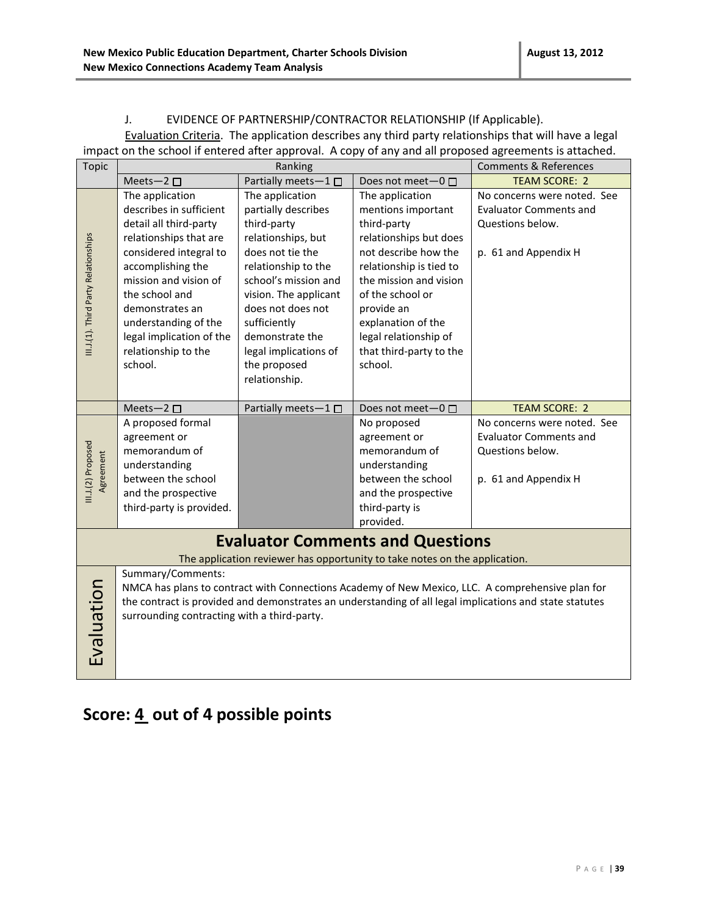#### J. EVIDENCE OF PARTNERSHIP/CONTRACTOR RELATIONSHIP (If Applicable).

Evaluation Criteria. The application describes any third party relationships that will have a legal impact on the school if entered after approval. A copy of any and all proposed agreements is attached.

| <b>Topic</b>                         |                                             | Ranking                     |                                                                            | <b>Comments &amp; References</b>                                                                        |
|--------------------------------------|---------------------------------------------|-----------------------------|----------------------------------------------------------------------------|---------------------------------------------------------------------------------------------------------|
|                                      | Meets-2 $\square$                           | Partially meets-1 $\square$ | Does not meet-0 □                                                          | <b>TEAM SCORE: 2</b>                                                                                    |
|                                      | The application                             | The application             | The application                                                            | No concerns were noted. See                                                                             |
|                                      | describes in sufficient                     | partially describes         | mentions important                                                         | <b>Evaluator Comments and</b>                                                                           |
|                                      | detail all third-party                      | third-party                 | third-party                                                                | Questions below.                                                                                        |
|                                      | relationships that are                      | relationships, but          | relationships but does                                                     |                                                                                                         |
|                                      | considered integral to                      | does not tie the            | not describe how the                                                       | p. 61 and Appendix H                                                                                    |
|                                      | accomplishing the                           | relationship to the         | relationship is tied to                                                    |                                                                                                         |
|                                      | mission and vision of                       | school's mission and        | the mission and vision                                                     |                                                                                                         |
|                                      | the school and                              | vision. The applicant       | of the school or                                                           |                                                                                                         |
| III.J.(1). Third Party Relationships | demonstrates an                             | does not does not           | provide an                                                                 |                                                                                                         |
|                                      | understanding of the                        | sufficiently                | explanation of the                                                         |                                                                                                         |
|                                      | legal implication of the                    | demonstrate the             | legal relationship of                                                      |                                                                                                         |
|                                      | relationship to the                         | legal implications of       | that third-party to the                                                    |                                                                                                         |
|                                      | school.                                     | the proposed                | school.                                                                    |                                                                                                         |
|                                      |                                             | relationship.               |                                                                            |                                                                                                         |
|                                      |                                             |                             |                                                                            |                                                                                                         |
|                                      | Meets-2 $\square$                           | Partially meets-1           | Does not meet-0 □                                                          | <b>TEAM SCORE: 2</b>                                                                                    |
|                                      | A proposed formal                           |                             | No proposed                                                                | No concerns were noted. See                                                                             |
|                                      | agreement or                                |                             | agreement or                                                               | <b>Evaluator Comments and</b>                                                                           |
|                                      | memorandum of                               |                             | memorandum of                                                              | Questions below.                                                                                        |
|                                      | understanding                               |                             | understanding                                                              |                                                                                                         |
| III.J.(2) Proposed<br>Agreement      | between the school                          |                             | between the school                                                         | p. 61 and Appendix H                                                                                    |
|                                      | and the prospective                         |                             | and the prospective                                                        |                                                                                                         |
|                                      | third-party is provided.                    |                             | third-party is                                                             |                                                                                                         |
|                                      |                                             |                             | provided.                                                                  |                                                                                                         |
|                                      |                                             |                             | <b>Evaluator Comments and Questions</b>                                    |                                                                                                         |
|                                      |                                             |                             | The application reviewer has opportunity to take notes on the application. |                                                                                                         |
|                                      | Summary/Comments:                           |                             |                                                                            |                                                                                                         |
|                                      |                                             |                             |                                                                            | NMCA has plans to contract with Connections Academy of New Mexico, LLC. A comprehensive plan for        |
|                                      |                                             |                             |                                                                            | the contract is provided and demonstrates an understanding of all legal implications and state statutes |
|                                      | surrounding contracting with a third-party. |                             |                                                                            |                                                                                                         |
|                                      |                                             |                             |                                                                            |                                                                                                         |
|                                      |                                             |                             |                                                                            |                                                                                                         |
|                                      |                                             |                             |                                                                            |                                                                                                         |
| Evaluation                           |                                             |                             |                                                                            |                                                                                                         |

### **Score: 4 out of 4 possible points**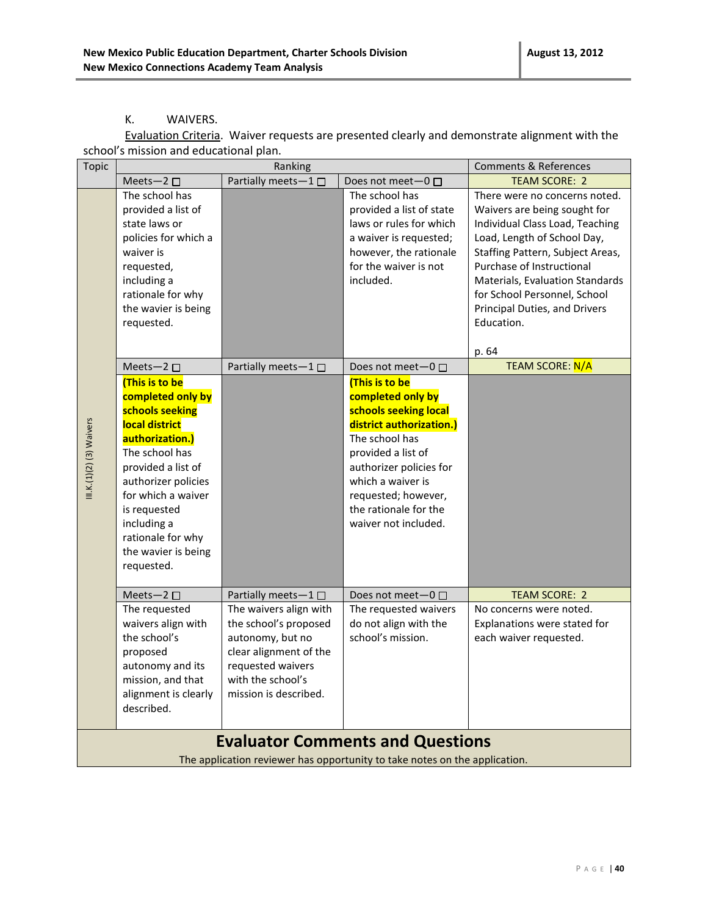#### K. WAIVERS.

Evaluation Criteria.Waiver requests are presented clearly and demonstrate alignment with the school's mission and educational plan.

| <b>Topic</b>             | Ranking                                                                                                                                                                                                                                                                                        |                                                                                                                                                                  | <b>Comments &amp; References</b>                                                                                                                                                                                                                                              |                                                                                                                                                                                                                                                                                                                    |
|--------------------------|------------------------------------------------------------------------------------------------------------------------------------------------------------------------------------------------------------------------------------------------------------------------------------------------|------------------------------------------------------------------------------------------------------------------------------------------------------------------|-------------------------------------------------------------------------------------------------------------------------------------------------------------------------------------------------------------------------------------------------------------------------------|--------------------------------------------------------------------------------------------------------------------------------------------------------------------------------------------------------------------------------------------------------------------------------------------------------------------|
|                          | Meets-2 $\square$                                                                                                                                                                                                                                                                              | Partially meets-1□                                                                                                                                               | Does not meet- $0 \Box$                                                                                                                                                                                                                                                       | <b>TEAM SCORE: 2</b>                                                                                                                                                                                                                                                                                               |
|                          | The school has<br>provided a list of<br>state laws or<br>policies for which a<br>waiver is<br>requested,<br>including a<br>rationale for why<br>the wavier is being<br>requested.                                                                                                              |                                                                                                                                                                  | The school has<br>provided a list of state<br>laws or rules for which<br>a waiver is requested;<br>however, the rationale<br>for the waiver is not<br>included.                                                                                                               | There were no concerns noted.<br>Waivers are being sought for<br>Individual Class Load, Teaching<br>Load, Length of School Day,<br>Staffing Pattern, Subject Areas,<br>Purchase of Instructional<br>Materials, Evaluation Standards<br>for School Personnel, School<br>Principal Duties, and Drivers<br>Education. |
|                          |                                                                                                                                                                                                                                                                                                |                                                                                                                                                                  |                                                                                                                                                                                                                                                                               | p. 64                                                                                                                                                                                                                                                                                                              |
| III.K.(1)(2) (3) Waivers | Meets-2 $\square$<br>(This is to be<br>completed only by<br>schools seeking<br>local district<br>authorization.)<br>The school has<br>provided a list of<br>authorizer policies<br>for which a waiver<br>is requested<br>including a<br>rationale for why<br>the wavier is being<br>requested. | Partially meets-1□                                                                                                                                               | Does not meet-0 □<br>(This is to be<br>completed only by<br>schools seeking local<br>district authorization.)<br>The school has<br>provided a list of<br>authorizer policies for<br>which a waiver is<br>requested; however,<br>the rationale for the<br>waiver not included. | <b>TEAM SCORE: N/A</b>                                                                                                                                                                                                                                                                                             |
|                          | Meets-2 $\square$                                                                                                                                                                                                                                                                              | Partially meets-1 □                                                                                                                                              | Does not meet $-0$ $\Box$                                                                                                                                                                                                                                                     | <b>TEAM SCORE: 2</b>                                                                                                                                                                                                                                                                                               |
|                          | The requested<br>waivers align with<br>the school's<br>proposed<br>autonomy and its<br>mission, and that<br>alignment is clearly<br>described.                                                                                                                                                 | The waivers align with<br>the school's proposed<br>autonomy, but no<br>clear alignment of the<br>requested waivers<br>with the school's<br>mission is described. | The requested waivers<br>do not align with the<br>school's mission.                                                                                                                                                                                                           | No concerns were noted.<br>Explanations were stated for<br>each waiver requested.                                                                                                                                                                                                                                  |
|                          |                                                                                                                                                                                                                                                                                                |                                                                                                                                                                  | <b>Evaluator Comments and Questions</b>                                                                                                                                                                                                                                       |                                                                                                                                                                                                                                                                                                                    |
|                          |                                                                                                                                                                                                                                                                                                |                                                                                                                                                                  | The application reviewer has opportunity to take notes on the application.                                                                                                                                                                                                    |                                                                                                                                                                                                                                                                                                                    |
|                          |                                                                                                                                                                                                                                                                                                |                                                                                                                                                                  |                                                                                                                                                                                                                                                                               |                                                                                                                                                                                                                                                                                                                    |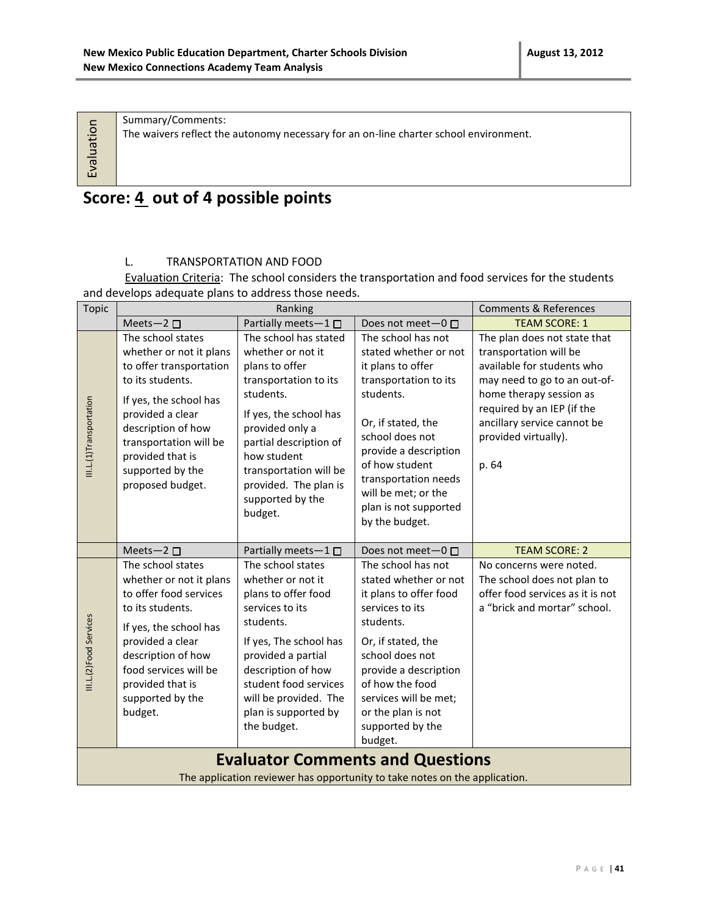Evaluation

Summary/Comments: The waivers reflect the autonomy necessary for an on-line charter school environment.

### **Score: 4 out of 4 possible points**

#### L. TRANSPORTATION AND FOOD

Evaluation Criteria: The school considers the transportation and food services for the students and develops adequate plans to address those needs.

| <b>Topic</b>            | Ranking                                                                                                                                                                                                                                               |                                                                                                                                                                                                                                                                            | <b>Comments &amp; References</b>                                                                                                                                                                                                                                                     |                                                                                                                                                                                                                                               |  |  |
|-------------------------|-------------------------------------------------------------------------------------------------------------------------------------------------------------------------------------------------------------------------------------------------------|----------------------------------------------------------------------------------------------------------------------------------------------------------------------------------------------------------------------------------------------------------------------------|--------------------------------------------------------------------------------------------------------------------------------------------------------------------------------------------------------------------------------------------------------------------------------------|-----------------------------------------------------------------------------------------------------------------------------------------------------------------------------------------------------------------------------------------------|--|--|
|                         | Meets-2 □                                                                                                                                                                                                                                             | Partially meets-1 □                                                                                                                                                                                                                                                        | Does not meet-0 □                                                                                                                                                                                                                                                                    | <b>TEAM SCORE: 1</b>                                                                                                                                                                                                                          |  |  |
| III.L.(1)Transportation | The school states<br>whether or not it plans<br>to offer transportation<br>to its students.<br>If yes, the school has<br>provided a clear<br>description of how<br>transportation will be<br>provided that is<br>supported by the<br>proposed budget. | The school has stated<br>whether or not it<br>plans to offer<br>transportation to its<br>students.<br>If yes, the school has<br>provided only a<br>partial description of<br>how student<br>transportation will be<br>provided. The plan is<br>supported by the<br>budget. | The school has not<br>stated whether or not<br>it plans to offer<br>transportation to its<br>students.<br>Or, if stated, the<br>school does not<br>provide a description<br>of how student<br>transportation needs<br>will be met; or the<br>plan is not supported<br>by the budget. | The plan does not state that<br>transportation will be<br>available for students who<br>may need to go to an out-of-<br>home therapy session as<br>required by an IEP (if the<br>ancillary service cannot be<br>provided virtually).<br>p. 64 |  |  |
|                         | Meets-2 $\square$                                                                                                                                                                                                                                     | Partially meets-1□                                                                                                                                                                                                                                                         | Does not meet-0 □                                                                                                                                                                                                                                                                    | <b>TEAM SCORE: 2</b>                                                                                                                                                                                                                          |  |  |
| III.L.(2)Food Services  | The school states<br>whether or not it plans<br>to offer food services<br>to its students.<br>If yes, the school has<br>provided a clear<br>description of how<br>food services will be<br>provided that is<br>supported by the<br>budget.            | The school states<br>whether or not it<br>plans to offer food<br>services to its<br>students.<br>If yes, The school has<br>provided a partial<br>description of how<br>student food services<br>will be provided. The<br>plan is supported by<br>the budget.               | The school has not<br>stated whether or not<br>it plans to offer food<br>services to its<br>students.<br>Or, if stated, the<br>school does not<br>provide a description<br>of how the food<br>services will be met;<br>or the plan is not<br>supported by the<br>budget.             | No concerns were noted.<br>The school does not plan to<br>offer food services as it is not<br>a "brick and mortar" school.                                                                                                                    |  |  |
|                         | <b>Evaluator Comments and Questions</b>                                                                                                                                                                                                               |                                                                                                                                                                                                                                                                            |                                                                                                                                                                                                                                                                                      |                                                                                                                                                                                                                                               |  |  |

The application reviewer has opportunity to take notes on the application.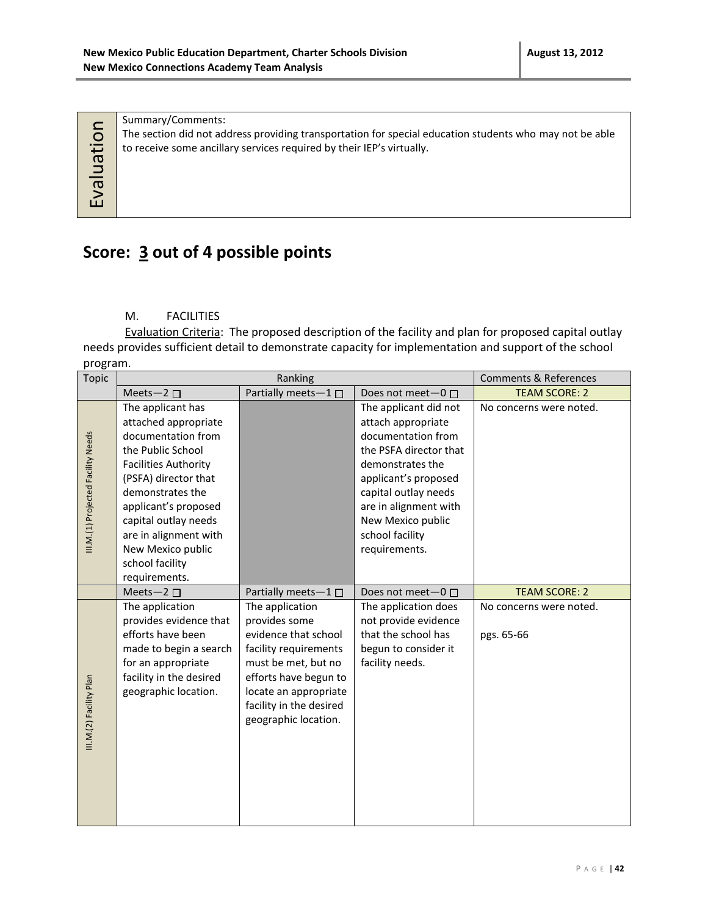Summary/Comments: The section did not address providing transportation for special education students who may not be able to receive some ancillary services required by their IEP's virtually.

### **Score: 3 out of 4 possible points**

#### M. FACILITIES

Evaluation

Evaluation Criteria: The proposed description of the facility and plan for proposed capital outlay needs provides sufficient detail to demonstrate capacity for implementation and support of the school program.

| Topic                              | Ranking                                                                                                                                                                                                                                                                                           |                                                                                                                                                                                                                                    | <b>Comments &amp; References</b>                                                                                                                                                                                                                  |                                                               |
|------------------------------------|---------------------------------------------------------------------------------------------------------------------------------------------------------------------------------------------------------------------------------------------------------------------------------------------------|------------------------------------------------------------------------------------------------------------------------------------------------------------------------------------------------------------------------------------|---------------------------------------------------------------------------------------------------------------------------------------------------------------------------------------------------------------------------------------------------|---------------------------------------------------------------|
|                                    | Meets-2 $\square$                                                                                                                                                                                                                                                                                 | Partially meets-1□                                                                                                                                                                                                                 | Does not meet-0 □                                                                                                                                                                                                                                 | <b>TEAM SCORE: 2</b>                                          |
| III.M.(1) Projected Facility Needs | The applicant has<br>attached appropriate<br>documentation from<br>the Public School<br><b>Facilities Authority</b><br>(PSFA) director that<br>demonstrates the<br>applicant's proposed<br>capital outlay needs<br>are in alignment with<br>New Mexico public<br>school facility<br>requirements. |                                                                                                                                                                                                                                    | The applicant did not<br>attach appropriate<br>documentation from<br>the PSFA director that<br>demonstrates the<br>applicant's proposed<br>capital outlay needs<br>are in alignment with<br>New Mexico public<br>school facility<br>requirements. | No concerns were noted.                                       |
| III.M.(2) Facility Plan            | Meets-2 □<br>The application<br>provides evidence that<br>efforts have been<br>made to begin a search<br>for an appropriate<br>facility in the desired<br>geographic location.                                                                                                                    | Partially meets-1<br>The application<br>provides some<br>evidence that school<br>facility requirements<br>must be met, but no<br>efforts have begun to<br>locate an appropriate<br>facility in the desired<br>geographic location. | Does not meet- $0 \Box$<br>The application does<br>not provide evidence<br>that the school has<br>begun to consider it<br>facility needs.                                                                                                         | <b>TEAM SCORE: 2</b><br>No concerns were noted.<br>pgs. 65-66 |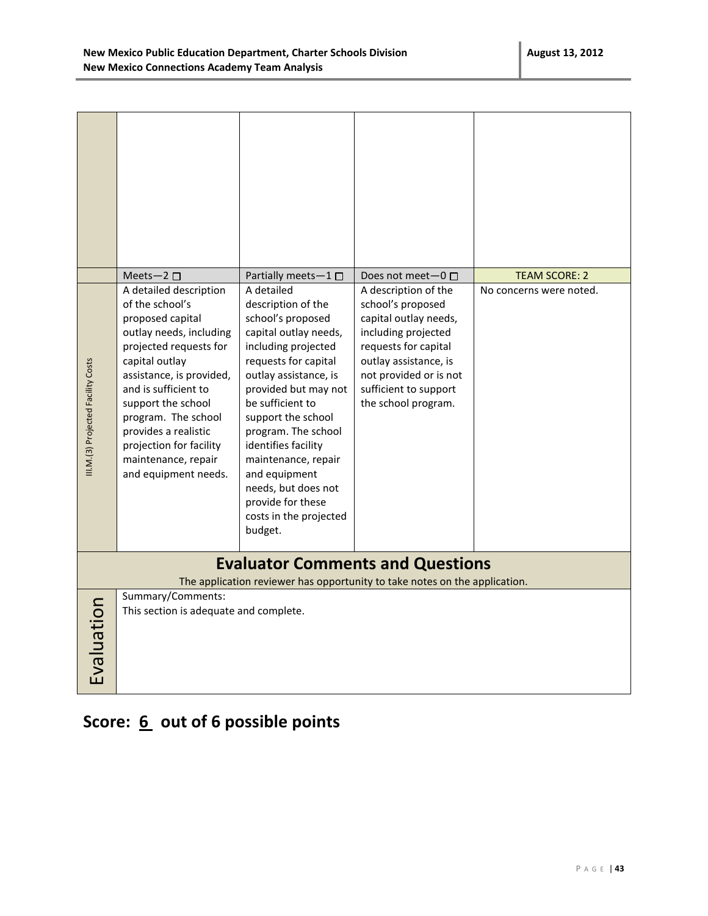|                                    | Meets-2 $\square$                                                                                                                                                                                                                                                                                                                       | Partially meets-1 $\square$                                                                                                                                                                                                                                                                                                                                                                     | Does not meet-0 □                                                                                                                                                                                                    | <b>TEAM SCORE: 2</b>    |
|------------------------------------|-----------------------------------------------------------------------------------------------------------------------------------------------------------------------------------------------------------------------------------------------------------------------------------------------------------------------------------------|-------------------------------------------------------------------------------------------------------------------------------------------------------------------------------------------------------------------------------------------------------------------------------------------------------------------------------------------------------------------------------------------------|----------------------------------------------------------------------------------------------------------------------------------------------------------------------------------------------------------------------|-------------------------|
| III.M.(3) Projected Facility Costs | A detailed description<br>of the school's<br>proposed capital<br>outlay needs, including<br>projected requests for<br>capital outlay<br>assistance, is provided,<br>and is sufficient to<br>support the school<br>program. The school<br>provides a realistic<br>projection for facility<br>maintenance, repair<br>and equipment needs. | A detailed<br>description of the<br>school's proposed<br>capital outlay needs,<br>including projected<br>requests for capital<br>outlay assistance, is<br>provided but may not<br>be sufficient to<br>support the school<br>program. The school<br>identifies facility<br>maintenance, repair<br>and equipment<br>needs, but does not<br>provide for these<br>costs in the projected<br>budget. | A description of the<br>school's proposed<br>capital outlay needs,<br>including projected<br>requests for capital<br>outlay assistance, is<br>not provided or is not<br>sufficient to support<br>the school program. | No concerns were noted. |
|                                    |                                                                                                                                                                                                                                                                                                                                         |                                                                                                                                                                                                                                                                                                                                                                                                 | <b>Evaluator Comments and Questions</b><br>The application reviewer has opportunity to take notes on the application.                                                                                                |                         |
| Evaluation                         | Summary/Comments:<br>This section is adequate and complete.                                                                                                                                                                                                                                                                             |                                                                                                                                                                                                                                                                                                                                                                                                 |                                                                                                                                                                                                                      |                         |

### Score: 6 out of 6 possible points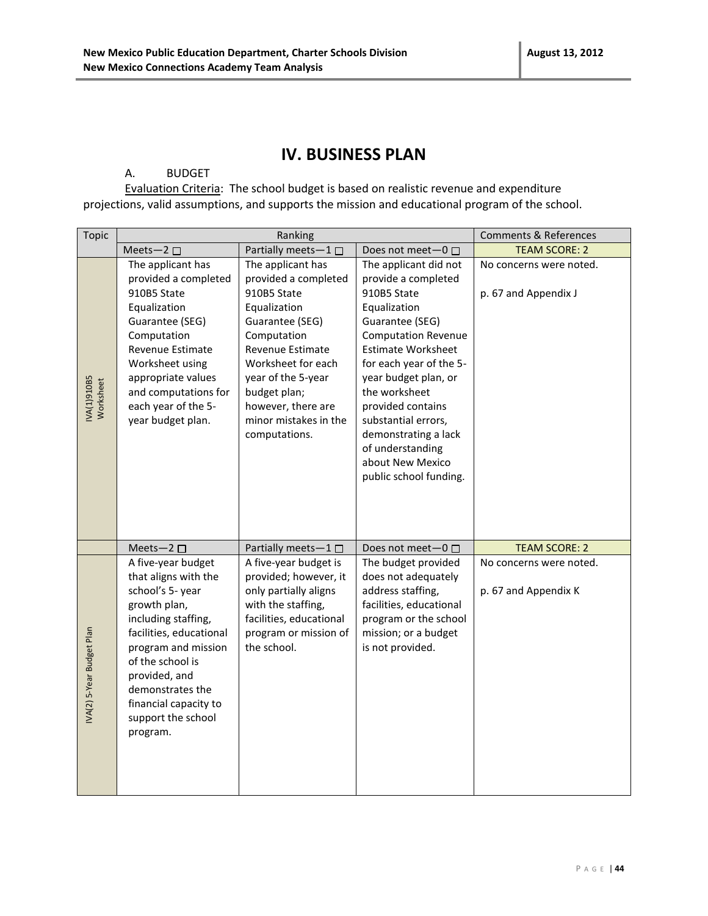### **IV. BUSINESS PLAN**

#### A. BUDGET

Evaluation Criteria: The school budget is based on realistic revenue and expenditure projections, valid assumptions, and supports the mission and educational program of the school.

| Topic                          |                                                                                                                                                                                                                                                                             | Ranking                                                                                                                                                                                                                                                    |                                                                                                                                                                                                                                                                                                                                                                     | <b>Comments &amp; References</b>                |
|--------------------------------|-----------------------------------------------------------------------------------------------------------------------------------------------------------------------------------------------------------------------------------------------------------------------------|------------------------------------------------------------------------------------------------------------------------------------------------------------------------------------------------------------------------------------------------------------|---------------------------------------------------------------------------------------------------------------------------------------------------------------------------------------------------------------------------------------------------------------------------------------------------------------------------------------------------------------------|-------------------------------------------------|
|                                | Meets-2 $\square$                                                                                                                                                                                                                                                           | Partially meets-1□                                                                                                                                                                                                                                         | Does not meet-0 □                                                                                                                                                                                                                                                                                                                                                   | <b>TEAM SCORE: 2</b>                            |
| <b>NA(1)910B5</b><br>Worksheet | The applicant has<br>provided a completed<br>910B5 State<br>Equalization<br>Guarantee (SEG)<br>Computation<br>Revenue Estimate<br>Worksheet using<br>appropriate values<br>and computations for<br>each year of the 5-<br>year budget plan.                                 | The applicant has<br>provided a completed<br>910B5 State<br>Equalization<br>Guarantee (SEG)<br>Computation<br>Revenue Estimate<br>Worksheet for each<br>year of the 5-year<br>budget plan;<br>however, there are<br>minor mistakes in the<br>computations. | The applicant did not<br>provide a completed<br>910B5 State<br>Equalization<br>Guarantee (SEG)<br><b>Computation Revenue</b><br><b>Estimate Worksheet</b><br>for each year of the 5-<br>year budget plan, or<br>the worksheet<br>provided contains<br>substantial errors,<br>demonstrating a lack<br>of understanding<br>about New Mexico<br>public school funding. | No concerns were noted.<br>p. 67 and Appendix J |
|                                | Meets-2 $\square$                                                                                                                                                                                                                                                           | Partially meets-1□                                                                                                                                                                                                                                         | Does not meet $-0$ $\Box$                                                                                                                                                                                                                                                                                                                                           | <b>TEAM SCORE: 2</b>                            |
| IVA(2) 5-Year Budget Plan      | A five-year budget<br>that aligns with the<br>school's 5- year<br>growth plan,<br>including staffing,<br>facilities, educational<br>program and mission<br>of the school is<br>provided, and<br>demonstrates the<br>financial capacity to<br>support the school<br>program. | A five-year budget is<br>provided; however, it<br>only partially aligns<br>with the staffing,<br>facilities, educational<br>program or mission of<br>the school.                                                                                           | The budget provided<br>does not adequately<br>address staffing,<br>facilities, educational<br>program or the school<br>mission; or a budget<br>is not provided.                                                                                                                                                                                                     | No concerns were noted.<br>p. 67 and Appendix K |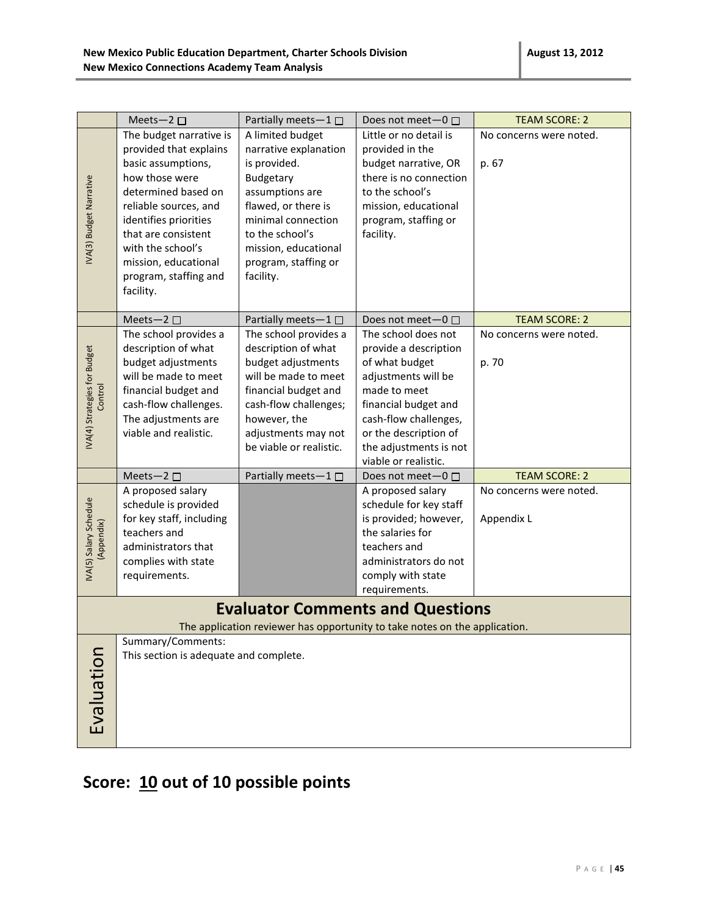|                                         | Meets-2 $\square$                                                                                                                                                                                                                                                            | Partially meets-1 $\square$                                                                                                                                                                                            | Does not meet-0 □                                                                                                                                                                                                                 | <b>TEAM SCORE: 2</b>                  |
|-----------------------------------------|------------------------------------------------------------------------------------------------------------------------------------------------------------------------------------------------------------------------------------------------------------------------------|------------------------------------------------------------------------------------------------------------------------------------------------------------------------------------------------------------------------|-----------------------------------------------------------------------------------------------------------------------------------------------------------------------------------------------------------------------------------|---------------------------------------|
| IVA(3) Budget Narrative                 | The budget narrative is<br>provided that explains<br>basic assumptions,<br>how those were<br>determined based on<br>reliable sources, and<br>identifies priorities<br>that are consistent<br>with the school's<br>mission, educational<br>program, staffing and<br>facility. | A limited budget<br>narrative explanation<br>is provided.<br>Budgetary<br>assumptions are<br>flawed, or there is<br>minimal connection<br>to the school's<br>mission, educational<br>program, staffing or<br>facility. | Little or no detail is<br>provided in the<br>budget narrative, OR<br>there is no connection<br>to the school's<br>mission, educational<br>program, staffing or<br>facility.                                                       | No concerns were noted.<br>p. 67      |
|                                         | Meets-2 $\square$                                                                                                                                                                                                                                                            | Partially meets-1□                                                                                                                                                                                                     | Does not meet-0 □                                                                                                                                                                                                                 | <b>TEAM SCORE: 2</b>                  |
| IVA(4) Strategies for Budget<br>Control | The school provides a<br>description of what<br>budget adjustments<br>will be made to meet<br>financial budget and<br>cash-flow challenges.<br>The adjustments are<br>viable and realistic.                                                                                  | The school provides a<br>description of what<br>budget adjustments<br>will be made to meet<br>financial budget and<br>cash-flow challenges;<br>however, the<br>adjustments may not<br>be viable or realistic.          | The school does not<br>provide a description<br>of what budget<br>adjustments will be<br>made to meet<br>financial budget and<br>cash-flow challenges,<br>or the description of<br>the adjustments is not<br>viable or realistic. | No concerns were noted.<br>p. 70      |
|                                         | Meets-2 $\square$                                                                                                                                                                                                                                                            | Partially meets-1 □                                                                                                                                                                                                    | Does not meet-0 □                                                                                                                                                                                                                 | <b>TEAM SCORE: 2</b>                  |
| IVA(5) Salary Schedule<br>(Appendix)    | A proposed salary<br>schedule is provided<br>for key staff, including<br>teachers and<br>administrators that<br>complies with state<br>requirements.                                                                                                                         |                                                                                                                                                                                                                        | A proposed salary<br>schedule for key staff<br>is provided; however,<br>the salaries for<br>teachers and<br>administrators do not<br>comply with state<br>requirements.                                                           | No concerns were noted.<br>Appendix L |
|                                         |                                                                                                                                                                                                                                                                              |                                                                                                                                                                                                                        | <b>Evaluator Comments and Questions</b>                                                                                                                                                                                           |                                       |
|                                         |                                                                                                                                                                                                                                                                              |                                                                                                                                                                                                                        | The application reviewer has opportunity to take notes on the application.                                                                                                                                                        |                                       |
| Evaluation                              | Summary/Comments:<br>This section is adequate and complete.                                                                                                                                                                                                                  |                                                                                                                                                                                                                        |                                                                                                                                                                                                                                   |                                       |

# **Score: 10 out of 10 possible points**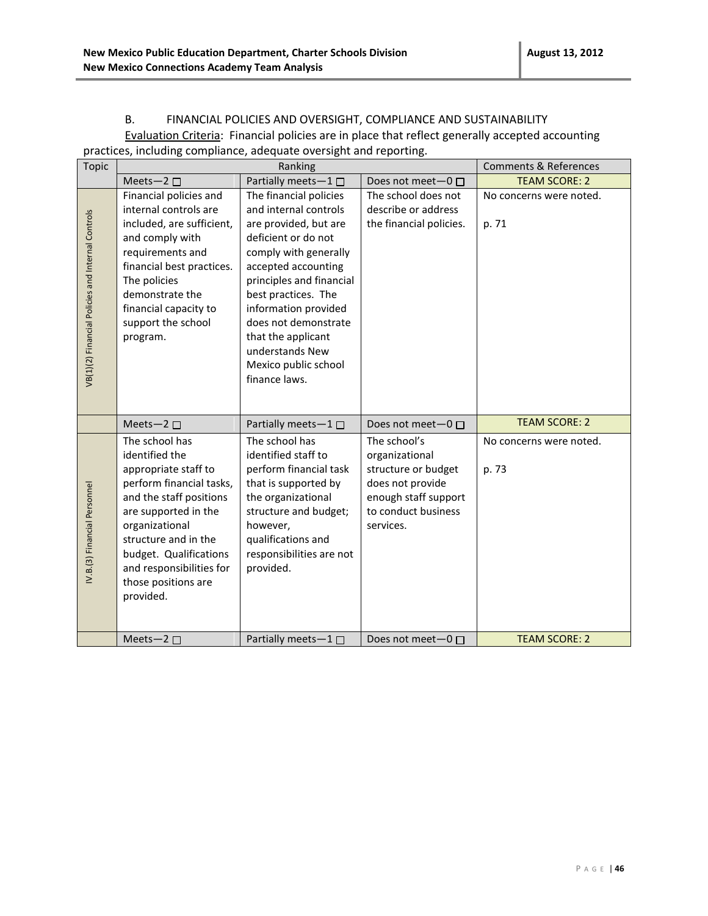#### B. FINANCIAL POLICIES AND OVERSIGHT, COMPLIANCE AND SUSTAINABILITY

Evaluation Criteria: Financial policies are in place that reflect generally accepted accounting practices, including compliance, adequate oversight and reporting.

| <b>Topic</b>                                      |                                                                                                                                                                                                                                                                             | Ranking                                                                                                                                                                                                                                                                                                                              |                                                                                                                                       | <b>Comments &amp; References</b> |
|---------------------------------------------------|-----------------------------------------------------------------------------------------------------------------------------------------------------------------------------------------------------------------------------------------------------------------------------|--------------------------------------------------------------------------------------------------------------------------------------------------------------------------------------------------------------------------------------------------------------------------------------------------------------------------------------|---------------------------------------------------------------------------------------------------------------------------------------|----------------------------------|
|                                                   | Meets-2 $\square$                                                                                                                                                                                                                                                           | Partially meets-1                                                                                                                                                                                                                                                                                                                    | Does not meet- $0 \Box$                                                                                                               | <b>TEAM SCORE: 2</b>             |
| VB(1)(2) Financial Policies and Internal Controls | Financial policies and<br>internal controls are<br>included, are sufficient,<br>and comply with<br>requirements and<br>financial best practices.<br>The policies<br>demonstrate the<br>financial capacity to<br>support the school<br>program.                              | The financial policies<br>and internal controls<br>are provided, but are<br>deficient or do not<br>comply with generally<br>accepted accounting<br>principles and financial<br>best practices. The<br>information provided<br>does not demonstrate<br>that the applicant<br>understands New<br>Mexico public school<br>finance laws. | The school does not<br>describe or address<br>the financial policies.                                                                 | No concerns were noted.<br>p. 71 |
|                                                   | Meets-2 $\square$                                                                                                                                                                                                                                                           | Partially meets-1□                                                                                                                                                                                                                                                                                                                   | Does not meet $-0$ $\Box$                                                                                                             | <b>TEAM SCORE: 2</b>             |
| IV.B.(3) Financial Personnel                      | The school has<br>identified the<br>appropriate staff to<br>perform financial tasks,<br>and the staff positions<br>are supported in the<br>organizational<br>structure and in the<br>budget. Qualifications<br>and responsibilities for<br>those positions are<br>provided. | The school has<br>identified staff to<br>perform financial task<br>that is supported by<br>the organizational<br>structure and budget;<br>however,<br>qualifications and<br>responsibilities are not<br>provided.                                                                                                                    | The school's<br>organizational<br>structure or budget<br>does not provide<br>enough staff support<br>to conduct business<br>services. | No concerns were noted.<br>p. 73 |
|                                                   | Meets-2 $\square$                                                                                                                                                                                                                                                           | Partially meets $-1$ $\Box$                                                                                                                                                                                                                                                                                                          | Does not meet-0 □                                                                                                                     | <b>TEAM SCORE: 2</b>             |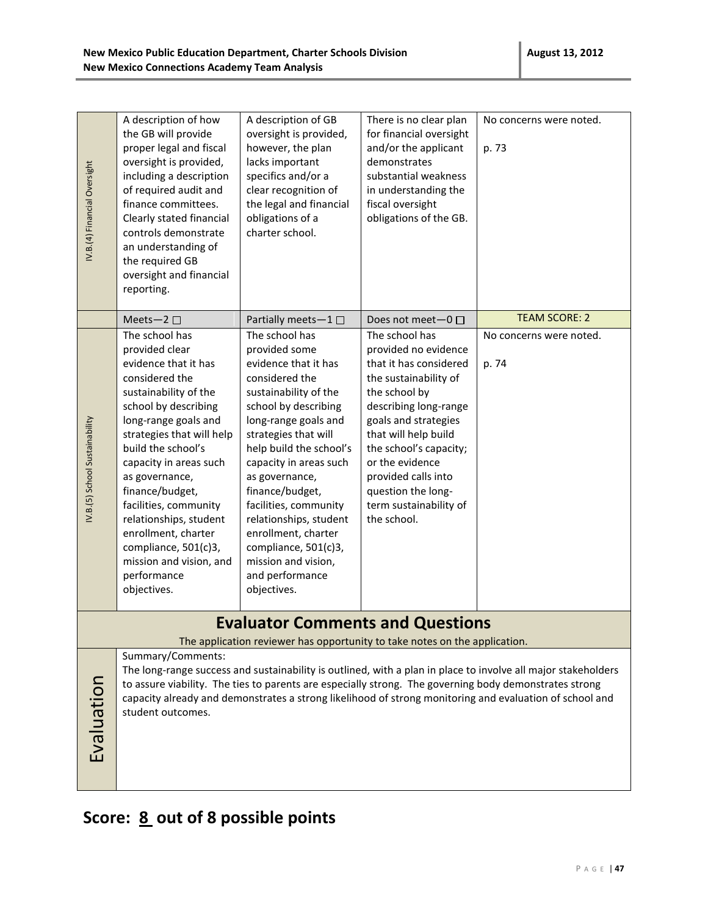| IV.B.(4) Financial Oversight   | A description of how<br>the GB will provide<br>proper legal and fiscal<br>oversight is provided,<br>including a description<br>of required audit and<br>finance committees.<br>Clearly stated financial<br>controls demonstrate<br>an understanding of<br>the required GB<br>oversight and financial<br>reporting.                                                                                                               | A description of GB<br>oversight is provided,<br>however, the plan<br>lacks important<br>specifics and/or a<br>clear recognition of<br>the legal and financial<br>obligations of a<br>charter school.                                                                                                                                                                                                                           | There is no clear plan<br>for financial oversight<br>and/or the applicant<br>demonstrates<br>substantial weakness<br>in understanding the<br>fiscal oversight<br>obligations of the GB.                                                                                                                                | No concerns were noted.<br>p. 73                                                                                                                                                                                  |
|--------------------------------|----------------------------------------------------------------------------------------------------------------------------------------------------------------------------------------------------------------------------------------------------------------------------------------------------------------------------------------------------------------------------------------------------------------------------------|---------------------------------------------------------------------------------------------------------------------------------------------------------------------------------------------------------------------------------------------------------------------------------------------------------------------------------------------------------------------------------------------------------------------------------|------------------------------------------------------------------------------------------------------------------------------------------------------------------------------------------------------------------------------------------------------------------------------------------------------------------------|-------------------------------------------------------------------------------------------------------------------------------------------------------------------------------------------------------------------|
|                                | Meets-2 $\square$                                                                                                                                                                                                                                                                                                                                                                                                                | Partially meets-1□                                                                                                                                                                                                                                                                                                                                                                                                              | Does not meet- $0 \Box$                                                                                                                                                                                                                                                                                                | <b>TEAM SCORE: 2</b>                                                                                                                                                                                              |
| IV.B.(5) School Sustainability | The school has<br>provided clear<br>evidence that it has<br>considered the<br>sustainability of the<br>school by describing<br>long-range goals and<br>strategies that will help<br>build the school's<br>capacity in areas such<br>as governance,<br>finance/budget,<br>facilities, community<br>relationships, student<br>enrollment, charter<br>compliance, 501(c)3,<br>mission and vision, and<br>performance<br>objectives. | The school has<br>provided some<br>evidence that it has<br>considered the<br>sustainability of the<br>school by describing<br>long-range goals and<br>strategies that will<br>help build the school's<br>capacity in areas such<br>as governance,<br>finance/budget,<br>facilities, community<br>relationships, student<br>enrollment, charter<br>compliance, 501(c)3,<br>mission and vision,<br>and performance<br>objectives. | The school has<br>provided no evidence<br>that it has considered<br>the sustainability of<br>the school by<br>describing long-range<br>goals and strategies<br>that will help build<br>the school's capacity;<br>or the evidence<br>provided calls into<br>question the long-<br>term sustainability of<br>the school. | No concerns were noted.<br>p. 74                                                                                                                                                                                  |
|                                |                                                                                                                                                                                                                                                                                                                                                                                                                                  | <b>Evaluator Comments and Questions</b>                                                                                                                                                                                                                                                                                                                                                                                         |                                                                                                                                                                                                                                                                                                                        |                                                                                                                                                                                                                   |
|                                | Summary/Comments:                                                                                                                                                                                                                                                                                                                                                                                                                | The application reviewer has opportunity to take notes on the application.                                                                                                                                                                                                                                                                                                                                                      |                                                                                                                                                                                                                                                                                                                        | The long-range success and sustainability is outlined, with a plan in place to involve all major stakeholders                                                                                                     |
|                                |                                                                                                                                                                                                                                                                                                                                                                                                                                  |                                                                                                                                                                                                                                                                                                                                                                                                                                 |                                                                                                                                                                                                                                                                                                                        | to assure viability. The ties to parents are especially strong. The governing body demonstrates strong<br>capacity already and demonstrates a strong likelihood of strong monitoring and evaluation of school and |
|                                | student outcomes.                                                                                                                                                                                                                                                                                                                                                                                                                |                                                                                                                                                                                                                                                                                                                                                                                                                                 |                                                                                                                                                                                                                                                                                                                        |                                                                                                                                                                                                                   |
| Evaluation                     |                                                                                                                                                                                                                                                                                                                                                                                                                                  |                                                                                                                                                                                                                                                                                                                                                                                                                                 |                                                                                                                                                                                                                                                                                                                        |                                                                                                                                                                                                                   |
|                                |                                                                                                                                                                                                                                                                                                                                                                                                                                  |                                                                                                                                                                                                                                                                                                                                                                                                                                 |                                                                                                                                                                                                                                                                                                                        |                                                                                                                                                                                                                   |

# **Score: 8 out of 8 possible points**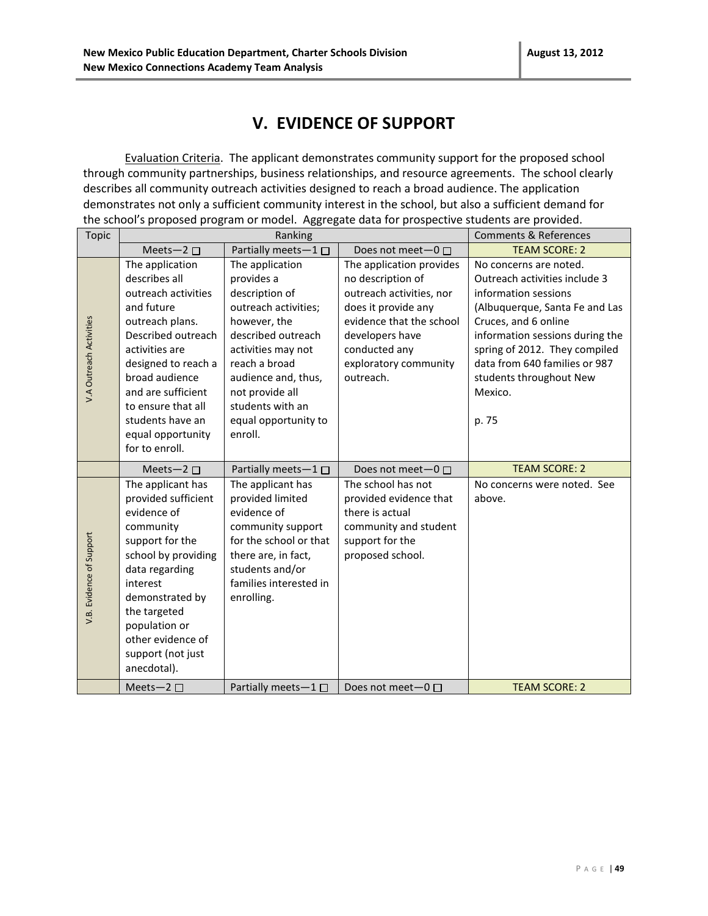### **V. EVIDENCE OF SUPPORT**

Evaluation Criteria. The applicant demonstrates community support for the proposed school through community partnerships, business relationships, and resource agreements. The school clearly describes all community outreach activities designed to reach a broad audience. The application demonstrates not only a sufficient community interest in the school, but also a sufficient demand for the school's proposed program or model. Aggregate data for prospective students are provided.

| <b>Topic</b>             | Ranking                                                                                                                                                                                                                                                                          |                                                                                                                                                                                                                                                       |                                                                                                                                                                                                        | <b>Comments &amp; References</b>                                                                                                                                                                                                                                                              |
|--------------------------|----------------------------------------------------------------------------------------------------------------------------------------------------------------------------------------------------------------------------------------------------------------------------------|-------------------------------------------------------------------------------------------------------------------------------------------------------------------------------------------------------------------------------------------------------|--------------------------------------------------------------------------------------------------------------------------------------------------------------------------------------------------------|-----------------------------------------------------------------------------------------------------------------------------------------------------------------------------------------------------------------------------------------------------------------------------------------------|
|                          | Meets-2 $\square$                                                                                                                                                                                                                                                                | Partially meets-1□                                                                                                                                                                                                                                    | Does not meet-0 □                                                                                                                                                                                      | <b>TEAM SCORE: 2</b>                                                                                                                                                                                                                                                                          |
| V.A Outreach Activities  | The application<br>describes all<br>outreach activities<br>and future<br>outreach plans.<br>Described outreach<br>activities are<br>designed to reach a<br>broad audience<br>and are sufficient<br>to ensure that all<br>students have an<br>equal opportunity<br>for to enroll. | The application<br>provides a<br>description of<br>outreach activities;<br>however, the<br>described outreach<br>activities may not<br>reach a broad<br>audience and, thus,<br>not provide all<br>students with an<br>equal opportunity to<br>enroll. | The application provides<br>no description of<br>outreach activities, nor<br>does it provide any<br>evidence that the school<br>developers have<br>conducted any<br>exploratory community<br>outreach. | No concerns are noted.<br>Outreach activities include 3<br>information sessions<br>(Albuquerque, Santa Fe and Las<br>Cruces, and 6 online<br>information sessions during the<br>spring of 2012. They compiled<br>data from 640 families or 987<br>students throughout New<br>Mexico.<br>p. 75 |
|                          |                                                                                                                                                                                                                                                                                  |                                                                                                                                                                                                                                                       |                                                                                                                                                                                                        |                                                                                                                                                                                                                                                                                               |
|                          | Meets-2 $\square$                                                                                                                                                                                                                                                                | Partially meets- $1 \Box$                                                                                                                                                                                                                             | Does not meet-0 □                                                                                                                                                                                      | <b>TEAM SCORE: 2</b>                                                                                                                                                                                                                                                                          |
| V.B. Evidence of Support | The applicant has<br>provided sufficient<br>evidence of<br>community<br>support for the<br>school by providing<br>data regarding<br>interest<br>demonstrated by<br>the targeted<br>population or<br>other evidence of<br>support (not just<br>anecdotal).                        | The applicant has<br>provided limited<br>evidence of<br>community support<br>for the school or that<br>there are, in fact,<br>students and/or<br>families interested in<br>enrolling.                                                                 | The school has not<br>provided evidence that<br>there is actual<br>community and student<br>support for the<br>proposed school.                                                                        | No concerns were noted. See<br>above.                                                                                                                                                                                                                                                         |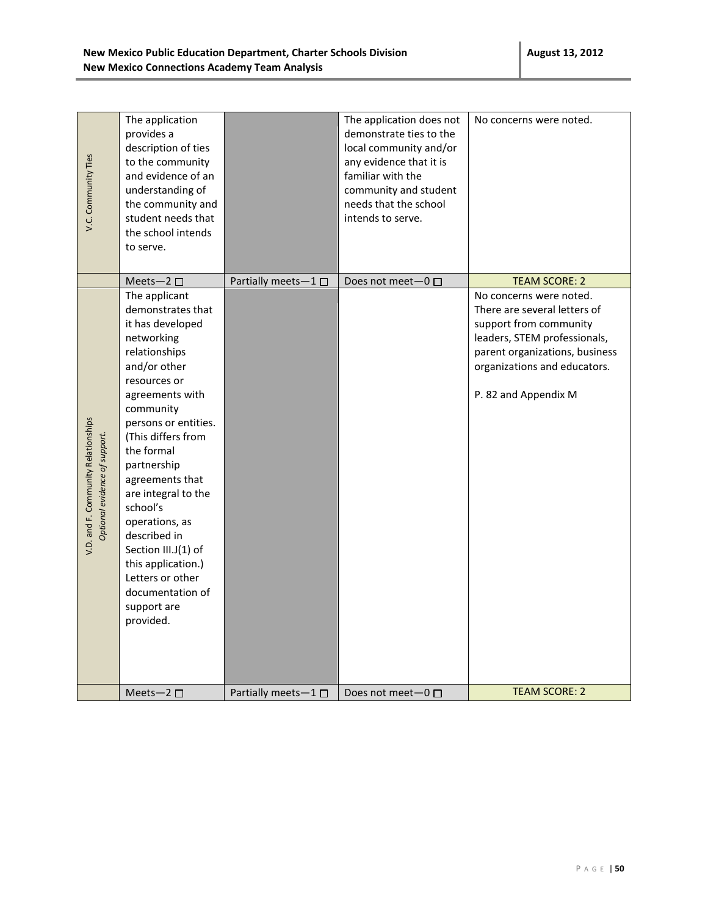| V.C. Community Ties                                                  | The application<br>provides a<br>description of ties<br>to the community<br>and evidence of an<br>understanding of<br>the community and<br>student needs that<br>the school intends                                                                                                                                                                                                                                                       |                             | The application does not<br>demonstrate ties to the<br>local community and/or<br>any evidence that it is<br>familiar with the<br>community and student<br>needs that the school<br>intends to serve. | No concerns were noted.                                                                                                                                                                                     |
|----------------------------------------------------------------------|-------------------------------------------------------------------------------------------------------------------------------------------------------------------------------------------------------------------------------------------------------------------------------------------------------------------------------------------------------------------------------------------------------------------------------------------|-----------------------------|------------------------------------------------------------------------------------------------------------------------------------------------------------------------------------------------------|-------------------------------------------------------------------------------------------------------------------------------------------------------------------------------------------------------------|
|                                                                      | to serve.                                                                                                                                                                                                                                                                                                                                                                                                                                 |                             |                                                                                                                                                                                                      |                                                                                                                                                                                                             |
|                                                                      | Meets-2 $\square$                                                                                                                                                                                                                                                                                                                                                                                                                         | Partially meets-1 $\square$ | Does not meet $-0$ $\square$                                                                                                                                                                         | <b>TEAM SCORE: 2</b>                                                                                                                                                                                        |
| V.D. and F. Community Relationships<br>Optional evidence of support. | The applicant<br>demonstrates that<br>it has developed<br>networking<br>relationships<br>and/or other<br>resources or<br>agreements with<br>community<br>persons or entities.<br>(This differs from<br>the formal<br>partnership<br>agreements that<br>are integral to the<br>school's<br>operations, as<br>described in<br>Section III.J(1) of<br>this application.)<br>Letters or other<br>documentation of<br>support are<br>provided. |                             |                                                                                                                                                                                                      | No concerns were noted.<br>There are several letters of<br>support from community<br>leaders, STEM professionals,<br>parent organizations, business<br>organizations and educators.<br>P. 82 and Appendix M |
|                                                                      | Meets-2 $\square$                                                                                                                                                                                                                                                                                                                                                                                                                         | Partially meets-1 $\square$ | Does not meet $-0$ $\Box$                                                                                                                                                                            | <b>TEAM SCORE: 2</b>                                                                                                                                                                                        |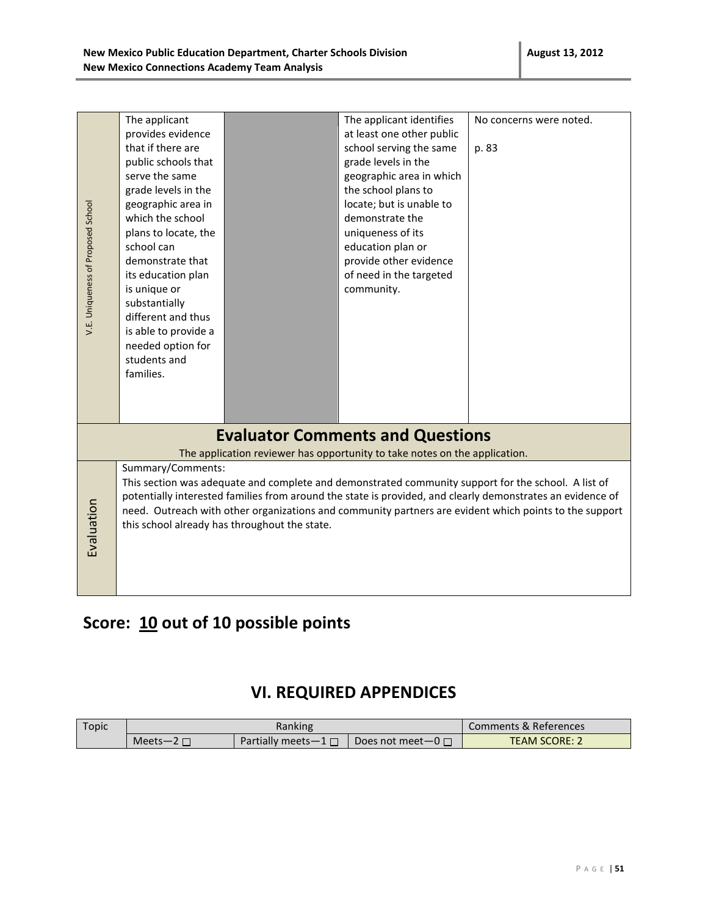| V.E. Uniqueness of Proposed School | The applicant<br>provides evidence<br>that if there are<br>public schools that<br>serve the same<br>grade levels in the<br>geographic area in<br>which the school<br>plans to locate, the<br>school can<br>demonstrate that<br>its education plan<br>is unique or<br>substantially<br>different and thus<br>is able to provide a<br>needed option for<br>students and<br>families.                |  | The applicant identifies<br>at least one other public<br>school serving the same<br>grade levels in the<br>geographic area in which<br>the school plans to<br>locate; but is unable to<br>demonstrate the<br>uniqueness of its<br>education plan or<br>provide other evidence<br>of need in the targeted<br>community. | No concerns were noted.<br>p. 83 |
|------------------------------------|---------------------------------------------------------------------------------------------------------------------------------------------------------------------------------------------------------------------------------------------------------------------------------------------------------------------------------------------------------------------------------------------------|--|------------------------------------------------------------------------------------------------------------------------------------------------------------------------------------------------------------------------------------------------------------------------------------------------------------------------|----------------------------------|
|                                    |                                                                                                                                                                                                                                                                                                                                                                                                   |  |                                                                                                                                                                                                                                                                                                                        |                                  |
|                                    |                                                                                                                                                                                                                                                                                                                                                                                                   |  | <b>Evaluator Comments and Questions</b>                                                                                                                                                                                                                                                                                |                                  |
|                                    |                                                                                                                                                                                                                                                                                                                                                                                                   |  | The application reviewer has opportunity to take notes on the application.                                                                                                                                                                                                                                             |                                  |
| Evaluation                         | Summary/Comments:<br>This section was adequate and complete and demonstrated community support for the school. A list of<br>potentially interested families from around the state is provided, and clearly demonstrates an evidence of<br>need. Outreach with other organizations and community partners are evident which points to the support<br>this school already has throughout the state. |  |                                                                                                                                                                                                                                                                                                                        |                                  |

### **Score: 10 out of 10 possible points**

### **VI. REQUIRED APPENDICES**

| Topic | Ranking          |                           |                           | Comments & References |
|-------|------------------|---------------------------|---------------------------|-----------------------|
|       | Meets-2 $\Gamma$ | Partially meets $-1 \Box$ | Does not meet $-0$ $\Box$ | <b>TEAM SCORE:</b>    |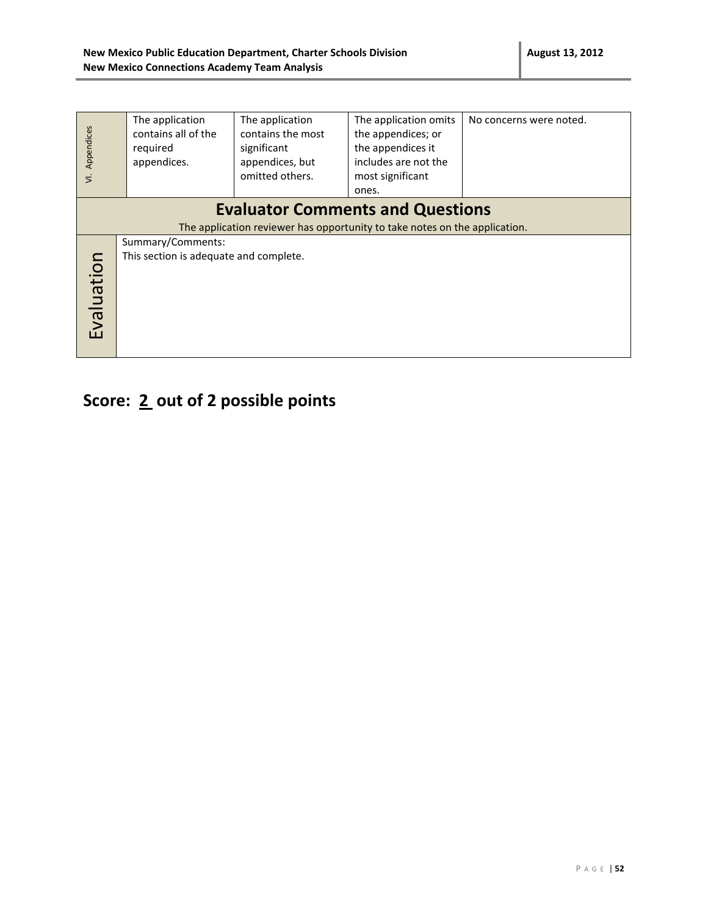| Appendices<br>$\overline{z}$ | The application<br>contains all of the<br>required<br>appendices.                                                     | The application<br>contains the most<br>significant<br>appendices, but<br>omitted others. | The application omits<br>the appendices; or<br>the appendices it<br>includes are not the<br>most significant<br>ones. | No concerns were noted. |  |  |  |
|------------------------------|-----------------------------------------------------------------------------------------------------------------------|-------------------------------------------------------------------------------------------|-----------------------------------------------------------------------------------------------------------------------|-------------------------|--|--|--|
|                              | <b>Evaluator Comments and Questions</b><br>The application reviewer has opportunity to take notes on the application. |                                                                                           |                                                                                                                       |                         |  |  |  |
| Evaluation                   | Summary/Comments:<br>This section is adequate and complete.                                                           |                                                                                           |                                                                                                                       |                         |  |  |  |

# **Score: 2 out of 2 possible points**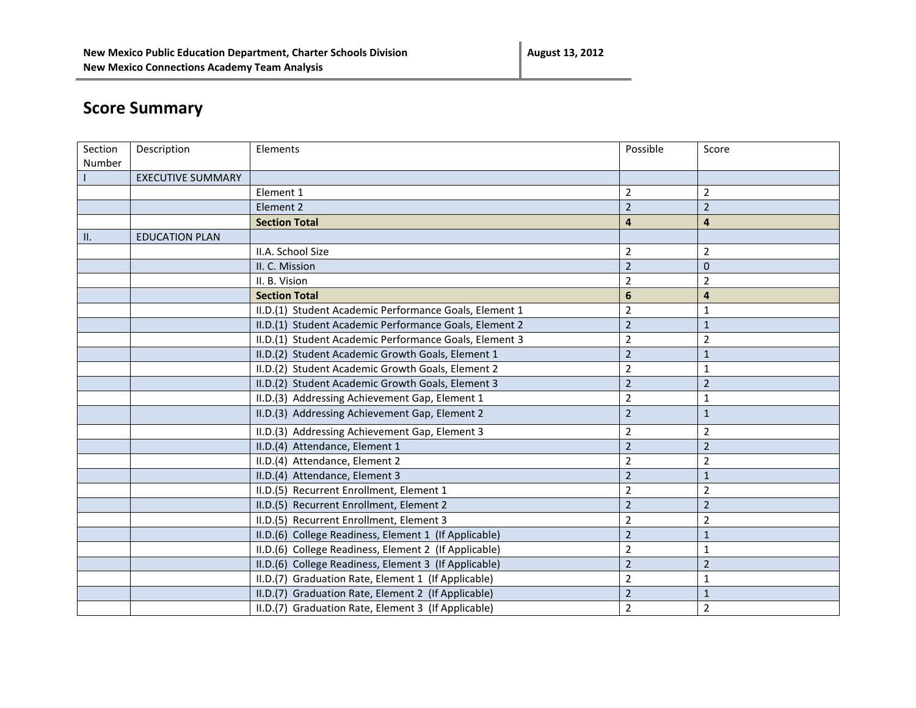# **Score Summary**

| Section         | Description              | Elements                                               | Possible       | Score          |
|-----------------|--------------------------|--------------------------------------------------------|----------------|----------------|
| Number          |                          |                                                        |                |                |
|                 | <b>EXECUTIVE SUMMARY</b> |                                                        |                |                |
|                 |                          | Element 1                                              | $\overline{2}$ | $\overline{2}$ |
|                 |                          | Element 2                                              | $\overline{2}$ | $\overline{2}$ |
|                 |                          | <b>Section Total</b>                                   | 4              | 4              |
| $\mathbf{II}$ . | <b>EDUCATION PLAN</b>    |                                                        |                |                |
|                 |                          | II.A. School Size                                      | 2              | $\overline{2}$ |
|                 |                          | II. C. Mission                                         | $\overline{2}$ | $\mathbf{0}$   |
|                 |                          | II. B. Vision                                          | 2              | $\overline{2}$ |
|                 |                          | <b>Section Total</b>                                   | 6              | 4              |
|                 |                          | II.D.(1) Student Academic Performance Goals, Element 1 | $\overline{2}$ | 1              |
|                 |                          | II.D.(1) Student Academic Performance Goals, Element 2 | $\overline{2}$ | $\mathbf 1$    |
|                 |                          | II.D.(1) Student Academic Performance Goals, Element 3 | $\overline{2}$ | 2              |
|                 |                          | II.D.(2) Student Academic Growth Goals, Element 1      | $\overline{2}$ | $\mathbf{1}$   |
|                 |                          | II.D.(2) Student Academic Growth Goals, Element 2      | $\overline{2}$ | 1              |
|                 |                          | II.D.(2) Student Academic Growth Goals, Element 3      | $\overline{2}$ | $\overline{2}$ |
|                 |                          | II.D.(3) Addressing Achievement Gap, Element 1         | $\overline{2}$ | 1              |
|                 |                          | II.D.(3) Addressing Achievement Gap, Element 2         | $\overline{2}$ | $\mathbf{1}$   |
|                 |                          | II.D.(3) Addressing Achievement Gap, Element 3         | 2              | $\overline{2}$ |
|                 |                          | II.D.(4) Attendance, Element 1                         | $\overline{2}$ | $\overline{2}$ |
|                 |                          | II.D.(4) Attendance, Element 2                         | $\overline{2}$ | $\overline{2}$ |
|                 |                          | II.D.(4) Attendance, Element 3                         | $\overline{2}$ | $\mathbf{1}$   |
|                 |                          | II.D.(5) Recurrent Enrollment, Element 1               | $\overline{2}$ | $\overline{2}$ |
|                 |                          | II.D.(5) Recurrent Enrollment, Element 2               | $\overline{2}$ | $\overline{2}$ |
|                 |                          | II.D.(5) Recurrent Enrollment, Element 3               | 2              | $\overline{2}$ |
|                 |                          | II.D.(6) College Readiness, Element 1 (If Applicable)  | $\overline{2}$ | $\mathbf 1$    |
|                 |                          | II.D.(6) College Readiness, Element 2 (If Applicable)  | $\overline{2}$ | 1              |
|                 |                          | II.D.(6) College Readiness, Element 3 (If Applicable)  | $\overline{2}$ | $\overline{2}$ |
|                 |                          | II.D.(7) Graduation Rate, Element 1 (If Applicable)    | $\overline{2}$ | 1              |
|                 |                          | II.D.(7) Graduation Rate, Element 2 (If Applicable)    | $\overline{2}$ | $\mathbf{1}$   |
|                 |                          | II.D.(7) Graduation Rate, Element 3 (If Applicable)    | $\overline{2}$ | $\overline{2}$ |
|                 |                          |                                                        |                |                |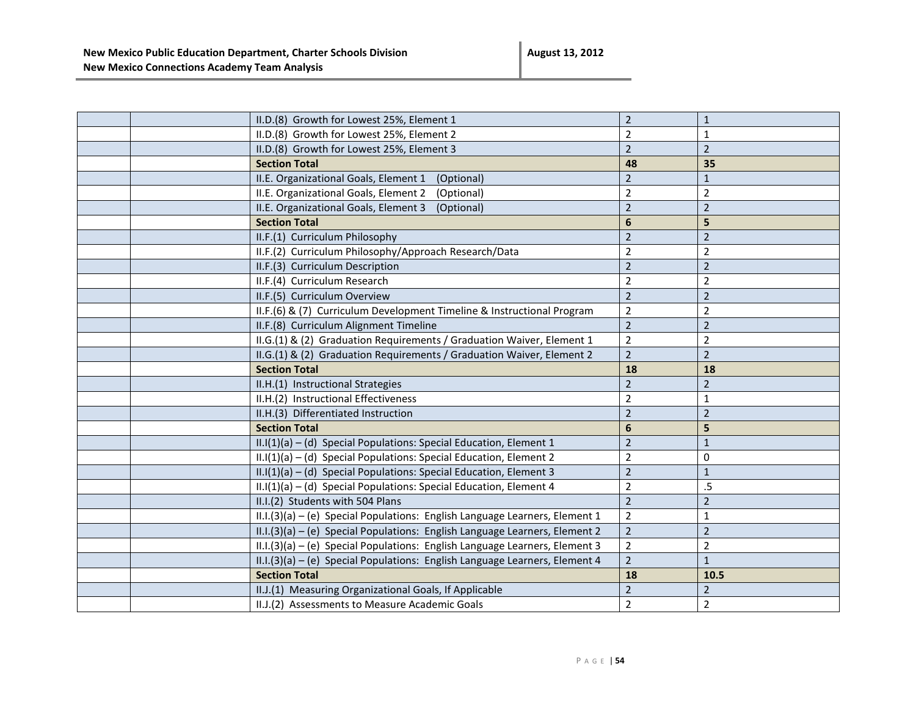**August 13, 2012**

|  | II.D.(8) Growth for Lowest 25%, Element 1                                   | $\overline{2}$  | $\mathbf{1}$   |
|--|-----------------------------------------------------------------------------|-----------------|----------------|
|  | II.D.(8) Growth for Lowest 25%, Element 2                                   | 2               | 1              |
|  | II.D.(8) Growth for Lowest 25%, Element 3                                   | $\overline{2}$  | $\overline{2}$ |
|  | <b>Section Total</b>                                                        | 48              | 35             |
|  | II.E. Organizational Goals, Element 1<br>(Optional)                         | $\overline{2}$  | $\mathbf{1}$   |
|  | II.E. Organizational Goals, Element 2<br>(Optional)                         | $\overline{2}$  | $\overline{2}$ |
|  | II.E. Organizational Goals, Element 3<br>(Optional)                         | $\overline{2}$  | $\overline{2}$ |
|  | <b>Section Total</b>                                                        | $6\phantom{1}6$ | 5              |
|  | II.F.(1) Curriculum Philosophy                                              | $\overline{2}$  | $\overline{2}$ |
|  | II.F.(2) Curriculum Philosophy/Approach Research/Data                       | $\overline{2}$  | $\overline{2}$ |
|  | II.F.(3) Curriculum Description                                             | $\overline{2}$  | $\overline{2}$ |
|  | II.F.(4) Curriculum Research                                                | $\overline{2}$  | $\overline{2}$ |
|  | II.F.(5) Curriculum Overview                                                | $\overline{2}$  | $\overline{2}$ |
|  | II.F.(6) & (7) Curriculum Development Timeline & Instructional Program      | $\overline{2}$  | $\overline{2}$ |
|  | II.F.(8) Curriculum Alignment Timeline                                      | $\overline{2}$  | $\mathbf 2$    |
|  | II.G.(1) & (2) Graduation Requirements / Graduation Waiver, Element 1       | $\overline{2}$  | $\overline{2}$ |
|  | II.G.(1) & (2) Graduation Requirements / Graduation Waiver, Element 2       | $\overline{2}$  | $\overline{2}$ |
|  | <b>Section Total</b>                                                        | 18              | 18             |
|  | II.H.(1) Instructional Strategies                                           | $\overline{2}$  | $\overline{2}$ |
|  | II.H.(2) Instructional Effectiveness                                        | $\overline{2}$  | $\mathbf{1}$   |
|  | II.H.(3) Differentiated Instruction                                         | $\overline{2}$  | $\overline{2}$ |
|  | <b>Section Total</b>                                                        | 6               | 5              |
|  | II.I(1)(a) - (d) Special Populations: Special Education, Element 1          | $\overline{2}$  | $\mathbf{1}$   |
|  | II.I(1)(a) - (d) Special Populations: Special Education, Element 2          | $\overline{2}$  | 0              |
|  | $II.I(1)(a) - (d)$ Special Populations: Special Education, Element 3        | $\overline{2}$  | $\mathbf{1}$   |
|  | II.I(1)(a) - (d) Special Populations: Special Education, Element 4          | $\overline{2}$  | .5             |
|  | II.I.(2) Students with 504 Plans                                            | $\overline{2}$  | $\overline{2}$ |
|  | II.I.(3)(a) - (e) Special Populations: English Language Learners, Element 1 | $\overline{2}$  | 1              |
|  | II.I.(3)(a) - (e) Special Populations: English Language Learners, Element 2 | $\overline{2}$  | $\overline{2}$ |
|  | II.I.(3)(a) - (e) Special Populations: English Language Learners, Element 3 | $\overline{2}$  | $\overline{2}$ |
|  | II.I.(3)(a) - (e) Special Populations: English Language Learners, Element 4 | $\overline{2}$  | $\mathbf{1}$   |
|  | <b>Section Total</b>                                                        | 18              | 10.5           |
|  | II.J.(1) Measuring Organizational Goals, If Applicable                      | $\overline{2}$  | $\overline{2}$ |
|  | II.J.(2) Assessments to Measure Academic Goals                              | $\overline{2}$  | $\overline{2}$ |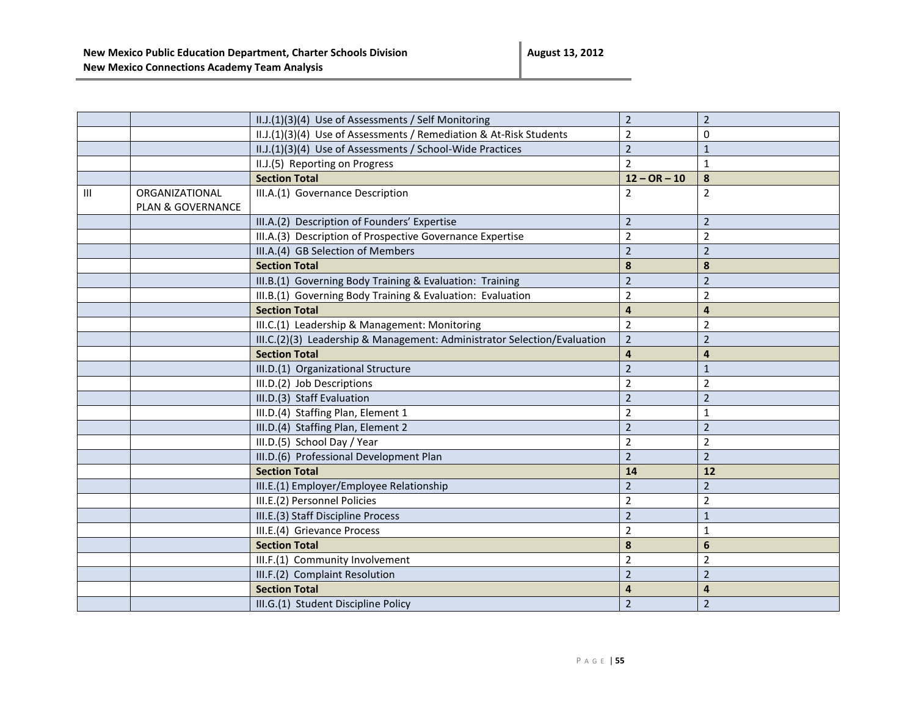|   |                   | II.J.(1)(3)(4) Use of Assessments / Self Monitoring                      | $\overline{2}$          | $\overline{2}$ |
|---|-------------------|--------------------------------------------------------------------------|-------------------------|----------------|
|   |                   | II.J.(1)(3)(4) Use of Assessments / Remediation & At-Risk Students       | $\overline{2}$          | 0              |
|   |                   | II.J.(1)(3)(4) Use of Assessments / School-Wide Practices                | $\overline{2}$          | $1\,$          |
|   |                   | II.J.(5) Reporting on Progress                                           | $\overline{2}$          | $\mathbf{1}$   |
|   |                   | <b>Section Total</b>                                                     | $12 - OR - 10$          | $\pmb{8}$      |
| Ш | ORGANIZATIONAL    | III.A.(1) Governance Description                                         | $\overline{2}$          | $\overline{2}$ |
|   | PLAN & GOVERNANCE |                                                                          |                         |                |
|   |                   | III.A.(2) Description of Founders' Expertise                             | $\overline{2}$          | $\overline{2}$ |
|   |                   | III.A.(3) Description of Prospective Governance Expertise                | $\overline{2}$          | $\overline{2}$ |
|   |                   | III.A.(4) GB Selection of Members                                        | $\overline{2}$          | $\overline{2}$ |
|   |                   | <b>Section Total</b>                                                     | 8                       | $\pmb{8}$      |
|   |                   | III.B.(1) Governing Body Training & Evaluation: Training                 | $\overline{2}$          | $\overline{2}$ |
|   |                   | III.B.(1) Governing Body Training & Evaluation: Evaluation               | $\overline{2}$          | $\overline{2}$ |
|   |                   | <b>Section Total</b>                                                     | $\overline{\mathbf{4}}$ | $\overline{4}$ |
|   |                   | III.C.(1) Leadership & Management: Monitoring                            | $\overline{2}$          | $\overline{2}$ |
|   |                   | III.C.(2)(3) Leadership & Management: Administrator Selection/Evaluation | $\overline{2}$          | $\overline{2}$ |
|   |                   | <b>Section Total</b>                                                     | $\overline{4}$          | $\overline{4}$ |
|   |                   | III.D.(1) Organizational Structure                                       | $\overline{2}$          | $\mathbf{1}$   |
|   |                   | III.D.(2) Job Descriptions                                               | $\overline{2}$          | $\overline{2}$ |
|   |                   | III.D.(3) Staff Evaluation                                               | $\overline{2}$          | $\overline{2}$ |
|   |                   | III.D.(4) Staffing Plan, Element 1                                       | $\overline{2}$          | $\mathbf{1}$   |
|   |                   | III.D.(4) Staffing Plan, Element 2                                       | $\overline{2}$          | $\overline{2}$ |
|   |                   | III.D.(5) School Day / Year                                              | $\overline{2}$          | $\overline{2}$ |
|   |                   | III.D.(6) Professional Development Plan                                  | $\overline{2}$          | $\overline{2}$ |
|   |                   | <b>Section Total</b>                                                     | 14                      | 12             |
|   |                   | III.E.(1) Employer/Employee Relationship                                 | $\overline{2}$          | $\overline{2}$ |
|   |                   | III.E.(2) Personnel Policies                                             | $\overline{2}$          | $\overline{2}$ |
|   |                   | III.E.(3) Staff Discipline Process                                       | $\overline{2}$          | $1\,$          |
|   |                   | III.E.(4) Grievance Process                                              | $\overline{2}$          | $\mathbf{1}$   |
|   |                   | <b>Section Total</b>                                                     | 8                       | $6\phantom{1}$ |
|   |                   | III.F.(1) Community Involvement                                          | $\overline{2}$          | $\overline{2}$ |
|   |                   | III.F.(2) Complaint Resolution                                           | $\overline{2}$          | $\overline{2}$ |
|   |                   | <b>Section Total</b>                                                     | 4                       | 4              |
|   |                   | III.G.(1) Student Discipline Policy                                      | $\overline{2}$          | $\overline{2}$ |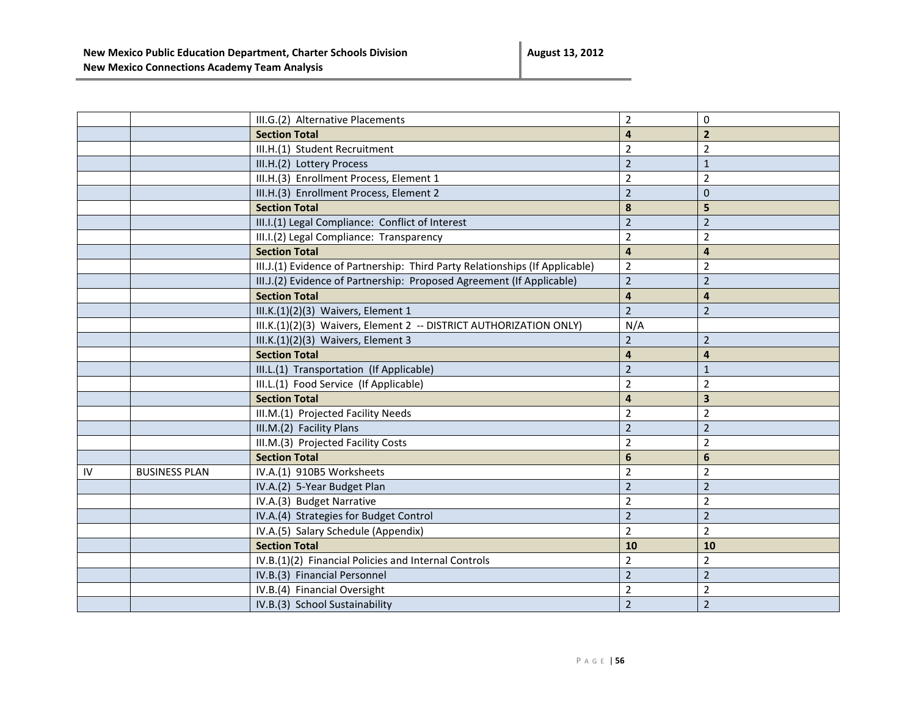|    |                      | III.G.(2) Alternative Placements                                             | $\overline{2}$          | $\Omega$                |
|----|----------------------|------------------------------------------------------------------------------|-------------------------|-------------------------|
|    |                      | <b>Section Total</b>                                                         | 4                       | $\overline{2}$          |
|    |                      | III.H.(1) Student Recruitment                                                | $\overline{2}$          | $\overline{2}$          |
|    |                      | III.H.(2) Lottery Process                                                    | $\overline{2}$          | $\mathbf{1}$            |
|    |                      | III.H.(3) Enrollment Process, Element 1                                      | $\overline{2}$          | $\overline{2}$          |
|    |                      | III.H.(3) Enrollment Process, Element 2                                      | $\overline{2}$          | $\mathbf{0}$            |
|    |                      | <b>Section Total</b>                                                         | 8                       | 5                       |
|    |                      | III.I.(1) Legal Compliance: Conflict of Interest                             | $\overline{2}$          | $\overline{2}$          |
|    |                      | III.I.(2) Legal Compliance: Transparency                                     | $\overline{2}$          | $\overline{2}$          |
|    |                      | <b>Section Total</b>                                                         | $\overline{\mathbf{4}}$ | $\overline{\mathbf{4}}$ |
|    |                      | III.J.(1) Evidence of Partnership: Third Party Relationships (If Applicable) | $\overline{2}$          | $\overline{2}$          |
|    |                      | III.J.(2) Evidence of Partnership: Proposed Agreement (If Applicable)        | $\overline{2}$          | $\overline{2}$          |
|    |                      | <b>Section Total</b>                                                         | 4                       | 4                       |
|    |                      | III.K.(1)(2)(3) Waivers, Element 1                                           | $\overline{2}$          | $\overline{2}$          |
|    |                      | III.K.(1)(2)(3) Waivers, Element 2 -- DISTRICT AUTHORIZATION ONLY)           | N/A                     |                         |
|    |                      | III.K.(1)(2)(3) Waivers, Element 3                                           | $\overline{2}$          | $\overline{2}$          |
|    |                      | <b>Section Total</b>                                                         | 4                       | 4                       |
|    |                      | III.L.(1) Transportation (If Applicable)                                     | $\overline{2}$          | $\mathbf{1}$            |
|    |                      | III.L.(1) Food Service (If Applicable)                                       | $\overline{2}$          | $\overline{2}$          |
|    |                      | <b>Section Total</b>                                                         | $\overline{\mathbf{4}}$ | 3                       |
|    |                      | III.M.(1) Projected Facility Needs                                           | $\overline{2}$          | $\overline{2}$          |
|    |                      | III.M.(2) Facility Plans                                                     | $\overline{2}$          | $\overline{2}$          |
|    |                      | III.M.(3) Projected Facility Costs                                           | 2                       | $\overline{2}$          |
|    |                      | <b>Section Total</b>                                                         | 6                       | 6                       |
| IV | <b>BUSINESS PLAN</b> | IV.A.(1) 910B5 Worksheets                                                    | $\overline{2}$          | $\overline{2}$          |
|    |                      | IV.A.(2) 5-Year Budget Plan                                                  | $\overline{2}$          | $\overline{2}$          |
|    |                      | IV.A.(3) Budget Narrative                                                    | $\overline{2}$          | $\overline{2}$          |
|    |                      | IV.A.(4) Strategies for Budget Control                                       | $\overline{2}$          | $\overline{2}$          |
|    |                      | IV.A.(5) Salary Schedule (Appendix)                                          | $\overline{2}$          | $\overline{2}$          |
|    |                      | <b>Section Total</b>                                                         | 10                      | 10                      |
|    |                      | IV.B.(1)(2) Financial Policies and Internal Controls                         | $\overline{2}$          | $\overline{2}$          |
|    |                      | IV.B.(3) Financial Personnel                                                 | $\overline{2}$          | $\overline{2}$          |
|    |                      | IV.B.(4) Financial Oversight                                                 | $\overline{2}$          | 2                       |
|    |                      | IV.B.(3) School Sustainability                                               | $\overline{2}$          | $\overline{2}$          |